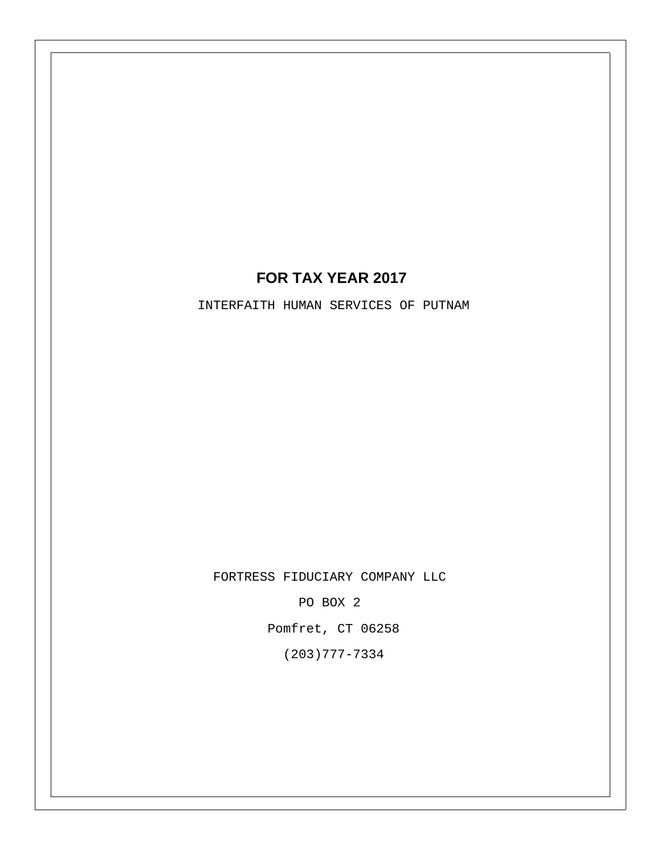## **FOR TAX YEAR 2017**

INTERFAITH HUMAN SERVICES OF PUTNAM

FORTRESS FIDUCIARY COMPANY LLC

PO BOX 2

Pomfret, CT 06258

(203)777-7334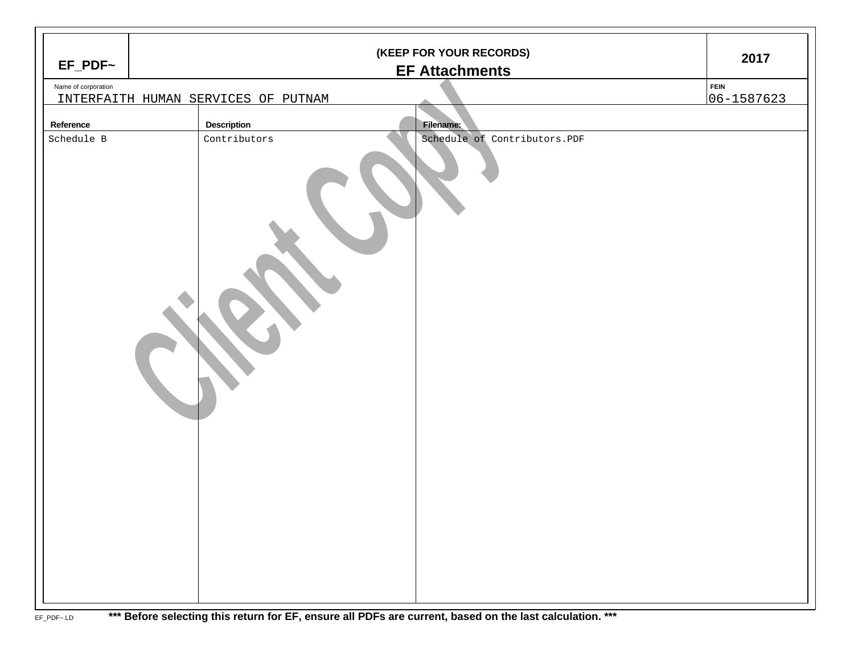| $EF_PDF~$           | (KEEP FOR YOUR RECORDS)<br><b>EF Attachments</b> |                                     |  |                              |                           |  |  |
|---------------------|--------------------------------------------------|-------------------------------------|--|------------------------------|---------------------------|--|--|
| Name of corporation |                                                  | INTERFAITH HUMAN SERVICES OF PUTNAM |  |                              | <b>FEIN</b><br>06-1587623 |  |  |
| Reference           |                                                  | <b>Description</b>                  |  | Filename:                    |                           |  |  |
| Schedule B          |                                                  | Contributors                        |  | Schedule of Contributors.PDF |                           |  |  |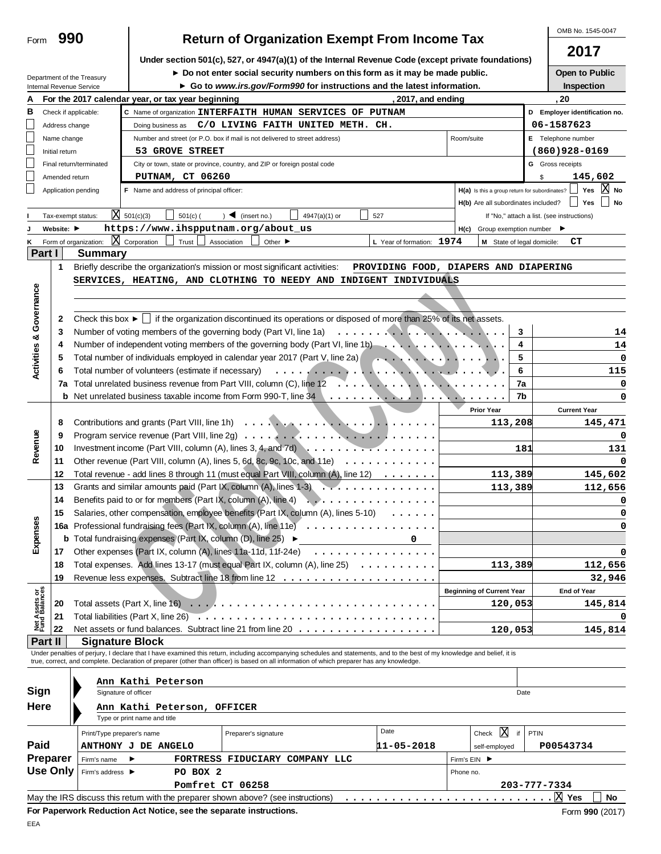|                                                      | 990                                                                                                  |                                                                                                                                                                                |                                                             | <b>Return of Organization Exempt From Income Tax</b>                                                                                                                                                                                                                                                                     |               |                                       |              |                                                     |            |                               | OMB No. 1545-0047                          |  |
|------------------------------------------------------|------------------------------------------------------------------------------------------------------|--------------------------------------------------------------------------------------------------------------------------------------------------------------------------------|-------------------------------------------------------------|--------------------------------------------------------------------------------------------------------------------------------------------------------------------------------------------------------------------------------------------------------------------------------------------------------------------------|---------------|---------------------------------------|--------------|-----------------------------------------------------|------------|-------------------------------|--------------------------------------------|--|
| Form                                                 |                                                                                                      |                                                                                                                                                                                |                                                             |                                                                                                                                                                                                                                                                                                                          |               |                                       |              |                                                     |            |                               | 2017                                       |  |
|                                                      | Under section 501(c), 527, or 4947(a)(1) of the Internal Revenue Code (except private foundations)   |                                                                                                                                                                                |                                                             |                                                                                                                                                                                                                                                                                                                          |               |                                       |              |                                                     |            |                               |                                            |  |
|                                                      |                                                                                                      | Department of the Treasury                                                                                                                                                     |                                                             | Do not enter social security numbers on this form as it may be made public.                                                                                                                                                                                                                                              |               |                                       |              |                                                     |            |                               | Open to Public                             |  |
|                                                      | ► Go to www.irs.gov/Form990 for instructions and the latest information.<br>Internal Revenue Service |                                                                                                                                                                                |                                                             |                                                                                                                                                                                                                                                                                                                          |               |                                       |              |                                                     |            |                               | Inspection                                 |  |
| А                                                    |                                                                                                      |                                                                                                                                                                                | For the 2017 calendar year, or tax year beginning           |                                                                                                                                                                                                                                                                                                                          |               | 2017, and ending                      |              |                                                     |            |                               | . 20                                       |  |
| в                                                    |                                                                                                      | Check if applicable:                                                                                                                                                           |                                                             | C Name of organization INTERFAITH HUMAN SERVICES OF PUTNAM                                                                                                                                                                                                                                                               |               |                                       |              |                                                     |            | D Employer identification no. |                                            |  |
| $\overline{\phantom{a}}$                             | Address change                                                                                       |                                                                                                                                                                                |                                                             | Doing business as $C/O$ LIVING FAITH UNITED METH. CH.                                                                                                                                                                                                                                                                    |               |                                       |              |                                                     |            |                               | 06-1587623                                 |  |
| $\overline{\phantom{a}}$<br>$\overline{\phantom{a}}$ | Name change<br>Initial return                                                                        |                                                                                                                                                                                | 53 GROVE STREET                                             | Number and street (or P.O. box if mail is not delivered to street address)                                                                                                                                                                                                                                               |               |                                       | Room/suite   |                                                     |            |                               | E Telephone number<br>$(860)928 - 0169$    |  |
|                                                      |                                                                                                      | Final return/terminated                                                                                                                                                        |                                                             | City or town, state or province, country, and ZIP or foreign postal code                                                                                                                                                                                                                                                 |               |                                       |              |                                                     |            | <b>G</b> Gross receipts       |                                            |  |
|                                                      | Amended return                                                                                       |                                                                                                                                                                                | <b>PUTNAM, CT 06260</b>                                     |                                                                                                                                                                                                                                                                                                                          |               |                                       |              |                                                     |            | \$                            | 145,602                                    |  |
|                                                      |                                                                                                      | Application pending                                                                                                                                                            | F Name and address of principal officer:                    |                                                                                                                                                                                                                                                                                                                          |               |                                       |              | H(a) Is this a group return for subordinates?       |            |                               | ΙXΙ<br>Yes<br>No                           |  |
|                                                      |                                                                                                      |                                                                                                                                                                                |                                                             |                                                                                                                                                                                                                                                                                                                          |               |                                       |              | H(b) Are all subordinates included?                 |            |                               | Yes<br><b>No</b>                           |  |
|                                                      |                                                                                                      | Tax-exempt status:                                                                                                                                                             | $\overline{\text{X}}$ 501(c)(3)<br>$501(c)$ (               | $\sum$ (insert no.)                                                                                                                                                                                                                                                                                                      | 4947(a)(1) or | 527                                   |              |                                                     |            |                               | If "No," attach a list. (see instructions) |  |
|                                                      | Website: ▶                                                                                           |                                                                                                                                                                                |                                                             | https://www.ihspputnam.org/about_us                                                                                                                                                                                                                                                                                      |               |                                       |              | $H(c)$ Group exemption number $\blacktriangleright$ |            |                               |                                            |  |
| ĸ                                                    |                                                                                                      | ΙX<br>Form of organization:                                                                                                                                                    | Corporation<br>Trust                                        | Association<br>Other $\blacktriangleright$                                                                                                                                                                                                                                                                               |               | L Year of formation: 1974             |              | M State of legal domicile:                          |            |                               | CТ                                         |  |
| Part I                                               |                                                                                                      | <b>Summary</b>                                                                                                                                                                 |                                                             |                                                                                                                                                                                                                                                                                                                          |               |                                       |              |                                                     |            |                               |                                            |  |
|                                                      | 1                                                                                                    |                                                                                                                                                                                |                                                             | Briefly describe the organization's mission or most significant activities:                                                                                                                                                                                                                                              |               | PROVIDING FOOD, DIAPERS AND DIAPERING |              |                                                     |            |                               |                                            |  |
|                                                      |                                                                                                      |                                                                                                                                                                                |                                                             | SERVICES, HEATING, AND CLOTHING TO NEEDY AND INDIGENT INDIVIDUALS                                                                                                                                                                                                                                                        |               |                                       |              |                                                     |            |                               |                                            |  |
|                                                      |                                                                                                      |                                                                                                                                                                                |                                                             |                                                                                                                                                                                                                                                                                                                          |               |                                       |              |                                                     |            |                               |                                            |  |
| <b>Activities &amp; Governance</b>                   |                                                                                                      |                                                                                                                                                                                |                                                             |                                                                                                                                                                                                                                                                                                                          |               |                                       |              |                                                     |            |                               |                                            |  |
|                                                      | 2                                                                                                    |                                                                                                                                                                                |                                                             | Check this box $\blacktriangleright$ $\Box$ if the organization discontinued its operations or disposed of more than 25% of its net assets.                                                                                                                                                                              |               |                                       |              |                                                     |            |                               |                                            |  |
|                                                      | 3<br>4                                                                                               |                                                                                                                                                                                |                                                             | Number of voting members of the governing body (Part VI, line 1a)<br>Number of independent voting members of the governing body (Part VI, line 1b)                                                                                                                                                                       |               |                                       |              |                                                     | 3<br>4     |                               | 14                                         |  |
|                                                      | 5                                                                                                    |                                                                                                                                                                                |                                                             | Total number of individuals employed in calendar year 2017 (Part V, line 2a) $\ldots$ , $\ldots$ , $\ldots$ , $\ldots$ , $\ldots$                                                                                                                                                                                        |               |                                       |              |                                                     | 5          |                               | 14<br>0                                    |  |
|                                                      |                                                                                                      |                                                                                                                                                                                |                                                             |                                                                                                                                                                                                                                                                                                                          |               |                                       |              |                                                     |            |                               | 115                                        |  |
|                                                      | 7a                                                                                                   | 6<br>6<br>7a                                                                                                                                                                   |                                                             |                                                                                                                                                                                                                                                                                                                          |               |                                       |              |                                                     |            |                               | 0                                          |  |
|                                                      |                                                                                                      |                                                                                                                                                                                |                                                             | <b>b</b> Net unrelated business taxable income from Form 990-T, line 34 \                                                                                                                                                                                                                                                |               |                                       |              | .                                                   | 7b         |                               | 0                                          |  |
|                                                      |                                                                                                      |                                                                                                                                                                                |                                                             |                                                                                                                                                                                                                                                                                                                          |               |                                       |              | <b>Prior Year</b>                                   |            |                               | <b>Current Year</b>                        |  |
|                                                      | 8<br>113,208                                                                                         |                                                                                                                                                                                |                                                             |                                                                                                                                                                                                                                                                                                                          |               |                                       |              |                                                     |            |                               | 145,471                                    |  |
|                                                      | 9                                                                                                    |                                                                                                                                                                                |                                                             |                                                                                                                                                                                                                                                                                                                          |               |                                       |              |                                                     |            |                               | 0                                          |  |
| Revenue                                              | 10                                                                                                   | Investment income (Part VIII, column (A), lines 3, 4, and 7d) $\ldots$ ,<br>181                                                                                                |                                                             |                                                                                                                                                                                                                                                                                                                          |               |                                       |              |                                                     |            |                               | 131                                        |  |
|                                                      | 11                                                                                                   |                                                                                                                                                                                |                                                             | Other revenue (Part VIII, column (A), lines 5, 6d, 8c, 9c, 10c, and 11e) $\ldots \ldots \ldots \ldots$                                                                                                                                                                                                                   |               |                                       |              |                                                     |            |                               | 0                                          |  |
|                                                      | 12                                                                                                   |                                                                                                                                                                                |                                                             | Total revenue - add lines 8 through 11 (must equal Part VIII, column (A), line 12)                                                                                                                                                                                                                                       |               |                                       |              |                                                     | 113,389    | 145,602                       |                                            |  |
|                                                      | 13                                                                                                   |                                                                                                                                                                                |                                                             | Grants and similar amounts paid (Part IX, column (A), lines $1-3$                                                                                                                                                                                                                                                        |               |                                       |              |                                                     | 113,389    |                               | 112,656                                    |  |
|                                                      | 14                                                                                                   |                                                                                                                                                                                |                                                             | Benefits paid to or for members (Part IX, column (A), line 4)                                                                                                                                                                                                                                                            | .             |                                       |              |                                                     |            |                               | 0                                          |  |
|                                                      | 15                                                                                                   |                                                                                                                                                                                |                                                             | Salaries, other compensation, employee benefits (Part IX, column (A), lines 5-10)                                                                                                                                                                                                                                        |               |                                       |              |                                                     |            |                               | 0                                          |  |
| Expenses                                             |                                                                                                      |                                                                                                                                                                                |                                                             | 16a Professional fundraising fees (Part IX, column (A), line 11e)<br><b>b</b> Total fundraising expenses (Part IX, column $(D)$ , line 25) $\blacktriangleright$                                                                                                                                                         |               |                                       |              |                                                     |            |                               | 0                                          |  |
|                                                      | 17                                                                                                   |                                                                                                                                                                                |                                                             |                                                                                                                                                                                                                                                                                                                          |               |                                       |              |                                                     |            |                               | 0                                          |  |
|                                                      | 18                                                                                                   | Other expenses (Part IX, column (A), lines 11a-11d, 11f-24e) $\ldots \ldots \ldots \ldots \ldots$<br>Total expenses. Add lines 13-17 (must equal Part IX, column (A), line 25) |                                                             |                                                                                                                                                                                                                                                                                                                          |               |                                       |              |                                                     | 113,389    |                               | 112,656                                    |  |
|                                                      | 19                                                                                                   |                                                                                                                                                                                |                                                             |                                                                                                                                                                                                                                                                                                                          |               |                                       |              |                                                     |            |                               | 32,946                                     |  |
|                                                      |                                                                                                      |                                                                                                                                                                                |                                                             |                                                                                                                                                                                                                                                                                                                          |               |                                       |              | <b>Beginning of Current Year</b>                    |            |                               | <b>End of Year</b>                         |  |
| Net Assets or<br>Fund Balances                       | 20                                                                                                   |                                                                                                                                                                                |                                                             |                                                                                                                                                                                                                                                                                                                          |               |                                       |              |                                                     | 120,053    |                               | 145,814                                    |  |
|                                                      | 21                                                                                                   |                                                                                                                                                                                |                                                             |                                                                                                                                                                                                                                                                                                                          |               |                                       |              |                                                     |            |                               |                                            |  |
|                                                      | 22                                                                                                   |                                                                                                                                                                                |                                                             |                                                                                                                                                                                                                                                                                                                          |               |                                       |              | 120,053                                             |            |                               | 145,814                                    |  |
| Part II                                              |                                                                                                      |                                                                                                                                                                                | <b>Signature Block</b>                                      |                                                                                                                                                                                                                                                                                                                          |               |                                       |              |                                                     |            |                               |                                            |  |
|                                                      |                                                                                                      |                                                                                                                                                                                |                                                             | Under penalties of perjury, I declare that I have examined this return, including accompanying schedules and statements, and to the best of my knowledge and belief, it is<br>true, correct, and complete. Declaration of preparer (other than officer) is based on all information of which preparer has any knowledge. |               |                                       |              |                                                     |            |                               |                                            |  |
|                                                      |                                                                                                      |                                                                                                                                                                                |                                                             |                                                                                                                                                                                                                                                                                                                          |               |                                       |              |                                                     |            |                               |                                            |  |
| Ann Kathi Peterson<br>Sign<br>Signature of officer   |                                                                                                      |                                                                                                                                                                                |                                                             |                                                                                                                                                                                                                                                                                                                          |               |                                       |              |                                                     |            |                               |                                            |  |
|                                                      |                                                                                                      |                                                                                                                                                                                |                                                             |                                                                                                                                                                                                                                                                                                                          |               |                                       |              |                                                     | Date       |                               |                                            |  |
| <b>Here</b>                                          |                                                                                                      |                                                                                                                                                                                | Ann Kathi Peterson, OFFICER<br>Type or print name and title |                                                                                                                                                                                                                                                                                                                          |               |                                       |              |                                                     |            |                               |                                            |  |
|                                                      |                                                                                                      |                                                                                                                                                                                |                                                             |                                                                                                                                                                                                                                                                                                                          |               | Date                                  |              | X                                                   | if<br>PTIN |                               |                                            |  |
| Paid                                                 |                                                                                                      | Print/Type preparer's name                                                                                                                                                     | ANTHONY J DE ANGELO                                         | Preparer's signature                                                                                                                                                                                                                                                                                                     |               | 11-05-2018                            |              | Check<br>self-employed                              |            |                               | P00543734                                  |  |
| Preparer                                             |                                                                                                      | Firm's name                                                                                                                                                                    | ▶                                                           | FORTRESS FIDUCIARY COMPANY LLC                                                                                                                                                                                                                                                                                           |               |                                       | Firm's EIN ▶ |                                                     |            |                               |                                            |  |
| <b>Use Only</b>                                      |                                                                                                      | Firm's address ▶                                                                                                                                                               | PO BOX 2                                                    |                                                                                                                                                                                                                                                                                                                          |               |                                       | Phone no.    |                                                     |            |                               |                                            |  |
|                                                      |                                                                                                      |                                                                                                                                                                                |                                                             | Pomfret CT 06258                                                                                                                                                                                                                                                                                                         |               |                                       |              |                                                     |            | 203-777-7334                  |                                            |  |
|                                                      |                                                                                                      |                                                                                                                                                                                |                                                             | May the IRS discuss this return with the preparer shown above? (see instructions)                                                                                                                                                                                                                                        |               |                                       |              |                                                     |            | X                             | Yes<br>No                                  |  |
|                                                      |                                                                                                      |                                                                                                                                                                                |                                                             | For Paperwork Reduction Act Notice, see the separate instructions.                                                                                                                                                                                                                                                       |               |                                       |              |                                                     |            |                               | Form 990 (2017)                            |  |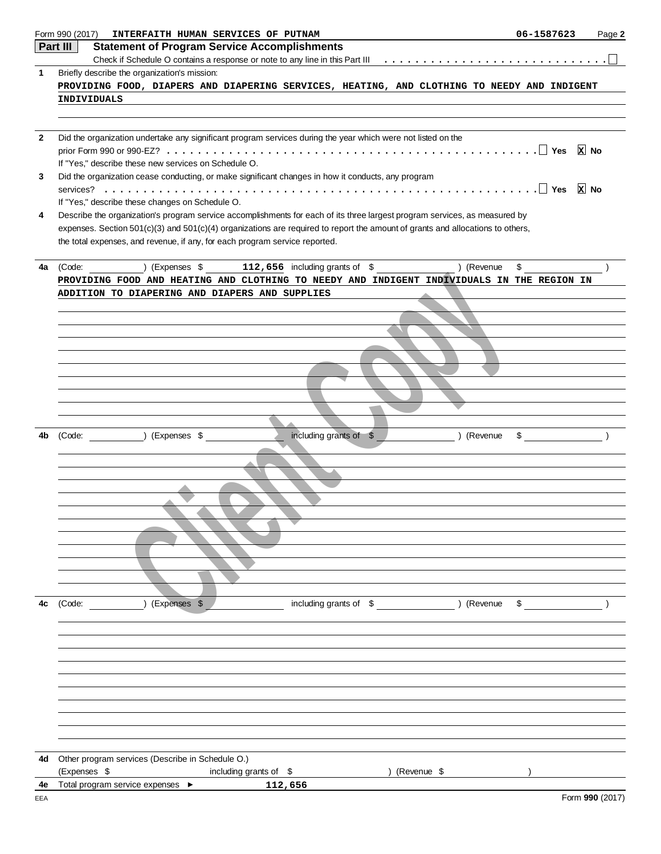|              | Form 990 (2017)<br>INTERFAITH HUMAN SERVICES OF PUTNAM                                                                         | 06-1587623    | Page 2          |
|--------------|--------------------------------------------------------------------------------------------------------------------------------|---------------|-----------------|
|              | Part III<br><b>Statement of Program Service Accomplishments</b>                                                                |               |                 |
|              |                                                                                                                                |               |                 |
| $\mathbf 1$  | Briefly describe the organization's mission:                                                                                   |               |                 |
|              | PROVIDING FOOD, DIAPERS AND DIAPERING SERVICES, HEATING, AND CLOTHING TO NEEDY AND INDIGENT                                    |               |                 |
|              | <b>INDIVIDUALS</b>                                                                                                             |               |                 |
|              |                                                                                                                                |               |                 |
|              |                                                                                                                                |               |                 |
| $\mathbf{2}$ | Did the organization undertake any significant program services during the year which were not listed on the                   |               |                 |
|              | If "Yes," describe these new services on Schedule O.                                                                           |               |                 |
| 3            | Did the organization cease conducting, or make significant changes in how it conducts, any program                             |               |                 |
|              |                                                                                                                                |               |                 |
|              | If "Yes," describe these changes on Schedule O.                                                                                |               |                 |
| 4            | Describe the organization's program service accomplishments for each of its three largest program services, as measured by     |               |                 |
|              | expenses. Section 501(c)(3) and 501(c)(4) organizations are required to report the amount of grants and allocations to others, |               |                 |
|              | the total expenses, and revenue, if any, for each program service reported.                                                    |               |                 |
|              |                                                                                                                                |               |                 |
| 4a           | ) (Expenses $$$ 112, 656 including grants of $$$<br>) (Revenue<br>(Code:                                                       | \$            |                 |
|              | PROVIDING FOOD AND HEATING AND CLOTHING TO NEEDY AND INDIGENT INDIVIDUALS IN THE REGION IN                                     |               |                 |
|              | ADDITION TO DIAPERING AND DIAPERS AND SUPPLIES                                                                                 |               |                 |
|              |                                                                                                                                |               |                 |
|              |                                                                                                                                |               |                 |
|              |                                                                                                                                |               |                 |
|              |                                                                                                                                |               |                 |
|              |                                                                                                                                |               |                 |
|              |                                                                                                                                |               |                 |
|              |                                                                                                                                |               |                 |
|              |                                                                                                                                |               |                 |
|              |                                                                                                                                |               |                 |
| 4b           | including grants of \$<br>(Code: ) (Expenses \$<br>) (Revenue                                                                  | $\mathfrak s$ |                 |
|              |                                                                                                                                |               |                 |
|              |                                                                                                                                |               |                 |
|              |                                                                                                                                |               |                 |
|              |                                                                                                                                |               |                 |
|              |                                                                                                                                |               |                 |
|              |                                                                                                                                |               |                 |
|              |                                                                                                                                |               |                 |
|              |                                                                                                                                |               |                 |
|              |                                                                                                                                |               |                 |
|              |                                                                                                                                |               |                 |
|              |                                                                                                                                |               |                 |
|              |                                                                                                                                |               |                 |
| 4c           | (Expenses \$<br>including grants of \$<br>) (Revenue<br>(Code:                                                                 | \$            |                 |
|              |                                                                                                                                |               |                 |
|              |                                                                                                                                |               |                 |
|              |                                                                                                                                |               |                 |
|              |                                                                                                                                |               |                 |
|              |                                                                                                                                |               |                 |
|              |                                                                                                                                |               |                 |
|              |                                                                                                                                |               |                 |
|              |                                                                                                                                |               |                 |
|              |                                                                                                                                |               |                 |
|              |                                                                                                                                |               |                 |
| 4d           | Other program services (Describe in Schedule O.)                                                                               |               |                 |
|              | (Expenses \$<br>including grants of \$<br>) (Revenue \$                                                                        |               |                 |
| 4e           | Total program service expenses ▶<br>112,656                                                                                    |               |                 |
| EEA          |                                                                                                                                |               | Form 990 (2017) |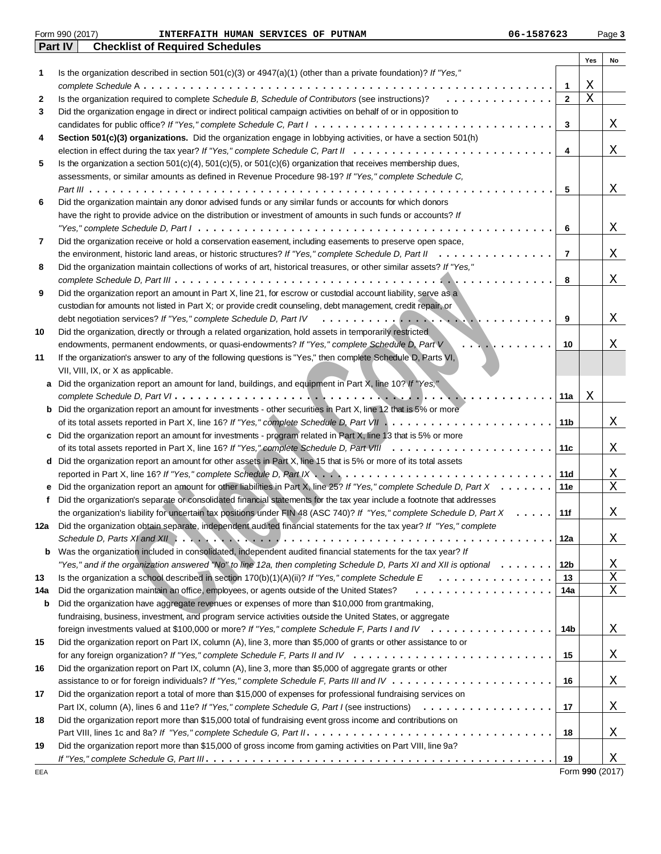|     | Form 990 (2017)<br>06-1587623<br>INTERFAITH HUMAN SERVICES OF PUTNAM                                                                                                                                                                                                                                                                        |                |     | Page 3          |
|-----|---------------------------------------------------------------------------------------------------------------------------------------------------------------------------------------------------------------------------------------------------------------------------------------------------------------------------------------------|----------------|-----|-----------------|
|     | Part IV<br><b>Checklist of Required Schedules</b>                                                                                                                                                                                                                                                                                           |                |     |                 |
|     |                                                                                                                                                                                                                                                                                                                                             |                | Yes | No              |
| 1   | Is the organization described in section $501(c)(3)$ or $4947(a)(1)$ (other than a private foundation)? If "Yes,"                                                                                                                                                                                                                           |                |     |                 |
|     |                                                                                                                                                                                                                                                                                                                                             | 1              | Χ   |                 |
| 2   | Is the organization required to complete Schedule B, Schedule of Contributors (see instructions)?<br>.                                                                                                                                                                                                                                      | $\mathbf{2}$   | Χ   |                 |
| 3   | Did the organization engage in direct or indirect political campaign activities on behalf of or in opposition to                                                                                                                                                                                                                            |                |     |                 |
|     |                                                                                                                                                                                                                                                                                                                                             | 3              |     | X               |
| 4   | Section 501(c)(3) organizations. Did the organization engage in lobbying activities, or have a section 501(h)                                                                                                                                                                                                                               |                |     |                 |
|     |                                                                                                                                                                                                                                                                                                                                             | 4              |     | Χ               |
| 5   | Is the organization a section $501(c)(4)$ , $501(c)(5)$ , or $501(c)(6)$ organization that receives membership dues,                                                                                                                                                                                                                        |                |     |                 |
|     | assessments, or similar amounts as defined in Revenue Procedure 98-19? If "Yes," complete Schedule C,                                                                                                                                                                                                                                       |                |     |                 |
|     |                                                                                                                                                                                                                                                                                                                                             | 5              |     | Χ               |
| 6   | Did the organization maintain any donor advised funds or any similar funds or accounts for which donors                                                                                                                                                                                                                                     |                |     |                 |
|     |                                                                                                                                                                                                                                                                                                                                             |                |     |                 |
|     | have the right to provide advice on the distribution or investment of amounts in such funds or accounts? If                                                                                                                                                                                                                                 |                |     |                 |
|     |                                                                                                                                                                                                                                                                                                                                             | 6              |     | Χ               |
| 7   | Did the organization receive or hold a conservation easement, including easements to preserve open space,                                                                                                                                                                                                                                   |                |     |                 |
|     |                                                                                                                                                                                                                                                                                                                                             | $\overline{7}$ |     | Χ               |
| 8   | Did the organization maintain collections of works of art, historical treasures, or other similar assets? If "Yes,"                                                                                                                                                                                                                         |                |     |                 |
|     |                                                                                                                                                                                                                                                                                                                                             | 8              |     | Χ               |
| 9   | Did the organization report an amount in Part X, line 21, for escrow or custodial account liability, serve as a                                                                                                                                                                                                                             |                |     |                 |
|     | custodian for amounts not listed in Part X; or provide credit counseling, debt management, credit repair, or                                                                                                                                                                                                                                |                |     |                 |
|     | debt negotiation services? If "Yes," complete Schedule D, Part IV                                                                                                                                                                                                                                                                           | 9              |     | Χ               |
| 10  | Did the organization, directly or through a related organization, hold assets in temporarily restricted                                                                                                                                                                                                                                     |                |     |                 |
|     | endowments, permanent endowments, or quasi-endowments? If "Yes," complete Schedule D, Part V<br>.                                                                                                                                                                                                                                           | 10             |     | Χ               |
| 11  | If the organization's answer to any of the following questions is "Yes," then complete Schedule D, Parts VI,                                                                                                                                                                                                                                |                |     |                 |
|     | VII, VIII, IX, or X as applicable.                                                                                                                                                                                                                                                                                                          |                |     |                 |
|     | a Did the organization report an amount for land, buildings, and equipment in Part X, line 10? If "Yes,"                                                                                                                                                                                                                                    |                |     |                 |
|     |                                                                                                                                                                                                                                                                                                                                             | 11a            | Χ   |                 |
|     | <b>b</b> Did the organization report an amount for investments - other securities in Part X, line 12 that is 5% or more                                                                                                                                                                                                                     |                |     |                 |
|     |                                                                                                                                                                                                                                                                                                                                             | 11b            |     | Χ               |
|     | c Did the organization report an amount for investments - program related in Part X, line 13 that is 5% or more                                                                                                                                                                                                                             |                |     |                 |
|     |                                                                                                                                                                                                                                                                                                                                             | 11c            |     | X               |
|     | d Did the organization report an amount for other assets in Part X, line 15 that is 5% or more of its total assets                                                                                                                                                                                                                          |                |     |                 |
|     |                                                                                                                                                                                                                                                                                                                                             | 11d            |     | Χ               |
|     | Did the organization report an amount for other liabilities in Part X, line 25? If "Yes," complete Schedule D, Part X                                                                                                                                                                                                                       | 11e            |     | Χ               |
|     |                                                                                                                                                                                                                                                                                                                                             |                |     |                 |
|     | Did the organization's separate or consolidated financial statements for the tax year include a footnote that addresses                                                                                                                                                                                                                     |                |     |                 |
|     | the organization's liability for uncertain tax positions under FIN 48 (ASC 740)? If "Yes," complete Schedule D, Part X                                                                                                                                                                                                                      | 11f            |     | Χ               |
| 12a | Did the organization obtain separate, independent audited financial statements for the tax year? If "Yes," complete                                                                                                                                                                                                                         |                |     |                 |
|     | Schedule D, Parts XI and XII $\ldots$ , $\ldots$ , $\ldots$ , $\ldots$ , $\ldots$ , $\ldots$ , $\ldots$ , $\ldots$ , $\ldots$ , $\ldots$ , $\ldots$ , $\ldots$ , $\ldots$ , $\ldots$ , $\ldots$ , $\ldots$ , $\ldots$ , $\ldots$ , $\ldots$ , $\ldots$ , $\ldots$ , $\ldots$ , $\ldots$ , $\ldots$ , $\ldots$ , $\ldots$ , $\ldots$ , $\ld$ | 12a            |     | X               |
| b   | Was the organization included in consolidated, independent audited financial statements for the tax year? If                                                                                                                                                                                                                                |                |     |                 |
|     | "Yes," and if the organization answered "No" to line 12a, then completing Schedule D, Parts XI and XII is optional                                                                                                                                                                                                                          | 12b            |     | Χ               |
| 13  |                                                                                                                                                                                                                                                                                                                                             | 13             |     | Χ               |
| 14a | Did the organization maintain an office, employees, or agents outside of the United States?<br>.                                                                                                                                                                                                                                            | 14a            |     | Χ               |
| b   | Did the organization have aggregate revenues or expenses of more than \$10,000 from grantmaking,                                                                                                                                                                                                                                            |                |     |                 |
|     | fundraising, business, investment, and program service activities outside the United States, or aggregate                                                                                                                                                                                                                                   |                |     |                 |
|     | foreign investments valued at \$100,000 or more? If "Yes," complete Schedule F, Parts I and IV                                                                                                                                                                                                                                              | 14b            |     | Χ               |
| 15  | Did the organization report on Part IX, column (A), line 3, more than \$5,000 of grants or other assistance to or                                                                                                                                                                                                                           |                |     |                 |
|     |                                                                                                                                                                                                                                                                                                                                             | 15             |     | Χ               |
| 16  | Did the organization report on Part IX, column (A), line 3, more than \$5,000 of aggregate grants or other                                                                                                                                                                                                                                  |                |     |                 |
|     |                                                                                                                                                                                                                                                                                                                                             | 16             |     | X               |
| 17  | Did the organization report a total of more than \$15,000 of expenses for professional fundraising services on                                                                                                                                                                                                                              |                |     |                 |
|     |                                                                                                                                                                                                                                                                                                                                             | 17             |     | Χ               |
| 18  | Did the organization report more than \$15,000 total of fundraising event gross income and contributions on                                                                                                                                                                                                                                 |                |     |                 |
|     |                                                                                                                                                                                                                                                                                                                                             | 18             |     | Χ               |
| 19  | Did the organization report more than \$15,000 of gross income from gaming activities on Part VIII, line 9a?                                                                                                                                                                                                                                |                |     |                 |
|     |                                                                                                                                                                                                                                                                                                                                             | 19             |     | Χ               |
| EEA |                                                                                                                                                                                                                                                                                                                                             |                |     | Form 990 (2017) |
|     |                                                                                                                                                                                                                                                                                                                                             |                |     |                 |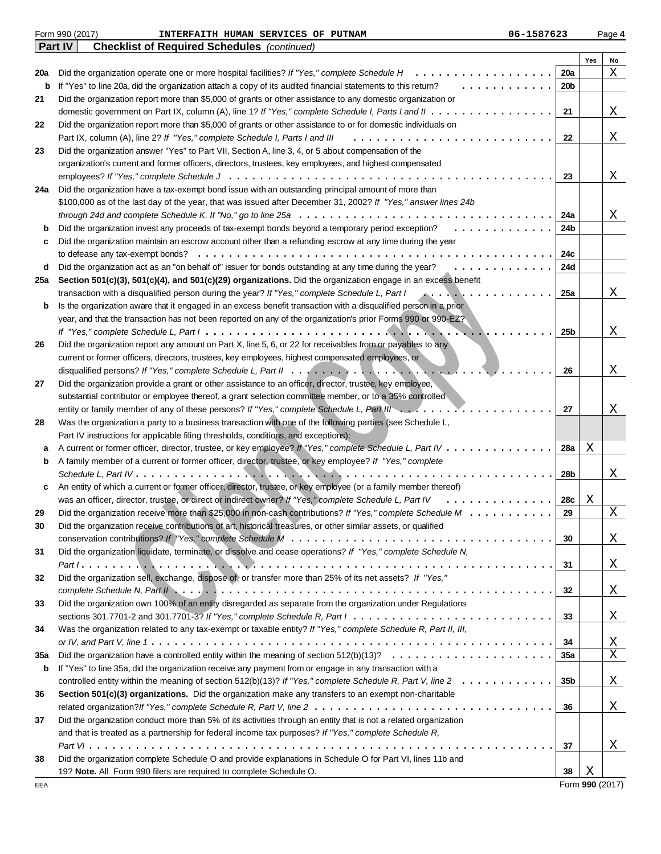|     | Form 990 (2017)<br>06-1587623<br>INTERFAITH HUMAN SERVICES OF PUTNAM                                                                                |                 |     | Page 4 |
|-----|-----------------------------------------------------------------------------------------------------------------------------------------------------|-----------------|-----|--------|
|     | Part IV<br><b>Checklist of Required Schedules</b> (continued)                                                                                       |                 |     |        |
|     |                                                                                                                                                     |                 | Yes | No     |
| 20a | Did the organization operate one or more hospital facilities? If "Yes," complete Schedule H<br>.                                                    | 20a             |     | Χ      |
| b   | If "Yes" to line 20a, did the organization attach a copy of its audited financial statements to this retum?                                         | 20 <sub>b</sub> |     |        |
| 21  | Did the organization report more than \$5,000 of grants or other assistance to any domestic organization or                                         |                 |     |        |
|     |                                                                                                                                                     | 21              |     | Χ      |
| 22  | Did the organization report more than \$5,000 of grants or other assistance to or for domestic individuals on                                       |                 |     |        |
|     | Part IX, column (A), line 2? If "Yes," complete Schedule I, Parts I and III<br>.                                                                    | 22              |     | Χ      |
| 23  | Did the organization answer "Yes" to Part VII, Section A, line 3, 4, or 5 about compensation of the                                                 |                 |     |        |
|     | organization's current and former officers, directors, trustees, key employees, and highest compensated                                             |                 |     |        |
|     |                                                                                                                                                     | 23              |     | Χ      |
| 24a | Did the organization have a tax-exempt bond issue with an outstanding principal amount of more than                                                 |                 |     |        |
|     | \$100,000 as of the last day of the year, that was issued after December 31, 2002? If "Yes," answer lines 24b                                       |                 |     |        |
|     | through 24d and complete Schedule K. If "No," go to line 25a $\dots \dots \dots \dots \dots \dots \dots \dots \dots \dots \dots \dots \dots$        | 24a             |     | Χ      |
| b   | Did the organization invest any proceeds of tax-exempt bonds beyond a temporary period exception?<br>.                                              | 24b             |     |        |
|     | Did the organization maintain an escrow account other than a refunding escrow at any time during the year                                           |                 |     |        |
| c   | to defease any tax-exempt bonds?                                                                                                                    | 24c             |     |        |
|     |                                                                                                                                                     |                 |     |        |
| d   | Did the organization act as an "on behalf of" issuer for bonds outstanding at any time during the year?<br>.                                        | 24d             |     |        |
| 25a | Section 501(c)(3), 501(c)(4), and 501(c)(29) organizations. Did the organization engage in an excess benefit                                        |                 |     |        |
|     | transaction with a disqualified person during the year? If "Yes," complete Schedule L, Part I<br>A.                                                 | 25a             |     | Χ      |
| b   | Is the organization aware that it engaged in an excess benefit transaction with a disqualified person in a prior                                    |                 |     |        |
|     | year, and that the transaction has not been reported on any of the organization's prior Forms 990 or 990-EZ?                                        |                 |     |        |
|     |                                                                                                                                                     | 25b             |     | Χ      |
| 26  | Did the organization report any amount on Part X, line 5, 6, or 22 for receivables from or payables to any                                          |                 |     |        |
|     | current or former officers, directors, trustees, key employees, highest compensated employees, or                                                   |                 |     |        |
|     |                                                                                                                                                     | 26              |     | Χ      |
| 27  | Did the organization provide a grant or other assistance to an officer, director, trustee, key employee,                                            |                 |     |        |
|     | substantial contributor or employee thereof, a grant selection committee member, or to a 35% controlled                                             |                 |     |        |
|     | entity or family member of any of these persons? If "Yes," complete Schedule L, Part III                                                            | 27              |     | Χ      |
| 28  | Was the organization a party to a business transaction with one of the following parties (see Schedule L,                                           |                 |     |        |
|     | Part IV instructions for applicable filing thresholds, conditions, and exceptions):                                                                 |                 |     |        |
| а   | A current or former officer, director, trustee, or key employee? If "Yes," complete Schedule L, Part IV                                             | 28a             | Χ   |        |
| b   | A family member of a current or former officer, director, trustee, or key employee? If "Yes," complete                                              |                 |     |        |
|     |                                                                                                                                                     | 28b             |     | Χ      |
| c   | An entity of which a current or former officer, director, trustee, or key employee (or a family member thereof)                                     |                 |     |        |
|     | was an officer, director, trustee, or direct or indirect owner? If "Yes," complete Schedule L, Part IV<br>.                                         | 28c             | Х   |        |
| 29  | Did the organization receive more than \$25,000 in non-cash contributions? If "Yes," complete Schedule M                                            | 29              |     | Χ      |
| 30  | Did the organization receive contributions of art, historical treasures, or other similar assets, or qualified                                      |                 |     |        |
|     |                                                                                                                                                     | 30              |     |        |
|     | Did the organization liquidate, terminate, or dissolve and cease operations? If "Yes," complete Schedule N,                                         |                 |     | X      |
| 31  |                                                                                                                                                     |                 |     |        |
|     |                                                                                                                                                     | 31              |     | Χ      |
| 32  | Did the organization sell, exchange, dispose of, or transfer more than 25% of its net assets? If "Yes,"                                             |                 |     |        |
|     |                                                                                                                                                     | 32              |     | Χ      |
| 33  | Did the organization own 100% of an entity disregarded as separate from the organization under Regulations                                          |                 |     |        |
|     | sections 301.7701-2 and 301.7701-3? If "Yes," complete Schedule R, Part $1, \ldots, \ldots, \ldots, \ldots, \ldots, \ldots, \ldots, \ldots, \ldots$ | 33              |     | Χ      |
| 34  | Was the organization related to any tax-exempt or taxable entity? If "Yes," complete Schedule R, Part II, III,                                      |                 |     |        |
|     |                                                                                                                                                     | 34              |     | Χ      |
| 35a | Did the organization have a controlled entity within the meaning of section $512(b)(13)? \ldots \ldots \ldots \ldots \ldots \ldots \ldots$          | 35a             |     | Χ      |
| b   | If "Yes" to line 35a, did the organization receive any payment from or engage in any transaction with a                                             |                 |     |        |
|     | controlled entity within the meaning of section $512(b)(13)?$ If "Yes," complete Schedule R, Part V, line $2 \ldots \ldots \ldots \ldots$           | 35b             |     | X      |
| 36  | Section 501(c)(3) organizations. Did the organization make any transfers to an exempt non-charitable                                                |                 |     |        |
|     |                                                                                                                                                     | 36              |     | Χ      |
| 37  | Did the organization conduct more than 5% of its activities through an entity that is not a related organization                                    |                 |     |        |
|     | and that is treated as a partnership for federal income tax purposes? If "Yes," complete Schedule R,                                                |                 |     |        |
|     |                                                                                                                                                     | 37              |     | Χ      |
| 38  | Did the organization complete Schedule O and provide explanations in Schedule O for Part VI, lines 11b and                                          |                 |     |        |
|     | 19? Note. All Form 990 filers are required to complete Schedule O.                                                                                  | 38              | Χ   |        |
|     |                                                                                                                                                     |                 |     |        |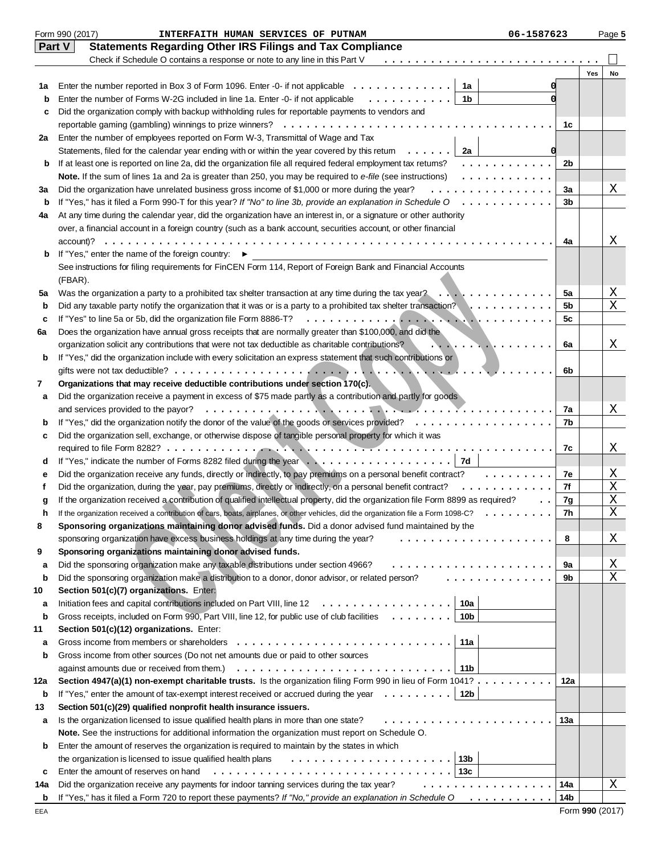|               | Form 990 (2017)<br>INTERFAITH HUMAN SERVICES OF PUTNAM<br>06-1587623                                                                    |          |     | Page 5 |
|---------------|-----------------------------------------------------------------------------------------------------------------------------------------|----------|-----|--------|
| <b>Part V</b> | <b>Statements Regarding Other IRS Filings and Tax Compliance</b>                                                                        |          |     |        |
|               | Check if Schedule O contains a response or note to any line in this Part V                                                              |          |     |        |
|               |                                                                                                                                         |          | Yes | No     |
| 1а            | 1a<br>Enter the number reported in Box 3 of Form 1096. Enter -0- if not applicable $\dots \dots \dots \dots$                            |          |     |        |
| b             | Enter the number of Forms W-2G included in line 1a. Enter -0- if not applicable<br>.<br>1b                                              |          |     |        |
| c             | Did the organization comply with backup withholding rules for reportable payments to vendors and                                        |          |     |        |
|               | reportable gaming (gambling) winnings to prize winners? $\ldots \ldots \ldots \ldots \ldots \ldots \ldots \ldots$                       | 1c       |     |        |
| 2a            | Enter the number of employees reported on Form W-3, Transmittal of Wage and Tax                                                         |          |     |        |
|               | Statements, filed for the calendar year ending with or within the year covered by this retum $\dots \dots$<br>2a                        |          |     |        |
| b             | If at least one is reported on line 2a, did the organization file all required federal employment tax returns?<br>.                     | 2b       |     |        |
|               | Note. If the sum of lines 1a and 2a is greater than 250, you may be required to e-file (see instructions)<br>.                          |          |     |        |
| За            | Did the organization have unrelated business gross income of \$1,000 or more during the year?<br>.                                      | За       |     | Χ      |
| b             | If "Yes," has it filed a Form 990-T for this year? If "No" to line 3b, provide an explanation in Schedule O                             | 3b       |     |        |
| 4a            | At any time during the calendar year, did the organization have an interest in, or a signature or other authority                       |          |     |        |
|               | over, a financial account in a foreign country (such as a bank account, securities account, or other financial                          |          |     |        |
|               | $account?$<br>.                                                                                                                         | 4a       |     | X      |
| b             | If "Yes," enter the name of the foreign country: ▶                                                                                      |          |     |        |
|               | See instructions for filing requirements for FinCEN Form 114, Report of Foreign Bank and Financial Accounts                             |          |     |        |
|               | (FBAR).                                                                                                                                 |          |     |        |
| 5а            | Was the organization a party to a prohibited tax shelter transaction at any time during the tax year? $\ldots \ldots \ldots$            | 5a       |     | Χ      |
| b             | Did any taxable party notify the organization that it was or is a party to a prohibited tax shelter transaction? $\ldots \ldots \ldots$ | 5b       |     | X      |
| c             |                                                                                                                                         | 5c       |     |        |
| 6a            | Does the organization have annual gross receipts that are normally greater than \$100,000, and did the                                  |          |     |        |
|               | organization solicit any contributions that were not tax deductible as charitable contributions?                                        | 6a       |     | Χ      |
| b             | If "Yes," did the organization include with every solicitation an express statement that such contributions or                          |          |     |        |
|               | $\cdot$ $\cdot$ $\cdot$ $\cdot$                                                                                                         | 6b       |     |        |
| 7             | Organizations that may receive deductible contributions under section 170(c).                                                           |          |     |        |
| а             | Did the organization receive a payment in excess of \$75 made partly as a contribution and partly for goods                             |          |     |        |
|               | and services provided to the payor?<br>.                                                                                                | 7a       |     | X      |
| b             |                                                                                                                                         | 7b       |     |        |
| c             | Did the organization sell, exchange, or otherwise dispose of tangible personal property for which it was                                |          |     |        |
|               |                                                                                                                                         | 7c       |     | Χ      |
| d             |                                                                                                                                         |          |     |        |
| е             | Did the organization receive any funds, directly or indirectly, to pay premiums on a personal benefit contract?<br>.                    | 7e       |     | Χ      |
| f             | Did the organization, during the year, pay premiums, directly or indirectly, on a personal benefit contract?<br>.                       | 7f       |     | Χ      |
| g             | If the organization received a contribution of qualified intellectual property, did the organization file Form 8899 as required?        | 7g       |     | X      |
| h             | If the organization received a contribution of cars, boats, airplanes, or other vehicles, did the organization file a Form 1098-C?      | 7h       |     | Χ      |
| 8             | Sponsoring organizations maintaining donor advised funds. Did a donor advised fund maintained by the                                    |          |     |        |
|               | sponsoring organization have excess business holdings at any time during the year?<br>.                                                 | 8        |     | Χ      |
| 9             | Sponsoring organizations maintaining donor advised funds.                                                                               |          |     | Χ      |
| a             | Did the sponsoring organization make any taxable distributions under section 4966?<br>.                                                 | 9a<br>9b |     | X      |
| b             | Did the sponsoring organization make a distribution to a donor, donor advisor, or related person?                                       |          |     |        |
| 10<br>а       | Section 501(c)(7) organizations. Enter:<br>Initiation fees and capital contributions included on Part VIII, line 12<br>10a<br>.         |          |     |        |
| b             | Gross receipts, included on Form 990, Part VIII, line 12, for public use of club facilities<br>10 <sub>b</sub><br>$\mathbf{r}$          |          |     |        |
| 11            | Section 501(c)(12) organizations. Enter:                                                                                                |          |     |        |
| а             | Gross income from members or shareholders<br>11a                                                                                        |          |     |        |
| b             | Gross income from other sources (Do not net amounts due or paid to other sources                                                        |          |     |        |
|               | against amounts due or received from them.)<br>11b                                                                                      |          |     |        |
| 12a           | Section 4947(a)(1) non-exempt charitable trusts. Is the organization filing Form 990 in lieu of Form 1041?                              | 12a      |     |        |
| b             | If "Yes," enter the amount of tax-exempt interest received or accrued during the year $\dots \dots$<br>12b                              |          |     |        |
| 13            | Section 501(c)(29) qualified nonprofit health insurance issuers.                                                                        |          |     |        |
| а             | Is the organization licensed to issue qualified health plans in more than one state?<br>.                                               | 13а      |     |        |
|               | Note. See the instructions for additional information the organization must report on Schedule O.                                       |          |     |        |
| b             | Enter the amount of reserves the organization is required to maintain by the states in which                                            |          |     |        |
|               | 13 <sub>b</sub><br>the organization is licensed to issue qualified health plans                                                         |          |     |        |
| c             | Enter the amount of reserves on hand<br>13с                                                                                             |          |     |        |
| 14a           | Did the organization receive any payments for indoor tanning services during the tax year?<br>.                                         | 14a      |     | Χ      |
| b             | If "Yes," has it filed a Form 720 to report these payments? If "No," provide an explanation in Schedule O<br>.                          | 14b      |     |        |
|               |                                                                                                                                         |          |     |        |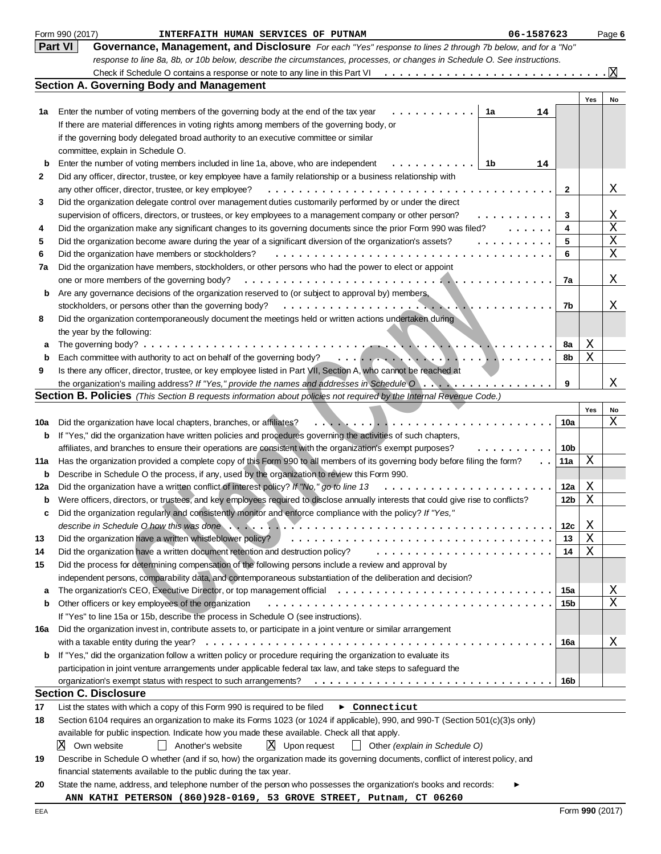|     | Form 990 (2017)<br>06-1587623<br>INTERFAITH HUMAN SERVICES OF PUTNAM                                                                           |              |     | Page 6 |
|-----|------------------------------------------------------------------------------------------------------------------------------------------------|--------------|-----|--------|
|     | Part VI<br>Governance, Management, and Disclosure For each "Yes" response to lines 2 through 7b below, and for a "No"                          |              |     |        |
|     | response to line 8a, 8b, or 10b below, describe the circumstances, processes, or changes in Schedule O. See instructions.                      |              |     |        |
|     | Check if Schedule O contains a response or note to any line in this Part VI                                                                    |              |     | X      |
|     | <b>Section A. Governing Body and Management</b>                                                                                                |              |     |        |
|     |                                                                                                                                                |              | Yes | No     |
| 1а  | Enter the number of voting members of the governing body at the end of the tax year<br>1a<br>14                                                |              |     |        |
|     | If there are material differences in voting rights among members of the governing body, or                                                     |              |     |        |
|     | if the governing body delegated broad authority to an executive committee or similar                                                           |              |     |        |
|     | committee, explain in Schedule O.                                                                                                              |              |     |        |
| b   | Enter the number of voting members included in line 1a, above, who are independent<br>1b<br>14                                                 |              |     |        |
| 2   | Did any officer, director, trustee, or key employee have a family relationship or a business relationship with                                 |              |     |        |
|     | any other officer, director, trustee, or key employee?                                                                                         | $\mathbf{2}$ |     | Χ      |
| 3   | Did the organization delegate control over management duties customarily performed by or under the direct                                      |              |     |        |
|     | supervision of officers, directors, or trustees, or key employees to a management company or other person?                                     | 3            |     | Χ      |
| 4   | Did the organization make any significant changes to its governing documents since the prior Form 990 was filed?<br>1.1.1.1.1                  | 4            |     | Χ      |
| 5   | Did the organization become aware during the year of a significant diversion of the organization's assets?<br>.                                | 5            |     | Χ      |
| 6   | Did the organization have members or stockholders?                                                                                             | 6            |     | Χ      |
| 7a  | Did the organization have members, stockholders, or other persons who had the power to elect or appoint                                        |              |     |        |
|     | one or more members of the governing body?                                                                                                     | 7a           |     | Χ      |
|     | Are any governance decisions of the organization reserved to (or subject to approval by) members,                                              |              |     |        |
| b   |                                                                                                                                                |              |     | Χ      |
|     | stockholders, or persons other than the governing body?                                                                                        | 7b           |     |        |
| 8   | Did the organization contemporaneously document the meetings held or written actions undertaken during                                         |              |     |        |
|     | the year by the following:                                                                                                                     |              |     |        |
| а   |                                                                                                                                                | 8a           | Χ   |        |
| b   | Each committee with authority to act on behalf of the governing body?                                                                          | 8b           | X.  |        |
| 9   | Is there any officer, director, trustee, or key employee listed in Part VII, Section A, who cannot be reached at                               |              |     |        |
|     |                                                                                                                                                | 9            |     | Χ      |
|     | <b>Section B. Policies</b> (This Section B requests information about policies not required by the Internal Revenue Code.)                     |              |     |        |
|     |                                                                                                                                                |              | Yes | No     |
| 10a | Did the organization have local chapters, branches, or affiliates?                                                                             | 10a          |     | Χ      |
| b   | If "Yes," did the organization have written policies and procedures governing the activities of such chapters,                                 |              |     |        |
|     | affiliates, and branches to ensure their operations are consistent with the organization's exempt purposes?                                    | 10b          |     |        |
| 11a | Has the organization provided a complete copy of this Form 990 to all members of its governing body before filing the form?                    | 11a          | Χ   |        |
| b   | Describe in Schedule O the process, if any, used by the organization to review this Form 990.                                                  |              |     |        |
| 12a | Did the organization have a written conflict of interest policy? If "No," go to line 13                                                        | 12a          | Χ   |        |
| b   | Were officers, directors, or trustees, and key employees required to disclose annually interests that could give rise to conflicts?            | 12b          | Χ   |        |
|     | Did the organization regularly and consistently monitor and enforce compliance with the policy? If "Yes,"                                      |              |     |        |
|     |                                                                                                                                                | 12c          | Χ   |        |
| 13  | Did the organization have a written whistleblower policy?                                                                                      | 13           | Χ   |        |
| 14  | Did the organization have a written document retention and destruction policy?                                                                 | 14           | Χ   |        |
| 15  | Did the process for determining compensation of the following persons include a review and approval by                                         |              |     |        |
|     | independent persons, comparability data, and contemporaneous substantiation of the deliberation and decision?                                  |              |     |        |
| a   | The organization's CEO, Executive Director, or top management official                                                                         | 15a          |     | X      |
| b   | Other officers or key employees of the organization                                                                                            | 15b          |     | Χ      |
|     | If "Yes" to line 15a or 15b, describe the process in Schedule O (see instructions).                                                            |              |     |        |
| 16a | Did the organization invest in, contribute assets to, or participate in a joint venture or similar arrangement                                 |              |     |        |
|     |                                                                                                                                                | 16a          |     | Χ      |
| b   | If "Yes," did the organization follow a written policy or procedure requiring the organization to evaluate its                                 |              |     |        |
|     | participation in joint venture arrangements under applicable federal tax law, and take steps to safeguard the                                  |              |     |        |
|     | organization's exempt status with respect to such arrangements? $\ldots \ldots \ldots \ldots \ldots \ldots \ldots \ldots \ldots \ldots \ldots$ | 16b          |     |        |
|     | <b>Section C. Disclosure</b>                                                                                                                   |              |     |        |
| 17  | List the states with which a copy of this Form 990 is required to be filed<br>$\blacktriangleright$ Connecticut                                |              |     |        |
| 18  | Section 6104 requires an organization to make its Forms 1023 (or 1024 if applicable), 990, and 990-T (Section 501(c)(3)s only)                 |              |     |        |
|     | available for public inspection. Indicate how you made these available. Check all that apply.                                                  |              |     |        |
|     | X<br>$X$ Upon request<br>Own website<br>Another's website<br>$\Box$ Other (explain in Schedule O)                                              |              |     |        |
| 19  | Describe in Schedule O whether (and if so, how) the organization made its governing documents, conflict of interest policy, and                |              |     |        |
|     | financial statements available to the public during the tax year.                                                                              |              |     |        |
| 20  | State the name, address, and telephone number of the person who possesses the organization's books and records:                                |              |     |        |
|     | ANN KATHI PETERSON (860)928-0169, 53 GROVE STREET, Putnam, CT 06260                                                                            |              |     |        |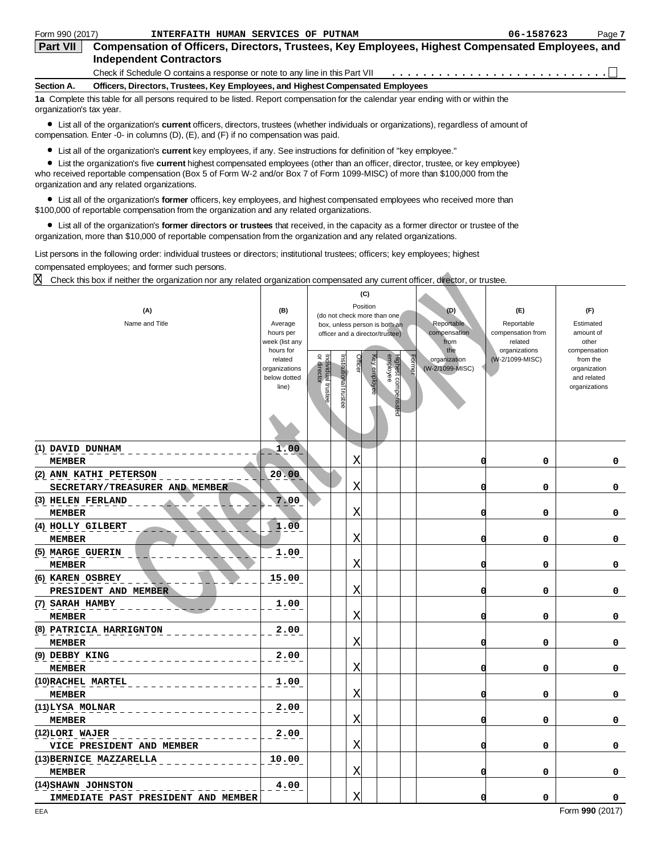| Form 990 (2017)                                                                               | INTERFAITH HUMAN SERVICES OF PUTNAM                                                                                               | 06-1587623 | Page 7 |  |  |  |  |
|-----------------------------------------------------------------------------------------------|-----------------------------------------------------------------------------------------------------------------------------------|------------|--------|--|--|--|--|
| <b>Part VII</b>                                                                               | Compensation of Officers, Directors, Trustees, Key Employees, Highest Compensated Employees, and                                  |            |        |  |  |  |  |
| <b>Independent Contractors</b>                                                                |                                                                                                                                   |            |        |  |  |  |  |
|                                                                                               |                                                                                                                                   |            |        |  |  |  |  |
| Section A.<br>Officers, Directors, Trustees, Key Employees, and Highest Compensated Employees |                                                                                                                                   |            |        |  |  |  |  |
| organization's tax year.                                                                      | 1a Complete this table for all persons required to be listed. Report compensation for the calendar year ending with or within the |            |        |  |  |  |  |

List all of the organization's **current** officers, directors, trustees (whether individuals or organizations), regardless of amount of compensation. Enter -0- in columns (D), (E), and (F) if no compensation was paid.

List all of the organization's **current** key employees, if any. See instructions for definition of "key employee."

List the organization's five **current** highest compensated employees (other than an officer, director, trustee, or key employee) who received reportable compensation (Box 5 of Form W-2 and/or Box 7 of Form 1099-MISC) of more than \$100,000 from the organization and any related organizations.

List all of the organization's **former** officers, key employees, and highest compensated employees who received more than \$100,000 of reportable compensation from the organization and any related organizations.

List all of the organization's **former directors or trustees** that received, in the capacity as a former director or trustee of the organization, more than \$10,000 of reportable compensation from the organization and any related organizations.

List persons in the following order: individual trustees or directors; institutional trustees; officers; key employees; highest compensated employees; and former such persons.

| X<br>Check this box if neither the organization nor any related organization compensated any current officer, director, or trustee. |                                                                                                                 |                                                          |                                                                                                                                                                                         |                                                                                     |                                                                                       |                                                                                                                    |
|-------------------------------------------------------------------------------------------------------------------------------------|-----------------------------------------------------------------------------------------------------------------|----------------------------------------------------------|-----------------------------------------------------------------------------------------------------------------------------------------------------------------------------------------|-------------------------------------------------------------------------------------|---------------------------------------------------------------------------------------|--------------------------------------------------------------------------------------------------------------------|
| (A)<br>Name and Title                                                                                                               | (B)<br>Average<br>hours per<br>week (list any<br>hours for<br>related<br>organizations<br>below dotted<br>line) | or director<br>nstitutional trustee<br>ndividual trustee | (C)<br>Position<br>(do not check more than one<br>box, unless person is both an<br>officer and a director/trustee)<br>Highest compensated<br>employee<br>Officer<br><b>Key employee</b> | (D)<br>Reportable<br>compensation<br>from<br>the<br>organization<br>(W-2/1099-MISC) | (E)<br>Reportable<br>compensation from<br>related<br>organizations<br>(W-2/1099-MISC) | (F)<br>Estimated<br>amount of<br>other<br>compensation<br>from the<br>organization<br>and related<br>organizations |
| (1) DAVID DUNHAM                                                                                                                    | 1.00                                                                                                            |                                                          |                                                                                                                                                                                         |                                                                                     |                                                                                       |                                                                                                                    |
| <b>MEMBER</b>                                                                                                                       |                                                                                                                 |                                                          | Χ                                                                                                                                                                                       | O                                                                                   | 0                                                                                     | 0                                                                                                                  |
| (2) ANN KATHI PETERSON<br>SECRETARY/TREASURER AND MEMBER                                                                            | 20.00                                                                                                           |                                                          | Χ                                                                                                                                                                                       | O                                                                                   | 0                                                                                     | 0                                                                                                                  |
| (3) HELEN FERLAND                                                                                                                   | 7.00                                                                                                            |                                                          |                                                                                                                                                                                         |                                                                                     |                                                                                       |                                                                                                                    |
| <b>MEMBER</b>                                                                                                                       |                                                                                                                 |                                                          | Χ                                                                                                                                                                                       | O                                                                                   | 0                                                                                     | 0                                                                                                                  |
| (4) HOLLY GILBERT                                                                                                                   | 1.00                                                                                                            |                                                          |                                                                                                                                                                                         |                                                                                     |                                                                                       |                                                                                                                    |
| <b>MEMBER</b>                                                                                                                       |                                                                                                                 |                                                          | Χ                                                                                                                                                                                       | O                                                                                   | 0                                                                                     | 0                                                                                                                  |
| (5) MARGE GUERIN<br><b>MEMBER</b>                                                                                                   | 1.00                                                                                                            |                                                          | Χ                                                                                                                                                                                       | O                                                                                   | 0                                                                                     | 0                                                                                                                  |
| (6) KAREN OSBREY                                                                                                                    | 15.00                                                                                                           |                                                          |                                                                                                                                                                                         |                                                                                     |                                                                                       |                                                                                                                    |
| PRESIDENT AND MEMBER                                                                                                                |                                                                                                                 |                                                          | Χ                                                                                                                                                                                       | O                                                                                   | 0                                                                                     | 0                                                                                                                  |
| (7) SARAH HAMBY                                                                                                                     | 1.00                                                                                                            |                                                          |                                                                                                                                                                                         |                                                                                     |                                                                                       |                                                                                                                    |
| <b>MEMBER</b>                                                                                                                       |                                                                                                                 |                                                          | Χ                                                                                                                                                                                       | O                                                                                   | 0                                                                                     | 0                                                                                                                  |
| (8) PATRICIA HARRIGNTON                                                                                                             | 2.00                                                                                                            |                                                          |                                                                                                                                                                                         |                                                                                     |                                                                                       |                                                                                                                    |
| <b>MEMBER</b>                                                                                                                       |                                                                                                                 |                                                          | Χ                                                                                                                                                                                       |                                                                                     | 0                                                                                     | 0                                                                                                                  |
| (9) DEBBY KING                                                                                                                      | 2.00                                                                                                            |                                                          |                                                                                                                                                                                         |                                                                                     |                                                                                       |                                                                                                                    |
| <b>MEMBER</b>                                                                                                                       |                                                                                                                 |                                                          | Χ                                                                                                                                                                                       | 0                                                                                   | 0                                                                                     | 0                                                                                                                  |
| (10) RACHEL MARTEL                                                                                                                  | 1.00                                                                                                            |                                                          | Χ                                                                                                                                                                                       | O                                                                                   | 0                                                                                     | 0                                                                                                                  |
| <b>MEMBER</b><br>(11)LYSA MOLNAR                                                                                                    | 2.00                                                                                                            |                                                          |                                                                                                                                                                                         |                                                                                     |                                                                                       |                                                                                                                    |
| <b>MEMBER</b>                                                                                                                       |                                                                                                                 |                                                          | Χ                                                                                                                                                                                       | $\Omega$                                                                            | 0                                                                                     | 0                                                                                                                  |
| (12)LORI WAJER                                                                                                                      | 2.00                                                                                                            |                                                          |                                                                                                                                                                                         |                                                                                     |                                                                                       |                                                                                                                    |
| VICE PRESIDENT AND MEMBER                                                                                                           |                                                                                                                 |                                                          | Χ                                                                                                                                                                                       | O                                                                                   | 0                                                                                     | 0                                                                                                                  |
| (13) BERNICE MAZZARELLA                                                                                                             | 10.00                                                                                                           |                                                          |                                                                                                                                                                                         |                                                                                     |                                                                                       |                                                                                                                    |
| <b>MEMBER</b>                                                                                                                       |                                                                                                                 |                                                          | Χ                                                                                                                                                                                       | Ω                                                                                   | 0                                                                                     | 0                                                                                                                  |
| (14) SHAWN JOHNSTON                                                                                                                 | 4.00                                                                                                            |                                                          |                                                                                                                                                                                         |                                                                                     |                                                                                       |                                                                                                                    |
| IMMEDIATE PAST PRESIDENT AND MEMBER                                                                                                 |                                                                                                                 |                                                          | X                                                                                                                                                                                       | O                                                                                   | 0                                                                                     | 0                                                                                                                  |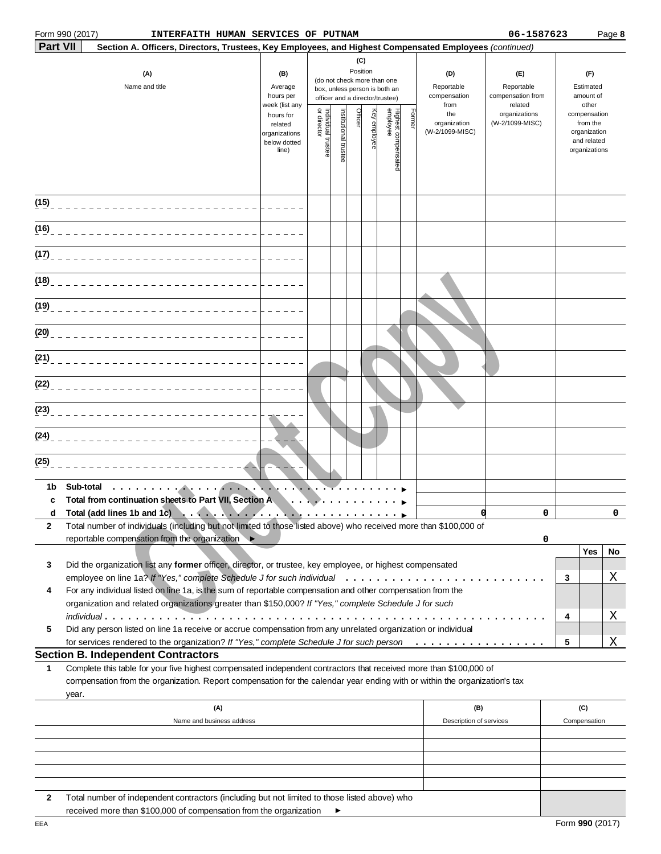|                 | Form 990 (2017)<br>INTERFAITH HUMAN SERVICES OF PUTNAM                                                                                                                                                                                                    |                                                                |                                                                                                                                                                 |                       |         |                                                   |                              |                                        |                                        | 06-1587623                       |   |                                                                          | Page 8 |
|-----------------|-----------------------------------------------------------------------------------------------------------------------------------------------------------------------------------------------------------------------------------------------------------|----------------------------------------------------------------|-----------------------------------------------------------------------------------------------------------------------------------------------------------------|-----------------------|---------|---------------------------------------------------|------------------------------|----------------------------------------|----------------------------------------|----------------------------------|---|--------------------------------------------------------------------------|--------|
| <b>Part VII</b> | Section A. Officers, Directors, Trustees, Key Employees, and Highest Compensated Employees (continued)                                                                                                                                                    |                                                                |                                                                                                                                                                 |                       |         |                                                   |                              |                                        |                                        |                                  |   |                                                                          |        |
|                 | (A)<br>Name and title                                                                                                                                                                                                                                     | (B)<br>Average<br>hours per<br>week (list any                  | (C)<br>Position<br>(D)<br>(do not check more than one<br>Reportable<br>box, unless person is both an<br>compensation<br>officer and a director/trustee)<br>from |                       |         | (E)<br>Reportable<br>compensation from<br>related |                              | (F)<br>Estimated<br>amount of<br>other |                                        |                                  |   |                                                                          |        |
|                 |                                                                                                                                                                                                                                                           | hours for<br>related<br>organizations<br>below dotted<br>line) | Individual trustee<br>or director                                                                                                                               | Institutional trustee | Officer | Key employee                                      | Highest compensa<br>employee | <b>Former</b>                          | the<br>organization<br>(W-2/1099-MISC) | organizations<br>(W-2/1099-MISC) |   | compensation<br>from the<br>organization<br>and related<br>organizations |        |
| (15)            | ____________________________                                                                                                                                                                                                                              |                                                                |                                                                                                                                                                 |                       |         |                                                   |                              |                                        |                                        |                                  |   |                                                                          |        |
|                 | (16) ________________________________                                                                                                                                                                                                                     |                                                                |                                                                                                                                                                 |                       |         |                                                   |                              |                                        |                                        |                                  |   |                                                                          |        |
| (17)            |                                                                                                                                                                                                                                                           |                                                                |                                                                                                                                                                 |                       |         |                                                   |                              |                                        |                                        |                                  |   |                                                                          |        |
|                 | (18) _______________________________                                                                                                                                                                                                                      |                                                                |                                                                                                                                                                 |                       |         |                                                   |                              |                                        |                                        |                                  |   |                                                                          |        |
|                 | (19) _______________________________                                                                                                                                                                                                                      |                                                                |                                                                                                                                                                 |                       |         |                                                   |                              |                                        |                                        |                                  |   |                                                                          |        |
|                 |                                                                                                                                                                                                                                                           |                                                                |                                                                                                                                                                 |                       |         |                                                   |                              |                                        |                                        |                                  |   |                                                                          |        |
|                 | (21) ________________________________                                                                                                                                                                                                                     |                                                                |                                                                                                                                                                 |                       |         |                                                   |                              |                                        |                                        |                                  |   |                                                                          |        |
|                 | $(22)$ <sub>---------------</sub>                                                                                                                                                                                                                         |                                                                |                                                                                                                                                                 |                       |         |                                                   |                              |                                        |                                        |                                  |   |                                                                          |        |
|                 |                                                                                                                                                                                                                                                           |                                                                |                                                                                                                                                                 |                       |         |                                                   |                              |                                        |                                        |                                  |   |                                                                          |        |
| (25)            |                                                                                                                                                                                                                                                           |                                                                |                                                                                                                                                                 |                       |         |                                                   |                              |                                        |                                        |                                  |   |                                                                          |        |
| 1b.             | Sub-total<br>. <b>. . .</b>                                                                                                                                                                                                                               |                                                                |                                                                                                                                                                 |                       |         |                                                   |                              |                                        |                                        |                                  |   |                                                                          |        |
| c               | Total from continuation sheets to Part VII, Section A<br>d Total (add lines 1b and 1c)                                                                                                                                                                    |                                                                |                                                                                                                                                                 |                       |         |                                                   |                              |                                        | 0                                      | $\Omega$                         |   |                                                                          | 0      |
| 2               | Total number of individuals (including but not limited to those listed above) who received more than \$100,000 of                                                                                                                                         |                                                                |                                                                                                                                                                 |                       |         |                                                   |                              |                                        |                                        |                                  |   |                                                                          |        |
|                 | reportable compensation from the organization ▶                                                                                                                                                                                                           |                                                                |                                                                                                                                                                 |                       |         |                                                   |                              |                                        |                                        | 0                                |   | Yes                                                                      | No     |
| 3               | Did the organization list any former officer, director, or trustee, key employee, or highest compensated                                                                                                                                                  |                                                                |                                                                                                                                                                 |                       |         |                                                   |                              |                                        |                                        |                                  |   |                                                                          |        |
|                 |                                                                                                                                                                                                                                                           |                                                                |                                                                                                                                                                 |                       |         |                                                   |                              |                                        |                                        |                                  | 3 |                                                                          | Χ      |
| 4               | For any individual listed on line 1a, is the sum of reportable compensation and other compensation from the                                                                                                                                               |                                                                |                                                                                                                                                                 |                       |         |                                                   |                              |                                        |                                        |                                  |   |                                                                          |        |
|                 | organization and related organizations greater than \$150,000? If "Yes," complete Schedule J for such                                                                                                                                                     |                                                                |                                                                                                                                                                 |                       |         |                                                   |                              |                                        |                                        |                                  | 4 |                                                                          | Χ      |
| 5               | Did any person listed on line 1a receive or accrue compensation from any unrelated organization or individual                                                                                                                                             |                                                                |                                                                                                                                                                 |                       |         |                                                   |                              |                                        |                                        |                                  |   |                                                                          |        |
|                 | for services rendered to the organization? If "Yes," complete Schedule J for such person                                                                                                                                                                  |                                                                |                                                                                                                                                                 |                       |         |                                                   |                              |                                        |                                        |                                  | 5 |                                                                          | Χ      |
|                 | <b>Section B. Independent Contractors</b>                                                                                                                                                                                                                 |                                                                |                                                                                                                                                                 |                       |         |                                                   |                              |                                        |                                        |                                  |   |                                                                          |        |
| 1               | Complete this table for your five highest compensated independent contractors that received more than \$100,000 of<br>compensation from the organization. Report compensation for the calendar year ending with or within the organization's tax<br>year. |                                                                |                                                                                                                                                                 |                       |         |                                                   |                              |                                        |                                        |                                  |   |                                                                          |        |
|                 | (A)                                                                                                                                                                                                                                                       |                                                                |                                                                                                                                                                 |                       |         |                                                   |                              |                                        | (B)                                    |                                  |   | (C)                                                                      |        |
|                 | Name and business address                                                                                                                                                                                                                                 |                                                                |                                                                                                                                                                 |                       |         |                                                   |                              |                                        | Description of services                |                                  |   | Compensation                                                             |        |
|                 |                                                                                                                                                                                                                                                           |                                                                |                                                                                                                                                                 |                       |         |                                                   |                              |                                        |                                        |                                  |   |                                                                          |        |
|                 |                                                                                                                                                                                                                                                           |                                                                |                                                                                                                                                                 |                       |         |                                                   |                              |                                        |                                        |                                  |   |                                                                          |        |
|                 |                                                                                                                                                                                                                                                           |                                                                |                                                                                                                                                                 |                       |         |                                                   |                              |                                        |                                        |                                  |   |                                                                          |        |

**2** Total number of independent contractors (including but not limited to those listed above) who received more than \$100,000 of compensation from the organization  $\blacktriangleright$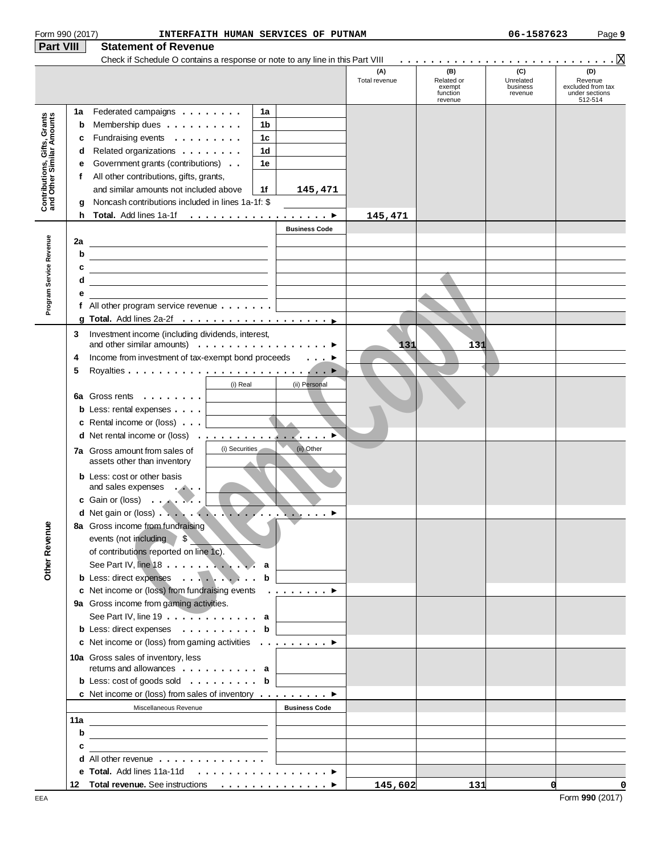| Form 990 (2017)                                           |     | INTERFAITH HUMAN SERVICES OF PUTNAM                                                                                                                                                                                                                                                                                   |                                |                      |                                                    | 06-1587623                              | Page 9                                                           |
|-----------------------------------------------------------|-----|-----------------------------------------------------------------------------------------------------------------------------------------------------------------------------------------------------------------------------------------------------------------------------------------------------------------------|--------------------------------|----------------------|----------------------------------------------------|-----------------------------------------|------------------------------------------------------------------|
| <b>Part VIII</b>                                          |     | <b>Statement of Revenue</b>                                                                                                                                                                                                                                                                                           |                                |                      |                                                    |                                         |                                                                  |
|                                                           |     | Check if Schedule O contains a response or note to any line in this Part VIII                                                                                                                                                                                                                                         |                                |                      |                                                    |                                         |                                                                  |
|                                                           |     |                                                                                                                                                                                                                                                                                                                       |                                | (A)<br>Total revenue | (B)<br>Related or<br>exempt<br>function<br>revenue | (C)<br>Unrelated<br>business<br>revenue | (D)<br>Revenue<br>excluded from tax<br>under sections<br>512-514 |
|                                                           | 1a  | Federated campaigns<br>1a                                                                                                                                                                                                                                                                                             |                                |                      |                                                    |                                         |                                                                  |
| Contributions, Gifts, Grants<br>and Other Similar Amounts | b   | 1 <sub>b</sub><br>Membership dues                                                                                                                                                                                                                                                                                     |                                |                      |                                                    |                                         |                                                                  |
|                                                           | c   | 1 <sub>c</sub><br>Fundraising events                                                                                                                                                                                                                                                                                  |                                |                      |                                                    |                                         |                                                                  |
|                                                           | d   | 1 <sub>d</sub><br>Related organizations                                                                                                                                                                                                                                                                               |                                |                      |                                                    |                                         |                                                                  |
|                                                           | е   | 1e<br>Government grants (contributions)                                                                                                                                                                                                                                                                               |                                |                      |                                                    |                                         |                                                                  |
|                                                           | f   | All other contributions, gifts, grants,                                                                                                                                                                                                                                                                               |                                |                      |                                                    |                                         |                                                                  |
|                                                           |     | and similar amounts not included above<br>1f                                                                                                                                                                                                                                                                          | 145,471                        |                      |                                                    |                                         |                                                                  |
|                                                           | a   | Noncash contributions included in lines 1a-1f: \$                                                                                                                                                                                                                                                                     |                                |                      |                                                    |                                         |                                                                  |
|                                                           | h.  |                                                                                                                                                                                                                                                                                                                       |                                | 145,471              |                                                    |                                         |                                                                  |
|                                                           |     |                                                                                                                                                                                                                                                                                                                       | <b>Business Code</b>           |                      |                                                    |                                         |                                                                  |
| Program Service Revenue                                   | 2a  |                                                                                                                                                                                                                                                                                                                       |                                |                      |                                                    |                                         |                                                                  |
|                                                           | b   |                                                                                                                                                                                                                                                                                                                       |                                |                      |                                                    |                                         |                                                                  |
|                                                           | с   |                                                                                                                                                                                                                                                                                                                       |                                |                      |                                                    |                                         |                                                                  |
|                                                           | d   |                                                                                                                                                                                                                                                                                                                       |                                |                      |                                                    |                                         |                                                                  |
|                                                           | е   |                                                                                                                                                                                                                                                                                                                       |                                |                      |                                                    |                                         |                                                                  |
|                                                           |     | f All other program service revenue $\dots \dots$                                                                                                                                                                                                                                                                     |                                |                      |                                                    |                                         |                                                                  |
|                                                           |     |                                                                                                                                                                                                                                                                                                                       |                                |                      |                                                    |                                         |                                                                  |
|                                                           | 3   | Investment income (including dividends, interest,                                                                                                                                                                                                                                                                     |                                |                      |                                                    |                                         |                                                                  |
|                                                           |     | and other similar amounts) $\ldots \ldots \ldots \ldots \ldots$                                                                                                                                                                                                                                                       |                                | 131                  | 131                                                |                                         |                                                                  |
|                                                           | 4   | Income from investment of tax-exempt bond proceeds                                                                                                                                                                                                                                                                    |                                |                      |                                                    |                                         |                                                                  |
|                                                           | 5   |                                                                                                                                                                                                                                                                                                                       |                                |                      |                                                    |                                         |                                                                  |
|                                                           |     | (i) Real                                                                                                                                                                                                                                                                                                              | (ii) Personal                  |                      |                                                    |                                         |                                                                  |
|                                                           |     | 6a Gross rents                                                                                                                                                                                                                                                                                                        |                                |                      |                                                    |                                         |                                                                  |
|                                                           |     | <b>b</b> Less: rental expenses $\ldots$<br><u>and the company of the company of the company of the company of the company of the company of the company of the company of the company of the company of the company of the company of the company of the company of the com</u><br>c Rental income or (loss) $\ldots$ |                                |                      |                                                    |                                         |                                                                  |
|                                                           |     |                                                                                                                                                                                                                                                                                                                       |                                |                      |                                                    |                                         |                                                                  |
|                                                           |     |                                                                                                                                                                                                                                                                                                                       |                                |                      |                                                    |                                         |                                                                  |
|                                                           |     | (i) Securities<br><b>7a</b> Gross amount from sales of<br>assets other than inventory                                                                                                                                                                                                                                 | (ii) Other                     |                      |                                                    |                                         |                                                                  |
|                                                           |     |                                                                                                                                                                                                                                                                                                                       |                                |                      |                                                    |                                         |                                                                  |
|                                                           |     | <b>b</b> Less: cost or other basis<br>and sales expenses                                                                                                                                                                                                                                                              |                                |                      |                                                    |                                         |                                                                  |
|                                                           |     | c Gain or (loss) $\ldots$ $\ldots$ $\ldots$                                                                                                                                                                                                                                                                           |                                |                      |                                                    |                                         |                                                                  |
|                                                           |     |                                                                                                                                                                                                                                                                                                                       |                                |                      |                                                    |                                         |                                                                  |
|                                                           |     | 8a Gross income from fundraising                                                                                                                                                                                                                                                                                      |                                |                      |                                                    |                                         |                                                                  |
| <b>Other Revenue</b>                                      |     | $\int$<br>events (not including                                                                                                                                                                                                                                                                                       |                                |                      |                                                    |                                         |                                                                  |
|                                                           |     | of contributions reported on line 1c).                                                                                                                                                                                                                                                                                |                                |                      |                                                    |                                         |                                                                  |
|                                                           |     | See Part IV, line 18 a                                                                                                                                                                                                                                                                                                |                                |                      |                                                    |                                         |                                                                  |
|                                                           |     | b Less: direct expenses b                                                                                                                                                                                                                                                                                             |                                |                      |                                                    |                                         |                                                                  |
|                                                           |     | c Net income or (loss) from fundraising events                                                                                                                                                                                                                                                                        | $\ldots$ $\blacktriangleright$ |                      |                                                    |                                         |                                                                  |
|                                                           |     | 9a Gross income from gaming activities.                                                                                                                                                                                                                                                                               |                                |                      |                                                    |                                         |                                                                  |
|                                                           |     | See Part IV, line $19 \ldots \ldots \ldots \ldots$ a                                                                                                                                                                                                                                                                  |                                |                      |                                                    |                                         |                                                                  |
|                                                           |     | <b>b</b> Less: direct expenses $\ldots$ , $\ldots$ , $\ldots$ , <b>b</b>                                                                                                                                                                                                                                              |                                |                      |                                                    |                                         |                                                                  |
|                                                           |     | c Net income or (loss) from gaming activities $\ldots \ldots \ldots$                                                                                                                                                                                                                                                  |                                |                      |                                                    |                                         |                                                                  |
|                                                           |     | 10a Gross sales of inventory, less                                                                                                                                                                                                                                                                                    |                                |                      |                                                    |                                         |                                                                  |
|                                                           |     | returns and allowances $\dots$ , $\dots$ , $\dots$ , $a$                                                                                                                                                                                                                                                              |                                |                      |                                                    |                                         |                                                                  |
|                                                           |     | <b>b</b> Less: cost of goods sold $\ldots$ <b>b</b>                                                                                                                                                                                                                                                                   |                                |                      |                                                    |                                         |                                                                  |
|                                                           |     | c Net income or (loss) from sales of inventory ▶                                                                                                                                                                                                                                                                      |                                |                      |                                                    |                                         |                                                                  |
|                                                           |     | Miscellaneous Revenue                                                                                                                                                                                                                                                                                                 | <b>Business Code</b>           |                      |                                                    |                                         |                                                                  |
|                                                           | 11a | <u> 1989 - Johann Barbara, martin amerikan basar dan berasal dalam basar dalam basar dalam basar dalam basar dala</u>                                                                                                                                                                                                 |                                |                      |                                                    |                                         |                                                                  |
|                                                           | b   | <u> 1989 - Johann Stein, mars an de Brasilia (b. 1989)</u>                                                                                                                                                                                                                                                            |                                |                      |                                                    |                                         |                                                                  |
|                                                           | с   |                                                                                                                                                                                                                                                                                                                       |                                |                      |                                                    |                                         |                                                                  |
|                                                           |     | <b>d</b> All other revenue $\ldots$ , $\ldots$ , $\ldots$ , $\ldots$                                                                                                                                                                                                                                                  |                                |                      |                                                    |                                         |                                                                  |
|                                                           |     | e Total. Add lines 11a-11d ▶                                                                                                                                                                                                                                                                                          |                                |                      |                                                    |                                         |                                                                  |
|                                                           |     | 12 Total revenue. See instructions ▶                                                                                                                                                                                                                                                                                  |                                | 145,602              | 131                                                | d                                       | 0                                                                |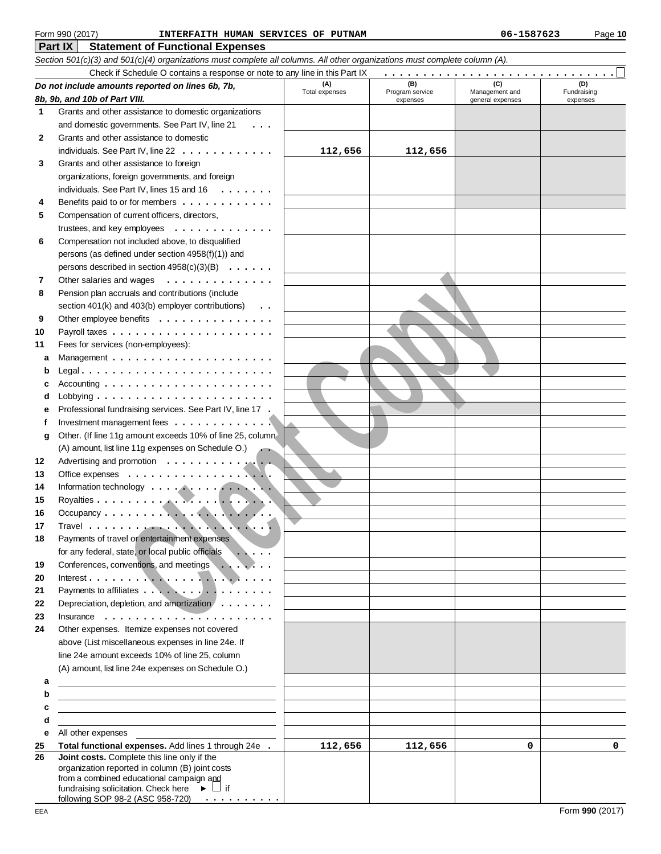#### **Part IX Statement of Functional Expenses** Form 990 (2017) Page **10 INTERFAITH HUMAN SERVICES OF PUTNAM 06-1587623**

|          | Section 501(c)(3) and 501(c)(4) organizations must complete all columns. All other organizations must complete column (A). |                       |                             |                                    |                    |  |  |  |  |  |
|----------|----------------------------------------------------------------------------------------------------------------------------|-----------------------|-----------------------------|------------------------------------|--------------------|--|--|--|--|--|
|          | Check if Schedule O contains a response or note to any line in this Part IX<br>.                                           |                       |                             |                                    |                    |  |  |  |  |  |
|          | Do not include amounts reported on lines 6b, 7b,                                                                           | (A)                   | (B)                         | (C)                                | (D)<br>Fundraising |  |  |  |  |  |
|          | 8b, 9b, and 10b of Part VIII.                                                                                              | <b>Total expenses</b> | Program service<br>expenses | Management and<br>general expenses | expenses           |  |  |  |  |  |
| 1        | Grants and other assistance to domestic organizations                                                                      |                       |                             |                                    |                    |  |  |  |  |  |
|          | and domestic governments. See Part IV, line 21                                                                             |                       |                             |                                    |                    |  |  |  |  |  |
| 2        | Grants and other assistance to domestic                                                                                    |                       |                             |                                    |                    |  |  |  |  |  |
|          | individuals. See Part IV, line 22                                                                                          | 112,656               | 112,656                     |                                    |                    |  |  |  |  |  |
| 3        | Grants and other assistance to foreign                                                                                     |                       |                             |                                    |                    |  |  |  |  |  |
|          | organizations, foreign governments, and foreign                                                                            |                       |                             |                                    |                    |  |  |  |  |  |
|          | individuals. See Part IV, lines 15 and 16                                                                                  |                       |                             |                                    |                    |  |  |  |  |  |
| 4        | Benefits paid to or for members                                                                                            |                       |                             |                                    |                    |  |  |  |  |  |
| 5        | Compensation of current officers, directors,                                                                               |                       |                             |                                    |                    |  |  |  |  |  |
|          | trustees, and key employees                                                                                                |                       |                             |                                    |                    |  |  |  |  |  |
| 6        | Compensation not included above, to disqualified                                                                           |                       |                             |                                    |                    |  |  |  |  |  |
|          | persons (as defined under section 4958(f)(1)) and                                                                          |                       |                             |                                    |                    |  |  |  |  |  |
|          | persons described in section 4958(c)(3)(B)                                                                                 |                       |                             |                                    |                    |  |  |  |  |  |
| 7        | Other salaries and wages<br>.                                                                                              |                       |                             |                                    |                    |  |  |  |  |  |
| 8        | Pension plan accruals and contributions (include                                                                           |                       |                             |                                    |                    |  |  |  |  |  |
|          | section 401(k) and 403(b) employer contributions)<br>$\ddot{\phantom{0}}$                                                  |                       |                             |                                    |                    |  |  |  |  |  |
| 9        | Other employee benefits                                                                                                    |                       |                             |                                    |                    |  |  |  |  |  |
| 10       |                                                                                                                            |                       |                             |                                    |                    |  |  |  |  |  |
| 11       | Fees for services (non-employees):                                                                                         |                       |                             |                                    |                    |  |  |  |  |  |
| a        |                                                                                                                            |                       |                             |                                    |                    |  |  |  |  |  |
|          |                                                                                                                            |                       |                             |                                    |                    |  |  |  |  |  |
|          | Accounting $\ldots \ldots \ldots \ldots \ldots \ldots \ldots$                                                              |                       |                             |                                    |                    |  |  |  |  |  |
|          | Lobbying $\ldots \ldots \ldots \ldots \ldots \ldots \ldots$                                                                |                       |                             |                                    |                    |  |  |  |  |  |
|          | Professional fundraising services. See Part IV, line 17 .                                                                  |                       |                             |                                    |                    |  |  |  |  |  |
| f        | Investment management fees $\dots\dots\dots\dots\dots$                                                                     |                       |                             |                                    |                    |  |  |  |  |  |
| g        | Other. (If line 11g amount exceeds 10% of line 25, column                                                                  |                       |                             |                                    |                    |  |  |  |  |  |
|          | (A) amount, list line 11g expenses on Schedule O.)                                                                         |                       |                             |                                    |                    |  |  |  |  |  |
| 12       | Advertising and promotion                                                                                                  |                       |                             |                                    |                    |  |  |  |  |  |
| 13       |                                                                                                                            |                       |                             |                                    |                    |  |  |  |  |  |
| 14       | Information technology                                                                                                     |                       |                             |                                    |                    |  |  |  |  |  |
| 15       |                                                                                                                            |                       |                             |                                    |                    |  |  |  |  |  |
| 16       |                                                                                                                            |                       |                             |                                    |                    |  |  |  |  |  |
| 17       |                                                                                                                            |                       |                             |                                    |                    |  |  |  |  |  |
| 18       | Payments of travel or entertainment expenses                                                                               |                       |                             |                                    |                    |  |  |  |  |  |
|          | for any federal, state, or local public officials                                                                          |                       |                             |                                    |                    |  |  |  |  |  |
| 19       | Conferences, conventions, and meetings                                                                                     |                       |                             |                                    |                    |  |  |  |  |  |
| 20<br>21 | Payments to affiliates                                                                                                     |                       |                             |                                    |                    |  |  |  |  |  |
| 22       | Depreciation, depletion, and amortization                                                                                  |                       |                             |                                    |                    |  |  |  |  |  |
| 23       | Insurance $\dots \dots \dots \dots \dots \dots$                                                                            |                       |                             |                                    |                    |  |  |  |  |  |
| 24       | Other expenses. Itemize expenses not covered                                                                               |                       |                             |                                    |                    |  |  |  |  |  |
|          | above (List miscellaneous expenses in line 24e. If                                                                         |                       |                             |                                    |                    |  |  |  |  |  |
|          | line 24e amount exceeds 10% of line 25, column                                                                             |                       |                             |                                    |                    |  |  |  |  |  |
|          | (A) amount, list line 24e expenses on Schedule O.)                                                                         |                       |                             |                                    |                    |  |  |  |  |  |
| а        |                                                                                                                            |                       |                             |                                    |                    |  |  |  |  |  |
| b        |                                                                                                                            |                       |                             |                                    |                    |  |  |  |  |  |
| c        |                                                                                                                            |                       |                             |                                    |                    |  |  |  |  |  |
| d        |                                                                                                                            |                       |                             |                                    |                    |  |  |  |  |  |
| е        | All other expenses                                                                                                         |                       |                             |                                    |                    |  |  |  |  |  |
| 25       | Total functional expenses. Add lines 1 through 24e                                                                         | 112,656               | 112,656                     | 0                                  | 0                  |  |  |  |  |  |
| 26       | Joint costs. Complete this line only if the                                                                                |                       |                             |                                    |                    |  |  |  |  |  |
|          | organization reported in column (B) joint costs                                                                            |                       |                             |                                    |                    |  |  |  |  |  |
|          | from a combined educational campaign and<br>fundraising solicitation. Check here<br>$\blacktriangleright$ $\sqcup$ if      |                       |                             |                                    |                    |  |  |  |  |  |
|          | following SOP 98-2 (ASC 958-720)                                                                                           |                       |                             |                                    |                    |  |  |  |  |  |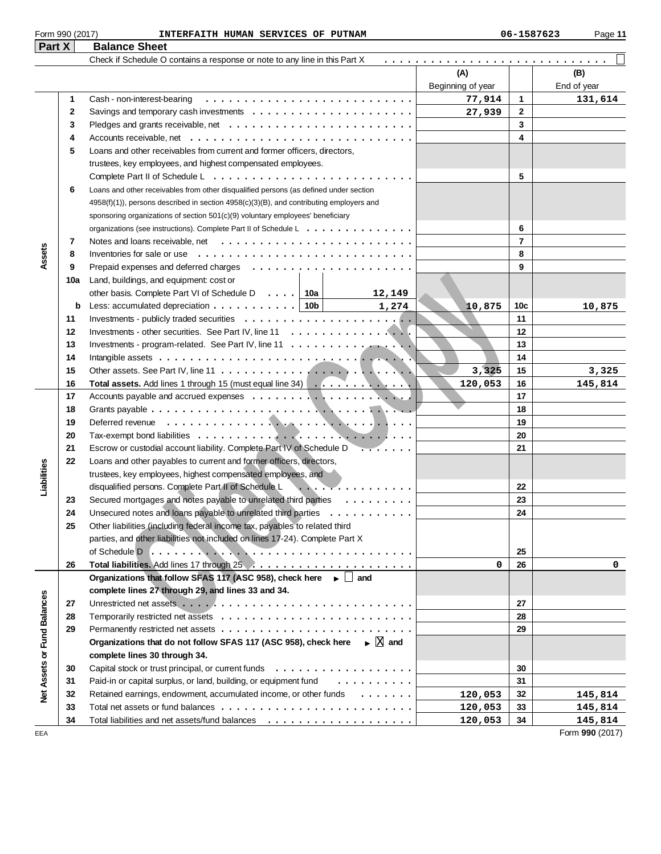| Part X | <b>Balance Sheet</b>                                                       |                   |             |
|--------|----------------------------------------------------------------------------|-------------------|-------------|
|        | Check if Schedule O contains a response or note to any line in this Part X |                   |             |
|        |                                                                            | (A)               | (B)         |
|        |                                                                            | Beginning of year | End of year |
|        | Cash - non-interest-bearing                                                | 77.914            | 1 3 1 … คี  |

|                             |          |                                                                                                          | Beginning of year |                 | End of year     |
|-----------------------------|----------|----------------------------------------------------------------------------------------------------------|-------------------|-----------------|-----------------|
|                             | 1        | Cash - non-interest-bearing                                                                              | 77,914            | 1               | 131,614         |
|                             | 2        | Savings and temporary cash investments $\dots \dots \dots \dots \dots \dots \dots \dots$                 | 27,939            | $\mathbf{2}$    |                 |
|                             | 3        |                                                                                                          |                   | 3               |                 |
|                             | 4        |                                                                                                          |                   | 4               |                 |
|                             | 5        | Loans and other receivables from current and former officers, directors,                                 |                   |                 |                 |
|                             |          | trustees, key employees, and highest compensated employees.                                              |                   |                 |                 |
|                             |          |                                                                                                          |                   | 5               |                 |
|                             | 6        | Loans and other receivables from other disqualified persons (as defined under section                    |                   |                 |                 |
|                             |          | 4958(f)(1)), persons described in section 4958(c)(3)(B), and contributing employers and                  |                   |                 |                 |
|                             |          | sponsoring organizations of section 501(c)(9) voluntary employees' beneficiary                           |                   |                 |                 |
|                             |          | organizations (see instructions). Complete Part II of Schedule L                                         |                   | 6               |                 |
|                             | 7        |                                                                                                          |                   | $\overline{7}$  |                 |
| Assets                      | 8        | Inventories for sale or use $\ldots \ldots \ldots \ldots \ldots \ldots \ldots \ldots \ldots$             |                   | 8               |                 |
|                             | 9        |                                                                                                          |                   | 9               |                 |
|                             | 10a      | Land, buildings, and equipment: cost or                                                                  |                   |                 |                 |
|                             |          | other basis. Complete Part VI of Schedule D   10a  <br>12,149                                            |                   |                 |                 |
|                             | b        | 1,274                                                                                                    | 10,875            | 10 <sub>c</sub> | 10,875          |
|                             | 11       |                                                                                                          |                   | 11              |                 |
|                             | 12       |                                                                                                          |                   | 12              |                 |
|                             | 13       |                                                                                                          |                   | 13              |                 |
|                             | 14       |                                                                                                          |                   | 14              |                 |
|                             | 15       |                                                                                                          | 3,325             | 15              | 3,325           |
|                             | 16       | Total assets. Add lines 1 through 15 (must equal line 34)                                                | 120,053           | 16              | 145,814         |
|                             | 17       |                                                                                                          |                   | 17              |                 |
|                             | 18       |                                                                                                          |                   | 18              |                 |
|                             | 19       |                                                                                                          |                   | 19              |                 |
|                             | 20       |                                                                                                          |                   | 20              |                 |
|                             | 21       | Escrow or custodial account liability. Complete Part IV of Schedule D<br><del>.</del>                    |                   | 21              |                 |
| Liabilities                 | 22       | Loans and other payables to current and former officers, directors,                                      |                   |                 |                 |
|                             |          | trustees, key employees, highest compensated employees, and                                              |                   |                 |                 |
|                             |          | disqualified persons. Complete Part II of Schedule L<br>.                                                |                   | 22              |                 |
|                             | 23       | Secured mortgages and notes payable to unrelated third parties                                           |                   | 23              |                 |
|                             | 24       | Unsecured notes and loans payable to unrelated third parties                                             |                   | 24              |                 |
|                             | 25       | Other liabilities (including federal income tax, payables to related third                               |                   |                 |                 |
|                             |          | parties, and other liabilities not included on lines 17-24). Complete Part X                             |                   |                 |                 |
|                             |          |                                                                                                          |                   | 25              |                 |
|                             | 26       |                                                                                                          | 0                 | 26              | 0               |
|                             |          | Organizations that follow SFAS 117 (ASC 958), check here $\rightarrow \Box$ and                          |                   |                 |                 |
|                             |          | complete lines 27 through 29, and lines 33 and 34.                                                       |                   | 27              |                 |
|                             | 27       |                                                                                                          |                   | 28              |                 |
| Net Assets or Fund Balances | 28<br>29 |                                                                                                          |                   | 29              |                 |
|                             |          | Organizations that do not follow SFAS 117 (ASC 958), check here $\blacktriangleright \boxed{\times}$ and |                   |                 |                 |
|                             |          | complete lines 30 through 34.                                                                            |                   |                 |                 |
|                             | 30       |                                                                                                          |                   | 30              |                 |
|                             | 31       | Paid-in or capital surplus, or land, building, or equipment fund<br>.                                    |                   | 31              |                 |
|                             | 32       | Retained earnings, endowment, accumulated income, or other funds                                         | 120,053           | 32              | 145,814         |
|                             | 33       |                                                                                                          | 120,053           | 33              | 145,814         |
|                             | 34       |                                                                                                          | 120,053           | 34              | 145,814         |
| EEA                         |          |                                                                                                          |                   |                 | Form 990 (2017) |
|                             |          |                                                                                                          |                   |                 |                 |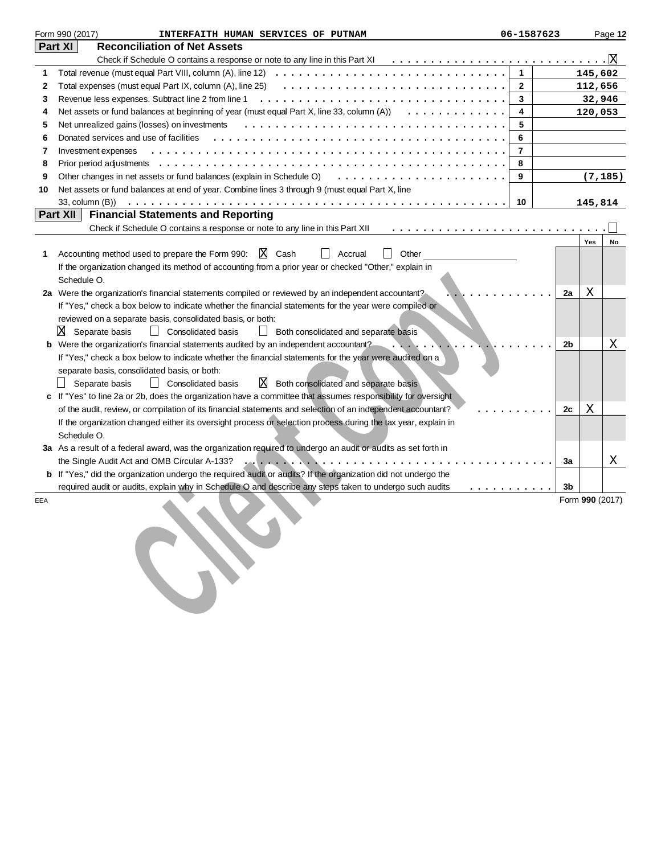|     | Form 990 (2017)<br>INTERFAITH HUMAN SERVICES OF PUTNAM                                                                                                                                                                                                                                 | 06-1587623     |    |                 | Page 12  |
|-----|----------------------------------------------------------------------------------------------------------------------------------------------------------------------------------------------------------------------------------------------------------------------------------------|----------------|----|-----------------|----------|
|     | <b>Reconciliation of Net Assets</b><br>Part XI                                                                                                                                                                                                                                         |                |    |                 |          |
|     |                                                                                                                                                                                                                                                                                        |                |    |                 |          |
| 1   |                                                                                                                                                                                                                                                                                        | $\mathbf{1}$   |    | 145,602         |          |
| 2   | Total expenses (must equal Part IX, column (A), line 25)                                                                                                                                                                                                                               | $\mathbf{2}$   |    | 112,656         |          |
| 3   | Revenue less expenses. Subtract line 2 from line 1                                                                                                                                                                                                                                     | 3              |    | 32,946          |          |
| 4   | Net assets or fund balances at beginning of year (must equal Part X, line 33, column $(A)$ ) $\ldots \ldots \ldots \ldots$                                                                                                                                                             | 4              |    | 120,053         |          |
| 5   | Net unrealized gains (losses) on investments                                                                                                                                                                                                                                           | 5              |    |                 |          |
| 6   | Donated services and use of facilities                                                                                                                                                                                                                                                 | 6              |    |                 |          |
| 7   | Investment expenses                                                                                                                                                                                                                                                                    | $\overline{7}$ |    |                 |          |
| 8   |                                                                                                                                                                                                                                                                                        | 8              |    |                 |          |
| 9   | Other changes in net assets or fund balances (explain in Schedule O)                                                                                                                                                                                                                   | 9              |    |                 | (7, 185) |
| 10  | Net assets or fund balances at end of year. Combine lines 3 through 9 (must equal Part X, line                                                                                                                                                                                         |                |    |                 |          |
|     |                                                                                                                                                                                                                                                                                        | 10             |    | 145,814         |          |
|     | Part XII<br><b>Financial Statements and Reporting</b>                                                                                                                                                                                                                                  |                |    |                 |          |
|     | Check if Schedule O contains a response or note to any line in this Part XII                                                                                                                                                                                                           |                |    |                 |          |
|     |                                                                                                                                                                                                                                                                                        |                |    | Yes             | No       |
| 1   | X Cash<br>Other<br>Accounting method used to prepare the Form 990:<br>Accrual                                                                                                                                                                                                          |                |    |                 |          |
|     | If the organization changed its method of accounting from a prior year or checked "Other," explain in                                                                                                                                                                                  |                |    |                 |          |
|     | Schedule O.                                                                                                                                                                                                                                                                            |                |    |                 |          |
|     | 2a Were the organization's financial statements compiled or reviewed by an independent accountant?                                                                                                                                                                                     |                | 2a | Χ               |          |
|     | If "Yes," check a box below to indicate whether the financial statements for the year were compiled or                                                                                                                                                                                 |                |    |                 |          |
|     | reviewed on a separate basis, consolidated basis, or both:                                                                                                                                                                                                                             |                |    |                 |          |
|     | X<br>Separate basis<br>    Consolidated basis<br>Both consolidated and separate basis                                                                                                                                                                                                  |                |    |                 |          |
|     | Were the organization's financial statements audited by an independent accountant?                                                                                                                                                                                                     |                | 2b |                 | X        |
|     | If "Yes," check a box below to indicate whether the financial statements for the year were audited on a                                                                                                                                                                                |                |    |                 |          |
|     | separate basis, consolidated basis, or both:                                                                                                                                                                                                                                           |                |    |                 |          |
|     | $X$ Both consolidated and separate basis<br>Separate basis<br>$\Box$<br><b>Consolidated basis</b>                                                                                                                                                                                      |                |    |                 |          |
|     | If "Yes" to line 2a or 2b, does the organization have a committee that assumes responsibility for oversight                                                                                                                                                                            |                |    |                 |          |
|     | of the audit, review, or compilation of its financial statements and selection of an independent accountant?                                                                                                                                                                           |                | 2c | Χ               |          |
|     | If the organization changed either its oversight process or selection process during the tax year, explain in                                                                                                                                                                          |                |    |                 |          |
|     | Schedule O.                                                                                                                                                                                                                                                                            |                |    |                 |          |
|     | 3a As a result of a federal award, was the organization required to undergo an audit or audits as set forth in                                                                                                                                                                         |                |    |                 |          |
|     | the Single Audit Act and OMB Circular A-133?<br>$\mathcal{L}_{\mathbf{A}}\left[\mathbf{I},\mathbf{I},\mathbf{I},\mathbf{A}\right],\mathcal{L}_{\mathbf{A}}\left[\mathbf{I},\mathbf{I},\mathbf{I},\mathbf{I},\mathbf{I},\mathbf{I},\mathbf{I},\mathbf{I},\mathbf{I},\mathbf{I}\right],$ |                | За |                 | Χ        |
| b   | If "Yes," did the organization undergo the required audit or audits? If the organization did not undergo the                                                                                                                                                                           |                |    |                 |          |
|     | required audit or audits, explain why in Schedule O and describe any steps taken to undergo such audits                                                                                                                                                                                | .              | 3b |                 |          |
| EEA |                                                                                                                                                                                                                                                                                        |                |    | Form 990 (2017) |          |
|     |                                                                                                                                                                                                                                                                                        |                |    |                 |          |
|     |                                                                                                                                                                                                                                                                                        |                |    |                 |          |
|     |                                                                                                                                                                                                                                                                                        |                |    |                 |          |
|     |                                                                                                                                                                                                                                                                                        |                |    |                 |          |
|     |                                                                                                                                                                                                                                                                                        |                |    |                 |          |
|     |                                                                                                                                                                                                                                                                                        |                |    |                 |          |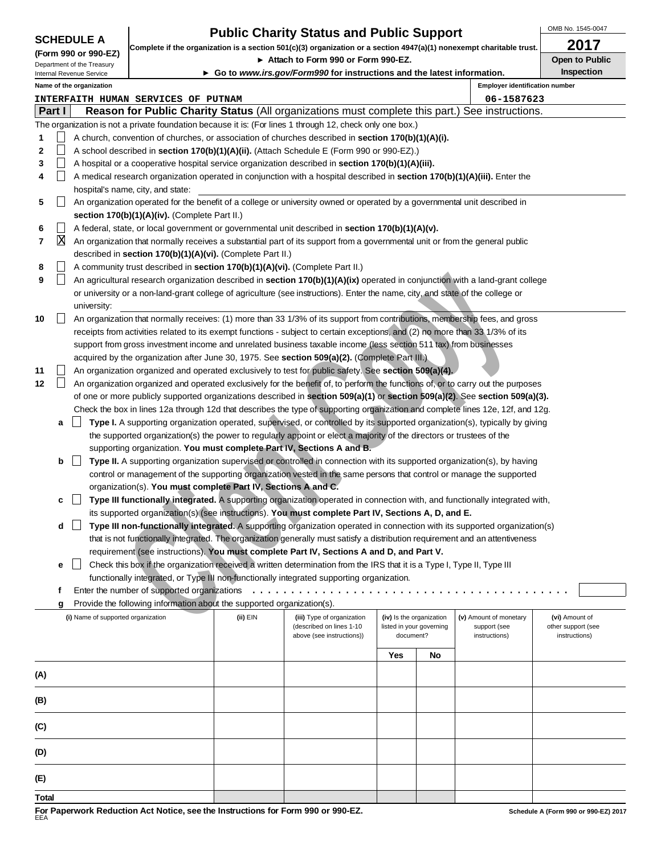OMB No. 1545-0047

|                                                    |        |                                    | <b>Public Charity Status and Public Support</b>                                                                      |                                                                                                                         |                                                                                                                                     |                          |                          | OMB No. 1545-0047                      |                                      |  |
|----------------------------------------------------|--------|------------------------------------|----------------------------------------------------------------------------------------------------------------------|-------------------------------------------------------------------------------------------------------------------------|-------------------------------------------------------------------------------------------------------------------------------------|--------------------------|--------------------------|----------------------------------------|--------------------------------------|--|
| <b>SCHEDULE A</b>                                  |        |                                    | Complete if the organization is a section 501(c)(3) organization or a section 4947(a)(1) nonexempt charitable trust. |                                                                                                                         |                                                                                                                                     |                          |                          | 2017                                   |                                      |  |
| (Form 990 or 990-EZ)<br>Department of the Treasury |        |                                    | Attach to Form 990 or Form 990-EZ.                                                                                   |                                                                                                                         |                                                                                                                                     |                          |                          |                                        | Open to Public                       |  |
| Internal Revenue Service                           |        |                                    |                                                                                                                      |                                                                                                                         | ► Go to www.irs.gov/Form990 for instructions and the latest information.                                                            |                          |                          |                                        | <b>Inspection</b>                    |  |
|                                                    |        | Name of the organization           |                                                                                                                      |                                                                                                                         |                                                                                                                                     |                          |                          | <b>Employer identification number</b>  |                                      |  |
|                                                    |        |                                    | INTERFAITH HUMAN SERVICES OF PUTNAM                                                                                  |                                                                                                                         |                                                                                                                                     |                          |                          | 06-1587623                             |                                      |  |
|                                                    | Part I |                                    |                                                                                                                      |                                                                                                                         | <b>Reason for Public Charity Status</b> (All organizations must complete this part.) See instructions.                              |                          |                          |                                        |                                      |  |
|                                                    |        |                                    |                                                                                                                      |                                                                                                                         | The organization is not a private foundation because it is: (For lines 1 through 12, check only one box.)                           |                          |                          |                                        |                                      |  |
| 1                                                  |        |                                    |                                                                                                                      |                                                                                                                         | A church, convention of churches, or association of churches described in <b>section 170(b)(1)(A)(i).</b>                           |                          |                          |                                        |                                      |  |
| 2                                                  |        |                                    |                                                                                                                      |                                                                                                                         | A school described in section 170(b)(1)(A)(ii). (Attach Schedule E (Form 990 or 990-EZ).)                                           |                          |                          |                                        |                                      |  |
| 3                                                  |        |                                    |                                                                                                                      |                                                                                                                         | A hospital or a cooperative hospital service organization described in section 170(b)(1)(A)(iii).                                   |                          |                          |                                        |                                      |  |
| 4                                                  |        |                                    |                                                                                                                      |                                                                                                                         | A medical research organization operated in conjunction with a hospital described in section 170(b)(1)(A)(iii). Enter the           |                          |                          |                                        |                                      |  |
|                                                    |        |                                    | hospital's name, city, and state:                                                                                    |                                                                                                                         |                                                                                                                                     |                          |                          |                                        |                                      |  |
| 5                                                  |        |                                    |                                                                                                                      |                                                                                                                         | An organization operated for the benefit of a college or university owned or operated by a governmental unit described in           |                          |                          |                                        |                                      |  |
|                                                    |        |                                    | section 170(b)(1)(A)(iv). (Complete Part II.)                                                                        |                                                                                                                         |                                                                                                                                     |                          |                          |                                        |                                      |  |
| 6                                                  |        |                                    |                                                                                                                      |                                                                                                                         | A federal, state, or local government or governmental unit described in section 170(b)(1)(A)(v).                                    |                          |                          |                                        |                                      |  |
| 7                                                  | X      |                                    |                                                                                                                      |                                                                                                                         | An organization that normally receives a substantial part of its support from a governmental unit or from the general public        |                          |                          |                                        |                                      |  |
|                                                    |        |                                    | described in section 170(b)(1)(A)(vi). (Complete Part II.)                                                           |                                                                                                                         |                                                                                                                                     |                          |                          |                                        |                                      |  |
| 8                                                  |        |                                    | A community trust described in section 170(b)(1)(A)(vi). (Complete Part II.)                                         |                                                                                                                         |                                                                                                                                     |                          |                          |                                        |                                      |  |
| 9                                                  |        |                                    |                                                                                                                      |                                                                                                                         | An agricultural research organization described in section 170(b)(1)(A)(ix) operated in conjunction with a land-grant college       |                          |                          |                                        |                                      |  |
|                                                    |        |                                    |                                                                                                                      |                                                                                                                         | or university or a non-land-grant college of agriculture (see instructions). Enter the name, city, and state of the college or      |                          |                          |                                        |                                      |  |
|                                                    |        | university:                        |                                                                                                                      |                                                                                                                         |                                                                                                                                     |                          |                          |                                        |                                      |  |
| 10                                                 |        |                                    |                                                                                                                      |                                                                                                                         | An organization that normally receives: (1) more than 33 1/3% of its support from contributions, membership fees, and gross         |                          |                          |                                        |                                      |  |
|                                                    |        |                                    |                                                                                                                      |                                                                                                                         | receipts from activities related to its exempt functions - subject to certain exceptions, and (2) no more than 33 1/3% of its       |                          |                          |                                        |                                      |  |
|                                                    |        |                                    |                                                                                                                      |                                                                                                                         | support from gross investment income and unrelated business taxable income (less section 511 tax) from businesses                   |                          |                          |                                        |                                      |  |
|                                                    |        |                                    |                                                                                                                      |                                                                                                                         | acquired by the organization after June 30, 1975. See section 509(a)(2). (Complete Part III.)                                       |                          |                          |                                        |                                      |  |
| 11                                                 |        |                                    |                                                                                                                      |                                                                                                                         | An organization organized and operated exclusively to test for public safety. See section 509(a)(4).                                |                          |                          |                                        |                                      |  |
| 12                                                 |        |                                    |                                                                                                                      |                                                                                                                         | An organization organized and operated exclusively for the benefit of, to perform the functions of, or to carry out the purposes    |                          |                          |                                        |                                      |  |
|                                                    |        |                                    |                                                                                                                      |                                                                                                                         | of one or more publicly supported organizations described in section $509(a)(1)$ or section $509(a)(2)$ . See section $509(a)(3)$ . |                          |                          |                                        |                                      |  |
|                                                    |        |                                    |                                                                                                                      |                                                                                                                         | Check the box in lines 12a through 12d that describes the type of supporting organization and complete lines 12e, 12f, and 12g.     |                          |                          |                                        |                                      |  |
|                                                    | а      |                                    |                                                                                                                      |                                                                                                                         | Type I. A supporting organization operated, supervised, or controlled by its supported organization(s), typically by giving         |                          |                          |                                        |                                      |  |
|                                                    |        |                                    |                                                                                                                      |                                                                                                                         | the supported organization(s) the power to regularly appoint or elect a majority of the directors or trustees of the                |                          |                          |                                        |                                      |  |
|                                                    |        |                                    |                                                                                                                      | supporting organization. You must complete Part IV, Sections A and B.                                                   |                                                                                                                                     |                          |                          |                                        |                                      |  |
|                                                    | b      |                                    |                                                                                                                      | Type II. A supporting organization supervised or controlled in connection with its supported organization(s), by having |                                                                                                                                     |                          |                          |                                        |                                      |  |
|                                                    |        |                                    |                                                                                                                      | control or management of the supporting organization vested in the same persons that control or manage the supported    |                                                                                                                                     |                          |                          |                                        |                                      |  |
|                                                    |        |                                    | organization(s). You must complete Part IV, Sections A and C.                                                        |                                                                                                                         |                                                                                                                                     |                          |                          |                                        |                                      |  |
|                                                    | c      |                                    |                                                                                                                      |                                                                                                                         | Type III functionally integrated. A supporting organization operated in connection with, and functionally integrated with,          |                          |                          |                                        |                                      |  |
|                                                    |        |                                    |                                                                                                                      |                                                                                                                         | its supported organization(s) (see instructions). You must complete Part IV, Sections A, D, and E.                                  |                          |                          |                                        |                                      |  |
|                                                    | d      |                                    |                                                                                                                      |                                                                                                                         | Type III non-functionally integrated. A supporting organization operated in connection with its supported organization(s)           |                          |                          |                                        |                                      |  |
|                                                    |        |                                    |                                                                                                                      |                                                                                                                         | that is not functionally integrated. The organization generally must satisfy a distribution requirement and an attentiveness        |                          |                          |                                        |                                      |  |
|                                                    |        |                                    |                                                                                                                      |                                                                                                                         | requirement (see instructions). You must complete Part IV, Sections A and D, and Part V.                                            |                          |                          |                                        |                                      |  |
|                                                    | е      |                                    |                                                                                                                      |                                                                                                                         | Check this box if the organization received a written determination from the IRS that it is a Type I, Type II, Type III             |                          |                          |                                        |                                      |  |
|                                                    |        |                                    |                                                                                                                      |                                                                                                                         | functionally integrated, or Type III non-functionally integrated supporting organization.                                           |                          |                          |                                        |                                      |  |
|                                                    | f      |                                    | Enter the number of supported organizations                                                                          |                                                                                                                         |                                                                                                                                     |                          |                          |                                        |                                      |  |
|                                                    | g      |                                    | Provide the following information about the supported organization(s).                                               |                                                                                                                         |                                                                                                                                     |                          |                          |                                        |                                      |  |
|                                                    |        | (i) Name of supported organization |                                                                                                                      | (ii) EIN                                                                                                                | (iii) Type of organization<br>(described on lines 1-10                                                                              | (iv) Is the organization | listed in your governing | (v) Amount of monetary<br>support (see | (vi) Amount of<br>other support (see |  |
|                                                    |        |                                    |                                                                                                                      |                                                                                                                         | above (see instructions))                                                                                                           | document?                |                          | instructions)                          | instructions)                        |  |
|                                                    |        |                                    |                                                                                                                      |                                                                                                                         |                                                                                                                                     |                          |                          |                                        |                                      |  |
| Yes<br>No                                          |        |                                    |                                                                                                                      |                                                                                                                         |                                                                                                                                     |                          |                          |                                        |                                      |  |
| (A)                                                |        |                                    |                                                                                                                      |                                                                                                                         |                                                                                                                                     |                          |                          |                                        |                                      |  |
|                                                    |        |                                    |                                                                                                                      |                                                                                                                         |                                                                                                                                     |                          |                          |                                        |                                      |  |
| (B)                                                |        |                                    |                                                                                                                      |                                                                                                                         |                                                                                                                                     |                          |                          |                                        |                                      |  |
|                                                    |        |                                    |                                                                                                                      |                                                                                                                         |                                                                                                                                     |                          |                          |                                        |                                      |  |
| (C)                                                |        |                                    |                                                                                                                      |                                                                                                                         |                                                                                                                                     |                          |                          |                                        |                                      |  |
|                                                    |        |                                    |                                                                                                                      |                                                                                                                         |                                                                                                                                     |                          |                          |                                        |                                      |  |

**(D)**

**(E) Total**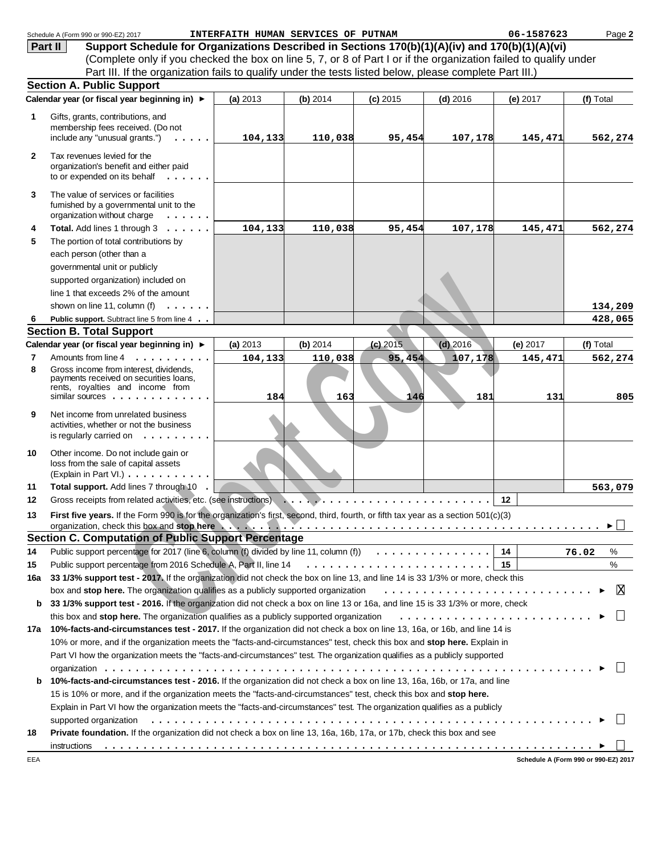|                | Schedule A (Form 990 or 990-EZ) 2017                                                                                                            | INTERFAITH HUMAN SERVICES OF PUTNAM |          |            |            | 06-1587623 | Page 2                               |
|----------------|-------------------------------------------------------------------------------------------------------------------------------------------------|-------------------------------------|----------|------------|------------|------------|--------------------------------------|
|                | Support Schedule for Organizations Described in Sections 170(b)(1)(A)(iv) and 170(b)(1)(A)(vi)<br>Part II                                       |                                     |          |            |            |            |                                      |
|                | (Complete only if you checked the box on line 5, 7, or 8 of Part I or if the organization failed to qualify under                               |                                     |          |            |            |            |                                      |
|                | Part III. If the organization fails to qualify under the tests listed below, please complete Part III.)                                         |                                     |          |            |            |            |                                      |
|                | <b>Section A. Public Support</b>                                                                                                                |                                     |          |            |            |            |                                      |
|                | Calendar year (or fiscal year beginning in) ▶                                                                                                   | (a) 2013                            | (b) 2014 | $(c)$ 2015 | $(d)$ 2016 | (e) 2017   | (f) Total                            |
| 1              | Gifts, grants, contributions, and<br>membership fees received. (Do not<br>include any "unusual grants.")                                        | 104, 133                            | 110,038  | 95,454     | 107,178    | 145,471    | 562,274                              |
| $\mathbf{2}$   | Tax revenues levied for the<br>organization's benefit and either paid<br>to or expended on its behalf                                           |                                     |          |            |            |            |                                      |
| 3              | The value of services or facilities<br>furnished by a governmental unit to the<br>organization without charge<br>.                              |                                     |          |            |            |            |                                      |
| 4              | Total. Add lines 1 through 3                                                                                                                    | 104,133                             | 110,038  | 95,454     | 107,178    | 145,471    | 562,274                              |
| 5              | The portion of total contributions by                                                                                                           |                                     |          |            |            |            |                                      |
|                | each person (other than a                                                                                                                       |                                     |          |            |            |            |                                      |
|                | governmental unit or publicly                                                                                                                   |                                     |          |            |            |            |                                      |
|                | supported organization) included on                                                                                                             |                                     |          |            |            |            |                                      |
|                | line 1 that exceeds 2% of the amount                                                                                                            |                                     |          |            |            |            |                                      |
|                | shown on line 11, column (f)<br>1.1.1.1.1                                                                                                       |                                     |          |            |            |            | 134,209                              |
| 6              | Public support. Subtract line 5 from line 4                                                                                                     |                                     |          |            |            |            | 428,065                              |
|                | <b>Section B. Total Support</b>                                                                                                                 |                                     |          |            |            |            |                                      |
|                | Calendar year (or fiscal year beginning in) ▶                                                                                                   | (a) 2013                            | (b) 2014 | $(c)$ 2015 | $(d)$ 2016 | (e) 2017   | (f) Total                            |
| $\overline{7}$ | Amounts from line 4                                                                                                                             | 104,133                             | 110,038  | 95,454     | 107,178    | 145,471    | 562,274                              |
| 8              | Gross income from interest, dividends,<br>payments received on securities loans,<br>rents, royalties and income from<br>similar sources $\dots$ | 184                                 | 163      | 146        | 181        | 131        | 805                                  |
| 9              | Net income from unrelated business<br>activities, whether or not the business<br>is regularly carried on $\ldots$                               |                                     |          |            |            |            |                                      |
| 10             | Other income. Do not include gain or<br>loss from the sale of capital assets<br>(Explain in Part VI.)                                           |                                     |          |            |            |            |                                      |
| 11             | Total support. Add lines 7 through 10                                                                                                           |                                     |          |            |            |            | 563,079                              |
| 12             | Gross receipts from related activities, etc. (see instructions)                                                                                 |                                     |          |            |            | 12         |                                      |
| 13             | First five years. If the Form 990 is for the organization's first, second, third, fourth, or fifth tax year as a section 501(c)(3)              |                                     |          |            |            |            | ►                                    |
|                | <b>Section C. Computation of Public Support Percentage</b>                                                                                      |                                     |          |            |            |            |                                      |
| 14             | Public support percentage for 2017 (line 6, column (f) divided by line 11, column (f) $\ldots \ldots \ldots \ldots$                             |                                     |          |            |            | 14         | 76.02<br>%                           |
| 15             |                                                                                                                                                 |                                     |          |            |            |            | %                                    |
| 16a            | 33 1/3% support test - 2017. If the organization did not check the box on line 13, and line 14 is 33 1/3% or more, check this                   |                                     |          |            |            |            |                                      |
|                | box and stop here. The organization qualifies as a publicly supported organization                                                              |                                     |          |            |            |            | ΙX                                   |
| b              | 33 1/3% support test - 2016. If the organization did not check a box on line 13 or 16a, and line 15 is 33 1/3% or more, check                   |                                     |          |            |            |            |                                      |
|                | this box and stop here. The organization qualifies as a publicly supported organization                                                         |                                     |          |            |            |            |                                      |
|                | 17a 10%-facts-and-circumstances test - 2017. If the organization did not check a box on line 13, 16a, or 16b, and line 14 is                    |                                     |          |            |            |            |                                      |
|                | 10% or more, and if the organization meets the "facts-and-circumstances" test, check this box and stop here. Explain in                         |                                     |          |            |            |            |                                      |
|                | Part VI how the organization meets the "facts-and-circumstances" test. The organization qualifies as a publicly supported                       |                                     |          |            |            |            |                                      |
|                |                                                                                                                                                 |                                     |          |            |            |            |                                      |
| b              | 10%-facts-and-circumstances test - 2016. If the organization did not check a box on line 13, 16a, 16b, or 17a, and line                         |                                     |          |            |            |            |                                      |
|                | 15 is 10% or more, and if the organization meets the "facts-and-circumstances" test, check this box and stop here.                              |                                     |          |            |            |            |                                      |
|                | Explain in Part VI how the organization meets the "facts-and-circumstances" test. The organization qualifies as a publicly                      |                                     |          |            |            |            |                                      |
|                | supported organization education of the content of the content of the content of the content of the content of                                  |                                     |          |            |            |            |                                      |
| 18             | Private foundation. If the organization did not check a box on line 13, 16a, 16b, 17a, or 17b, check this box and see                           |                                     |          |            |            |            |                                      |
|                | instructions                                                                                                                                    |                                     |          |            |            |            |                                      |
| EEA            |                                                                                                                                                 |                                     |          |            |            |            | Schedule A (Form 990 or 990-EZ) 2017 |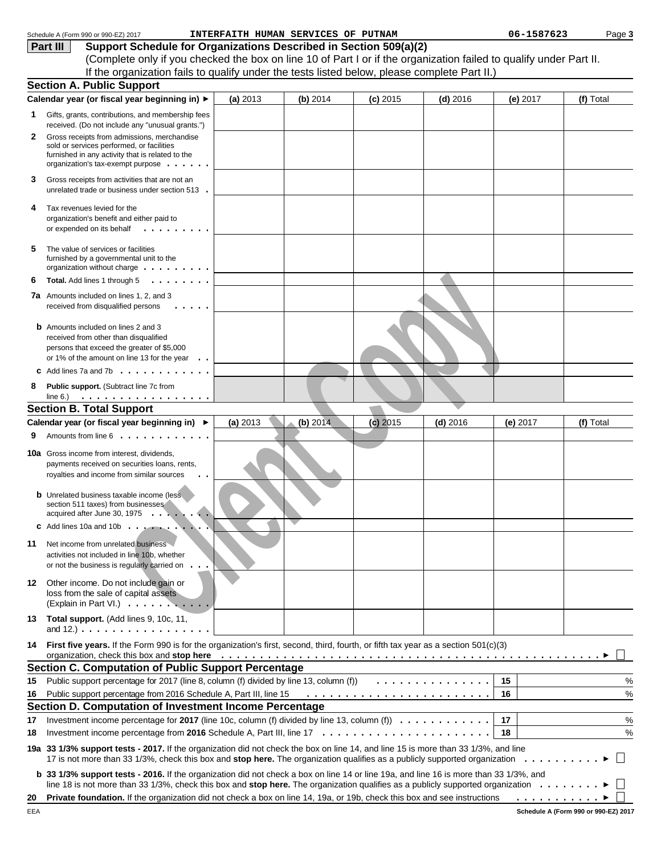|    | Schedule A (Form 990 or 990-EZ) 2017                                                                                                                                                                                                                                                                                                                                |          | INTERFAITH HUMAN SERVICES OF PUTNAM |            |            | 06-1587623                     | Page 3    |  |  |
|----|---------------------------------------------------------------------------------------------------------------------------------------------------------------------------------------------------------------------------------------------------------------------------------------------------------------------------------------------------------------------|----------|-------------------------------------|------------|------------|--------------------------------|-----------|--|--|
|    | Support Schedule for Organizations Described in Section 509(a)(2)<br>Part III                                                                                                                                                                                                                                                                                       |          |                                     |            |            |                                |           |  |  |
|    | (Complete only if you checked the box on line 10 of Part I or if the organization failed to qualify under Part II.                                                                                                                                                                                                                                                  |          |                                     |            |            |                                |           |  |  |
|    | If the organization fails to qualify under the tests listed below, please complete Part II.)                                                                                                                                                                                                                                                                        |          |                                     |            |            |                                |           |  |  |
|    | <b>Section A. Public Support</b>                                                                                                                                                                                                                                                                                                                                    |          |                                     |            |            |                                |           |  |  |
|    | Calendar year (or fiscal year beginning in) ▶                                                                                                                                                                                                                                                                                                                       | (a) 2013 | (b) 2014                            | $(c)$ 2015 | $(d)$ 2016 | (e) $2017$                     | (f) Total |  |  |
| 1  | Gifts, grants, contributions, and membership fees<br>received. (Do not include any "unusual grants.")                                                                                                                                                                                                                                                               |          |                                     |            |            |                                |           |  |  |
| 2  | Gross receipts from admissions, merchandise<br>sold or services performed, or facilities<br>furnished in any activity that is related to the<br>organization's tax-exempt purpose                                                                                                                                                                                   |          |                                     |            |            |                                |           |  |  |
| З  | Gross receipts from activities that are not an<br>unrelated trade or business under section 513.                                                                                                                                                                                                                                                                    |          |                                     |            |            |                                |           |  |  |
| 4  | Tax revenues levied for the<br>organization's benefit and either paid to<br>or expended on its behalf<br>.                                                                                                                                                                                                                                                          |          |                                     |            |            |                                |           |  |  |
| 5  | The value of services or facilities<br>furnished by a governmental unit to the<br>organization without charge                                                                                                                                                                                                                                                       |          |                                     |            |            |                                |           |  |  |
| 6  | .<br>Total. Add lines 1 through 5                                                                                                                                                                                                                                                                                                                                   |          |                                     |            |            |                                |           |  |  |
|    | <b>7a</b> Amounts included on lines 1, 2, and 3<br>received from disqualified persons                                                                                                                                                                                                                                                                               |          |                                     |            |            |                                |           |  |  |
|    | <b>b</b> Amounts included on lines 2 and 3<br>received from other than disqualified<br>persons that exceed the greater of \$5,000<br>or 1% of the amount on line 13 for the year                                                                                                                                                                                    |          |                                     |            |            |                                |           |  |  |
|    | Add lines 7a and 7b $\ldots$ , $\ldots$ , $\ldots$ , $\ldots$                                                                                                                                                                                                                                                                                                       |          |                                     |            |            |                                |           |  |  |
| 8  | Public support. (Subtract line 7c from                                                                                                                                                                                                                                                                                                                              |          |                                     |            |            |                                |           |  |  |
|    |                                                                                                                                                                                                                                                                                                                                                                     |          |                                     |            |            |                                |           |  |  |
|    | <b>Section B. Total Support</b>                                                                                                                                                                                                                                                                                                                                     |          |                                     |            |            |                                |           |  |  |
|    | Calendar year (or fiscal year beginning in) ▶                                                                                                                                                                                                                                                                                                                       | (a) 2013 | (b) 2014                            | $(c)$ 2015 | $(d)$ 2016 | (e) $2017$                     | (f) Total |  |  |
|    | Amounts from line 6                                                                                                                                                                                                                                                                                                                                                 |          |                                     |            |            |                                |           |  |  |
|    | <b>10a</b> Gross income from interest, dividends,<br>payments received on securities loans, rents,<br>royalties and income from similar sources                                                                                                                                                                                                                     |          |                                     |            |            |                                |           |  |  |
|    | <b>b</b> Unrelated business taxable income (less<br>section 511 taxes) from businesses<br>acquired after June 30, 1975 $\ldots$ , $\ldots$                                                                                                                                                                                                                          |          |                                     |            |            |                                |           |  |  |
|    | $\text{c}$ Add lines 10a and 10b $\ldots$ $\ldots$ $\ldots$                                                                                                                                                                                                                                                                                                         |          |                                     |            |            |                                |           |  |  |
| 11 | Net income from unrelated business<br>activities not included in line 10b, whether<br>or not the business is regularly carried on.                                                                                                                                                                                                                                  |          |                                     |            |            |                                |           |  |  |
| 12 | Other income. Do not include gain or<br>loss from the sale of capital assets<br>(Explain in Part VI.)                                                                                                                                                                                                                                                               |          |                                     |            |            |                                |           |  |  |
| 13 | Total support. (Add lines 9, 10c, 11,<br>and $12.$ ) $\ldots$ $\ldots$ $\ldots$ $\ldots$ $\ldots$ $\ldots$ $\ldots$                                                                                                                                                                                                                                                 |          |                                     |            |            |                                |           |  |  |
| 14 | First five years. If the Form 990 is for the organization's first, second, third, fourth, or fifth tax year as a section 501(c)(3)<br>organization, check this box and stop here entirely and state of the content of the content of the content of the content of the content of the content of the content of the content of the content of the content of the co |          |                                     |            |            |                                |           |  |  |
|    | <b>Section C. Computation of Public Support Percentage</b>                                                                                                                                                                                                                                                                                                          |          |                                     |            |            |                                |           |  |  |
| 15 | Public support percentage for 2017 (line 8, column (f) divided by line 13, column (f))                                                                                                                                                                                                                                                                              |          |                                     |            | .          | 15                             | %         |  |  |
| 16 | Public support percentage from 2016 Schedule A, Part III, line 15                                                                                                                                                                                                                                                                                                   |          |                                     |            |            | 16                             | $\%$      |  |  |
|    | Section D. Computation of Investment Income Percentage                                                                                                                                                                                                                                                                                                              |          |                                     |            |            |                                |           |  |  |
| 17 | Investment income percentage for 2017 (line 10c, column (f) divided by line 13, column (f) $\ldots \ldots \ldots \ldots$                                                                                                                                                                                                                                            |          |                                     |            |            | 17                             | $\%$      |  |  |
| 18 |                                                                                                                                                                                                                                                                                                                                                                     |          |                                     |            |            | 18                             | $\%$      |  |  |
|    | 19a 33 1/3% support tests - 2017. If the organization did not check the box on line 14, and line 15 is more than 33 1/3%, and line                                                                                                                                                                                                                                  |          |                                     |            |            |                                |           |  |  |
|    | b 33 1/3% support tests - 2016. If the organization did not check a box on line 14 or line 19a, and line 16 is more than 33 1/3%, and<br>line 18 is not more than 33 1/3%, check this box and stop here. The organization qualifies as a publicly supported organization                                                                                            |          |                                     |            |            |                                |           |  |  |
| 20 | Private foundation. If the organization did not check a box on line 14, 19a, or 19b, check this box and see instructions                                                                                                                                                                                                                                            |          |                                     |            |            | $\ldots$ $\blacktriangleright$ |           |  |  |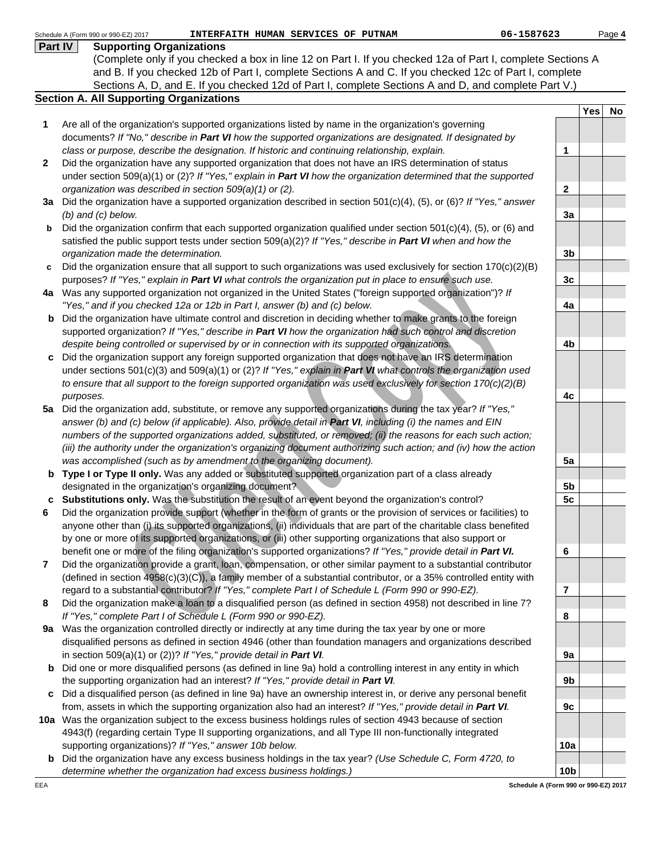|     | Part IV<br><b>Supporting Organizations</b>                                                                                 |                         |     |    |
|-----|----------------------------------------------------------------------------------------------------------------------------|-------------------------|-----|----|
|     | (Complete only if you checked a box in line 12 on Part I. If you checked 12a of Part I, complete Sections A                |                         |     |    |
|     | and B. If you checked 12b of Part I, complete Sections A and C. If you checked 12c of Part I, complete                     |                         |     |    |
|     | Sections A, D, and E. If you checked 12d of Part I, complete Sections A and D, and complete Part V.)                       |                         |     |    |
|     | <b>Section A. All Supporting Organizations</b>                                                                             |                         |     |    |
|     |                                                                                                                            |                         | Yes | No |
| 1   | Are all of the organization's supported organizations listed by name in the organization's governing                       |                         |     |    |
|     | documents? If "No," describe in Part VI how the supported organizations are designated. If designated by                   |                         |     |    |
|     | class or purpose, describe the designation. If historic and continuing relationship, explain.                              | 1                       |     |    |
| 2   | Did the organization have any supported organization that does not have an IRS determination of status                     |                         |     |    |
|     | under section 509(a)(1) or (2)? If "Yes," explain in Part VI how the organization determined that the supported            |                         |     |    |
|     | organization was described in section 509(a)(1) or (2).                                                                    | $\overline{2}$          |     |    |
|     | 3a Did the organization have a supported organization described in section $501(c)(4)$ , (5), or (6)? If "Yes," answer     |                         |     |    |
|     | $(b)$ and $(c)$ below.                                                                                                     | 3a                      |     |    |
| b   | Did the organization confirm that each supported organization qualified under section $501(c)(4)$ , (5), or (6) and        |                         |     |    |
|     | satisfied the public support tests under section $509(a)(2)?$ If "Yes," describe in Part VI when and how the               |                         |     |    |
|     |                                                                                                                            |                         |     |    |
|     | organization made the determination.                                                                                       | 3 <sub>b</sub>          |     |    |
| c   | Did the organization ensure that all support to such organizations was used exclusively for section $170(c)(2)(B)$         |                         |     |    |
|     | purposes? If "Yes," explain in Part VI what controls the organization put in place to ensure such use.                     | 3 <sub>c</sub>          |     |    |
|     | 4a Was any supported organization not organized in the United States ("foreign supported organization")? If                |                         |     |    |
|     | "Yes," and if you checked 12a or 12b in Part I, answer (b) and (c) below.                                                  | 4a                      |     |    |
| b   | Did the organization have ultimate control and discretion in deciding whether to make grants to the foreign                |                         |     |    |
|     | supported organization? If "Yes," describe in Part VI how the organization had such control and discretion                 |                         |     |    |
|     | despite being controlled or supervised by or in connection with its supported organizations.                               | 4b                      |     |    |
| c   | Did the organization support any foreign supported organization that does not have an IRS determination                    |                         |     |    |
|     | under sections $501(c)(3)$ and $509(a)(1)$ or (2)? If "Yes," explain in <b>Part VI</b> what controls the organization used |                         |     |    |
|     | to ensure that all support to the foreign supported organization was used exclusively for section 170(c)(2)(B)             |                         |     |    |
|     | purposes.                                                                                                                  | 4c                      |     |    |
| 5а  | Did the organization add, substitute, or remove any supported organizations during the tax year? If "Yes,"                 |                         |     |    |
|     | answer (b) and (c) below (if applicable). Also, provide detail in Part VI, including (i) the names and EIN                 |                         |     |    |
|     | numbers of the supported organizations added, substituted, or removed; (ii) the reasons for each such action;              |                         |     |    |
|     | (iii) the authority under the organization's organizing document authorizing such action; and (iv) how the action          |                         |     |    |
|     | was accomplished (such as by amendment to the organizing document).                                                        | 5a                      |     |    |
|     | b Type I or Type II only. Was any added or substituted supported organization part of a class already                      |                         |     |    |
|     | designated in the organization's organizing document?                                                                      | 5b                      |     |    |
|     | c Substitutions only. Was the substitution the result of an event beyond the organization's control?                       | 5c                      |     |    |
| 6   | Did the organization provide support (whether in the form of grants or the provision of services or facilities) to         |                         |     |    |
|     | anyone other than (i) its supported organizations, (ii) individuals that are part of the charitable class benefited        |                         |     |    |
|     | by one or more of its supported organizations, or (iii) other supporting organizations that also support or                |                         |     |    |
|     | benefit one or more of the filing organization's supported organizations? If "Yes," provide detail in Part VI.             |                         |     |    |
|     |                                                                                                                            | 6                       |     |    |
| 7   | Did the organization provide a grant, loan, compensation, or other similar payment to a substantial contributor            |                         |     |    |
|     | (defined in section 4958(c)(3)(C)), a family member of a substantial contributor, or a 35% controlled entity with          |                         |     |    |
|     | regard to a substantial contributor? If "Yes," complete Part I of Schedule L (Form 990 or 990-EZ).                         | $\overline{\mathbf{r}}$ |     |    |
| 8   | Did the organization make a loan to a disqualified person (as defined in section 4958) not described in line 7?            |                         |     |    |
|     | If "Yes," complete Part I of Schedule L (Form 990 or 990-EZ).                                                              | 8                       |     |    |
| 9a  | Was the organization controlled directly or indirectly at any time during the tax year by one or more                      |                         |     |    |
|     | disqualified persons as defined in section 4946 (other than foundation managers and organizations described                |                         |     |    |
|     | in section 509(a)(1) or (2))? If "Yes," provide detail in Part VI.                                                         | 9a                      |     |    |
| b   | Did one or more disqualified persons (as defined in line 9a) hold a controlling interest in any entity in which            |                         |     |    |
|     | the supporting organization had an interest? If "Yes," provide detail in Part VI.                                          | 9b                      |     |    |
| C   | Did a disqualified person (as defined in line 9a) have an ownership interest in, or derive any personal benefit            |                         |     |    |
|     | from, assets in which the supporting organization also had an interest? If "Yes," provide detail in Part VI.               | 9c                      |     |    |
|     | 10a Was the organization subject to the excess business holdings rules of section 4943 because of section                  |                         |     |    |
|     | 4943(f) (regarding certain Type II supporting organizations, and all Type III non-functionally integrated                  |                         |     |    |
|     | supporting organizations)? If "Yes," answer 10b below.                                                                     | 10a                     |     |    |
|     | <b>b</b> Did the organization have any excess business holdings in the tax year? (Use Schedule C, Form 4720, to            |                         |     |    |
|     | determine whether the organization had excess business holdings.)                                                          | 10 <sub>b</sub>         |     |    |
| EEA | Schedule A (Form 990 or 990-EZ) 2017                                                                                       |                         |     |    |
|     |                                                                                                                            |                         |     |    |

Schedule A (Form 990 or 990-EZ) 2017

Page **4**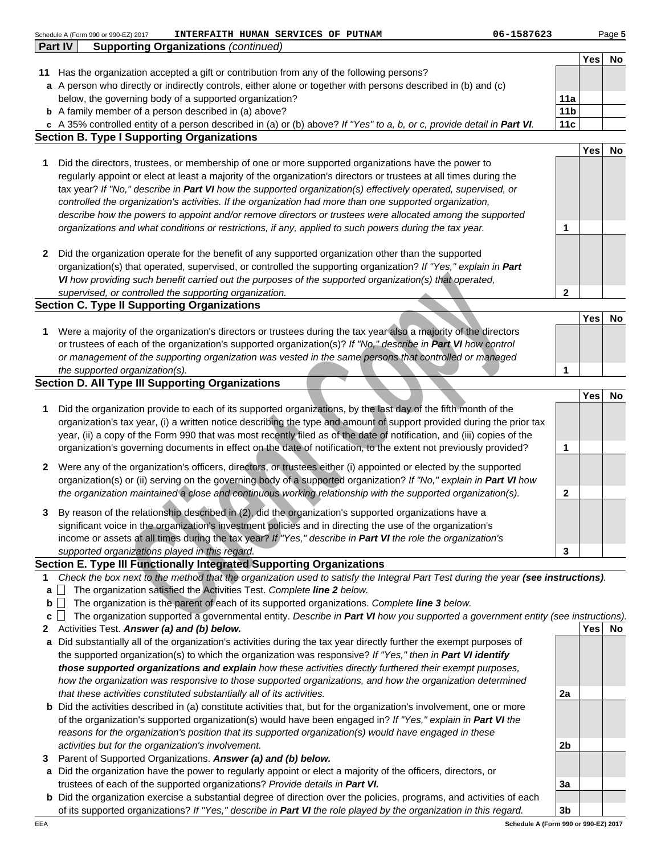|        |         | Schedule A (Form 990 or 990-EZ) 2017 | 06-1587623<br>INTERFAITH HUMAN SERVICES OF PUTNAM                                                                                                                                                                                               |                 |            | Page 5 |
|--------|---------|--------------------------------------|-------------------------------------------------------------------------------------------------------------------------------------------------------------------------------------------------------------------------------------------------|-----------------|------------|--------|
|        | Part IV |                                      | <b>Supporting Organizations (continued)</b>                                                                                                                                                                                                     |                 |            |        |
|        |         |                                      |                                                                                                                                                                                                                                                 |                 | <b>Yes</b> | No     |
| 11     |         |                                      | Has the organization accepted a gift or contribution from any of the following persons?<br>a A person who directly or indirectly controls, either alone or together with persons described in (b) and (c)                                       |                 |            |        |
|        |         |                                      | below, the governing body of a supported organization?                                                                                                                                                                                          | 11a             |            |        |
|        |         |                                      | <b>b</b> A family member of a person described in (a) above?                                                                                                                                                                                    | 11 <sub>b</sub> |            |        |
|        |         |                                      | c A 35% controlled entity of a person described in (a) or (b) above? If "Yes" to a, b, or c, provide detail in Part VI.                                                                                                                         | 11c             |            |        |
|        |         |                                      | <b>Section B. Type I Supporting Organizations</b>                                                                                                                                                                                               |                 |            |        |
|        |         |                                      |                                                                                                                                                                                                                                                 |                 | <b>Yes</b> | No     |
| 1      |         |                                      | Did the directors, trustees, or membership of one or more supported organizations have the power to                                                                                                                                             |                 |            |        |
|        |         |                                      | regularly appoint or elect at least a majority of the organization's directors or trustees at all times during the                                                                                                                              |                 |            |        |
|        |         |                                      | tax year? If "No," describe in Part VI how the supported organization(s) effectively operated, supervised, or                                                                                                                                   |                 |            |        |
|        |         |                                      | controlled the organization's activities. If the organization had more than one supported organization,                                                                                                                                         |                 |            |        |
|        |         |                                      | describe how the powers to appoint and/or remove directors or trustees were allocated among the supported                                                                                                                                       |                 |            |        |
|        |         |                                      | organizations and what conditions or restrictions, if any, applied to such powers during the tax year.                                                                                                                                          | 1               |            |        |
|        |         |                                      |                                                                                                                                                                                                                                                 |                 |            |        |
| 2      |         |                                      | Did the organization operate for the benefit of any supported organization other than the supported                                                                                                                                             |                 |            |        |
|        |         |                                      | organization(s) that operated, supervised, or controlled the supporting organization? If "Yes," explain in Part<br>VI how providing such benefit carried out the purposes of the supported organization(s) that operated,                       |                 |            |        |
|        |         |                                      | supervised, or controlled the supporting organization.                                                                                                                                                                                          | $\mathbf{2}$    |            |        |
|        |         |                                      | <b>Section C. Type II Supporting Organizations</b>                                                                                                                                                                                              |                 |            |        |
|        |         |                                      |                                                                                                                                                                                                                                                 |                 | <b>Yes</b> | No     |
| 1      |         |                                      | Were a majority of the organization's directors or trustees during the tax year also a majority of the directors                                                                                                                                |                 |            |        |
|        |         |                                      | or trustees of each of the organization's supported organization(s)? If "No," describe in Part VI how control                                                                                                                                   |                 |            |        |
|        |         |                                      | or management of the supporting organization was vested in the same persons that controlled or managed                                                                                                                                          |                 |            |        |
|        |         | the supported organization(s).       |                                                                                                                                                                                                                                                 | 1               |            |        |
|        |         |                                      | <b>Section D. All Type III Supporting Organizations</b>                                                                                                                                                                                         |                 |            |        |
|        |         |                                      |                                                                                                                                                                                                                                                 |                 | Yes        | No     |
| 1      |         |                                      | Did the organization provide to each of its supported organizations, by the last day of the fifth month of the                                                                                                                                  |                 |            |        |
|        |         |                                      | organization's tax year, (i) a written notice describing the type and amount of support provided during the prior tax<br>year, (ii) a copy of the Form 990 that was most recently filed as of the date of notification, and (iii) copies of the |                 |            |        |
|        |         |                                      | organization's governing documents in effect on the date of notification, to the extent not previously provided?                                                                                                                                | 1               |            |        |
|        |         |                                      |                                                                                                                                                                                                                                                 |                 |            |        |
| 2      |         |                                      | Were any of the organization's officers, directors, or trustees either (i) appointed or elected by the supported                                                                                                                                |                 |            |        |
|        |         |                                      | organization(s) or (ii) serving on the governing body of a supported organization? If "No," explain in Part VI how                                                                                                                              |                 |            |        |
|        |         |                                      | the organization maintained a close and continuous working relationship with the supported organization(s).                                                                                                                                     | $\mathbf{2}$    |            |        |
|        |         |                                      | By reason of the relationship described in (2), did the organization's supported organizations have a                                                                                                                                           |                 |            |        |
|        |         |                                      | significant voice in the organization's investment policies and in directing the use of the organization's                                                                                                                                      |                 |            |        |
|        |         |                                      | income or assets at all times during the tax year? If "Yes," describe in Part VI the role the organization's                                                                                                                                    |                 |            |        |
|        |         |                                      | supported organizations played in this regard.                                                                                                                                                                                                  | 3               |            |        |
|        |         |                                      | <b>Section E. Type III Functionally Integrated Supporting Organizations</b>                                                                                                                                                                     |                 |            |        |
| 1      |         |                                      | Check the box next to the method that the organization used to satisfy the Integral Part Test during the year (see instructions).                                                                                                               |                 |            |        |
| a      |         |                                      | The organization satisfied the Activities Test. Complete line 2 below.                                                                                                                                                                          |                 |            |        |
| b<br>c |         |                                      | The organization is the parent of each of its supported organizations. Complete line 3 below.<br>The organization supported a governmental entity. Describe in Part VI how you supported a government entity (see instructions).                |                 |            |        |
| 2      |         |                                      | Activities Test. Answer (a) and (b) below.                                                                                                                                                                                                      |                 | Yes        | No.    |
| a      |         |                                      | Did substantially all of the organization's activities during the tax year directly further the exempt purposes of                                                                                                                              |                 |            |        |
|        |         |                                      | the supported organization(s) to which the organization was responsive? If "Yes," then in Part VI identify                                                                                                                                      |                 |            |        |
|        |         |                                      | those supported organizations and explain how these activities directly furthered their exempt purposes,                                                                                                                                        |                 |            |        |
|        |         |                                      | how the organization was responsive to those supported organizations, and how the organization determined                                                                                                                                       |                 |            |        |
|        |         |                                      | that these activities constituted substantially all of its activities.                                                                                                                                                                          | 2a              |            |        |
|        |         |                                      | <b>b</b> Did the activities described in (a) constitute activities that, but for the organization's involvement, one or more                                                                                                                    |                 |            |        |

- of the organization's supported organization(s) would have been engaged in? If "Yes," explain in **Part VI** the reasons for the organization's position that its supported organization(s) would have engaged in these activities but for the organization's involvement.
- **3** Parent of Supported Organizations. **Answer (a) and (b) below.**
- **a** Did the organization have the power to regularly appoint or elect a majority of the officers, directors, or trustees of each of the supported organizations? Provide details in **Part VI.**
- **b** Did the organization exercise a substantial degree of direction over the policies, programs, and activities of each of its supported organizations? If "Yes," describe in **Part VI** the role played by the organization in this regard.

**3b Schedule A (Form 990 or 990-EZ) 2017**

**3a**

**2b**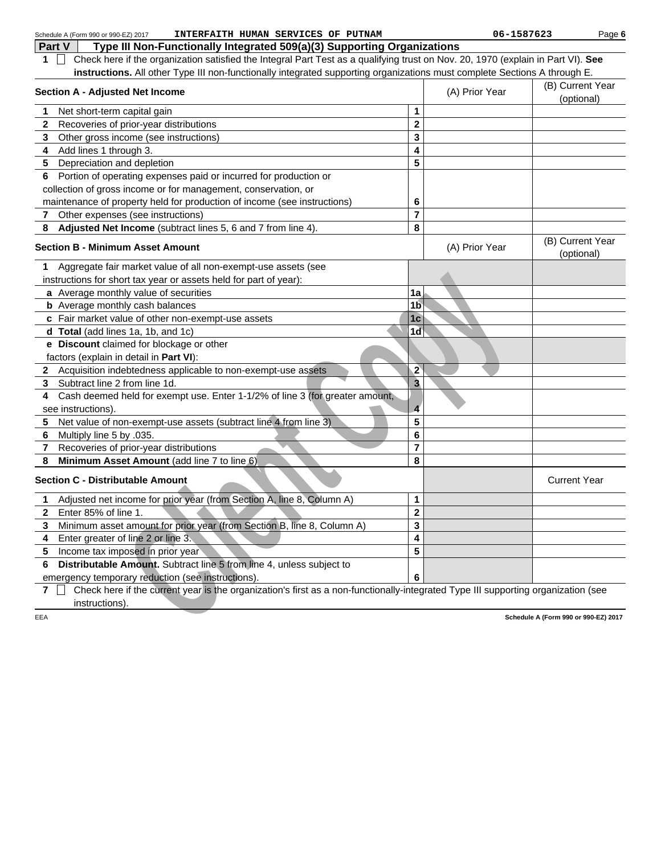|     | INTERFAITH HUMAN SERVICES OF PUTNAM<br>Schedule A (Form 990 or 990-EZ) 2017                                                       |                         | 06-1587623                     |                                      | Page 6 |
|-----|-----------------------------------------------------------------------------------------------------------------------------------|-------------------------|--------------------------------|--------------------------------------|--------|
|     | Part V<br>Type III Non-Functionally Integrated 509(a)(3) Supporting Organizations                                                 |                         |                                |                                      |        |
| 1.  | Check here if the organization satisfied the Integral Part Test as a qualifying trust on Nov. 20, 1970 (explain in Part VI). See  |                         |                                |                                      |        |
|     | instructions. All other Type III non-functionally integrated supporting organizations must complete Sections A through E.         |                         |                                |                                      |        |
|     | <b>Section A - Adjusted Net Income</b>                                                                                            | (A) Prior Year          | (B) Current Year<br>(optional) |                                      |        |
| 1   | Net short-term capital gain                                                                                                       | 1                       |                                |                                      |        |
| 2   | Recoveries of prior-year distributions                                                                                            | $\mathbf 2$             |                                |                                      |        |
| 3   | Other gross income (see instructions)                                                                                             | 3                       |                                |                                      |        |
| 4   | Add lines 1 through 3.                                                                                                            | 4                       |                                |                                      |        |
| 5   | Depreciation and depletion                                                                                                        | 5                       |                                |                                      |        |
| 6   | Portion of operating expenses paid or incurred for production or                                                                  |                         |                                |                                      |        |
|     | collection of gross income or for management, conservation, or                                                                    |                         |                                |                                      |        |
|     | maintenance of property held for production of income (see instructions)                                                          | 6                       |                                |                                      |        |
| 7   | Other expenses (see instructions)                                                                                                 | $\overline{7}$          |                                |                                      |        |
| 8   | Adjusted Net Income (subtract lines 5, 6 and 7 from line 4).                                                                      | 8                       |                                |                                      |        |
|     | <b>Section B - Minimum Asset Amount</b>                                                                                           |                         | (A) Prior Year                 | (B) Current Year<br>(optional)       |        |
| 1   | Aggregate fair market value of all non-exempt-use assets (see                                                                     |                         |                                |                                      |        |
|     | instructions for short tax year or assets held for part of year):                                                                 |                         |                                |                                      |        |
|     | a Average monthly value of securities                                                                                             | 1a                      |                                |                                      |        |
|     | <b>b</b> Average monthly cash balances                                                                                            | 1 <sub>b</sub>          |                                |                                      |        |
|     | c Fair market value of other non-exempt-use assets                                                                                | 1 <sub>c</sub>          |                                |                                      |        |
|     | d Total (add lines 1a, 1b, and 1c)                                                                                                | 1 <sub>d</sub>          |                                |                                      |        |
|     | e Discount claimed for blockage or other                                                                                          |                         |                                |                                      |        |
|     | factors (explain in detail in Part VI):                                                                                           |                         |                                |                                      |        |
|     | 2 Acquisition indebtedness applicable to non-exempt-use assets                                                                    | $\overline{2}$          |                                |                                      |        |
| 3   | Subtract line 2 from line 1d.                                                                                                     | $\overline{\mathbf{3}}$ |                                |                                      |        |
| 4   | Cash deemed held for exempt use. Enter 1-1/2% of line 3 (for greater amount,                                                      |                         |                                |                                      |        |
|     | see instructions).                                                                                                                | $\overline{\mathbf{4}}$ |                                |                                      |        |
| 5   | Net value of non-exempt-use assets (subtract line 4 from line 3)                                                                  | 5                       |                                |                                      |        |
| 6   | Multiply line 5 by .035.                                                                                                          | 6                       |                                |                                      |        |
| 7   | Recoveries of prior-year distributions                                                                                            | $\overline{7}$          |                                |                                      |        |
| 8   | Minimum Asset Amount (add line 7 to line 6)                                                                                       | 8                       |                                |                                      |        |
|     | <b>Section C - Distributable Amount</b>                                                                                           |                         |                                | <b>Current Year</b>                  |        |
| 1   | Adjusted net income for prior year (from Section A, line 8, Column A)                                                             | 1                       |                                |                                      |        |
| 2   | Enter 85% of line 1.                                                                                                              | $\mathbf 2$             |                                |                                      |        |
| 3   | Minimum asset amount for prior year (from Section B, line 8, Column A)                                                            | 3                       |                                |                                      |        |
| 4   | Enter greater of line 2 or line 3.                                                                                                | 4                       |                                |                                      |        |
| 5   | Income tax imposed in prior year                                                                                                  | 5                       |                                |                                      |        |
| 6   | Distributable Amount. Subtract line 5 from line 4, unless subject to                                                              |                         |                                |                                      |        |
|     | emergency temporary reduction (see instructions).                                                                                 | 6                       |                                |                                      |        |
| 7   | Check here if the current year is the organization's first as a non-functionally-integrated Type III supporting organization (see |                         |                                |                                      |        |
|     | instructions).                                                                                                                    |                         |                                |                                      |        |
| EEA |                                                                                                                                   |                         |                                | Schedule A (Form 990 or 990-EZ) 2017 |        |
|     |                                                                                                                                   |                         |                                |                                      |        |
|     |                                                                                                                                   |                         |                                |                                      |        |
|     |                                                                                                                                   |                         |                                |                                      |        |
|     |                                                                                                                                   |                         |                                |                                      |        |
|     |                                                                                                                                   |                         |                                |                                      |        |
|     |                                                                                                                                   |                         |                                |                                      |        |
|     |                                                                                                                                   |                         |                                |                                      |        |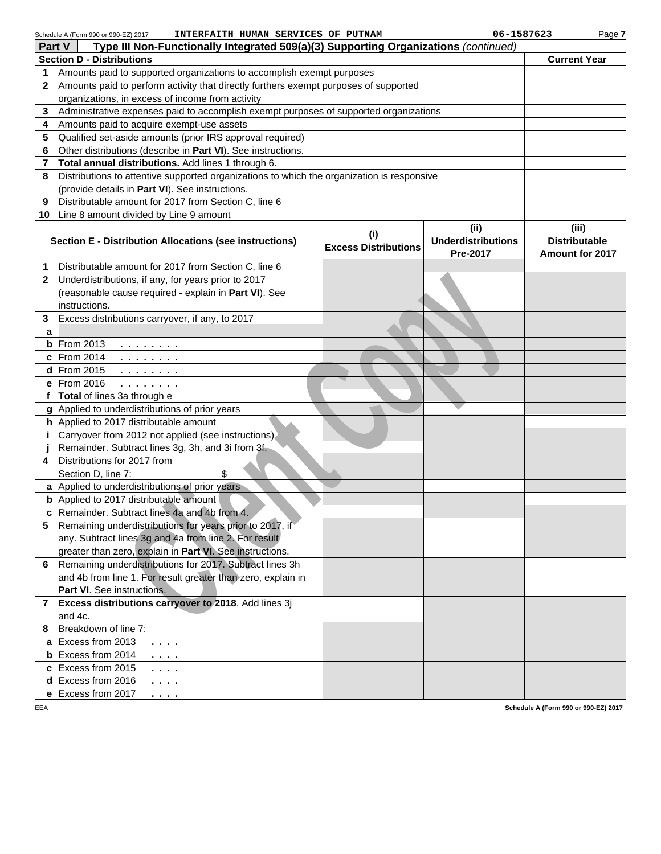| Schedule A (Form 990 or 990-EZ) 2017 | INTERFAITH HUMAN SERVICES OF PUTNAM |  |  |  |  |
|--------------------------------------|-------------------------------------|--|--|--|--|
|--------------------------------------|-------------------------------------|--|--|--|--|

Page **7**

|              | Type III Non-Functionally Integrated 509(a)(3) Supporting Organizations (continued)<br>Part V    |                                             |                                       |                                         |  |  |  |  |  |
|--------------|--------------------------------------------------------------------------------------------------|---------------------------------------------|---------------------------------------|-----------------------------------------|--|--|--|--|--|
|              | <b>Section D - Distributions</b>                                                                 |                                             |                                       | <b>Current Year</b>                     |  |  |  |  |  |
| 1            | Amounts paid to supported organizations to accomplish exempt purposes                            |                                             |                                       |                                         |  |  |  |  |  |
| 2            | Amounts paid to perform activity that directly furthers exempt purposes of supported             |                                             |                                       |                                         |  |  |  |  |  |
|              | organizations, in excess of income from activity                                                 |                                             |                                       |                                         |  |  |  |  |  |
| 3            | Administrative expenses paid to accomplish exempt purposes of supported organizations            |                                             |                                       |                                         |  |  |  |  |  |
| 4            | Amounts paid to acquire exempt-use assets                                                        |                                             |                                       |                                         |  |  |  |  |  |
| 5            | Qualified set-aside amounts (prior IRS approval required)                                        |                                             |                                       |                                         |  |  |  |  |  |
| 6            | Other distributions (describe in Part VI). See instructions.                                     |                                             |                                       |                                         |  |  |  |  |  |
| 7            | Total annual distributions. Add lines 1 through 6.                                               |                                             |                                       |                                         |  |  |  |  |  |
| 8            | Distributions to attentive supported organizations to which the organization is responsive       |                                             |                                       |                                         |  |  |  |  |  |
|              | (provide details in Part VI). See instructions.                                                  |                                             |                                       |                                         |  |  |  |  |  |
| 9            | Distributable amount for 2017 from Section C, line 6                                             |                                             |                                       |                                         |  |  |  |  |  |
|              | 10 Line 8 amount divided by Line 9 amount                                                        |                                             |                                       |                                         |  |  |  |  |  |
|              |                                                                                                  |                                             | (iii)                                 | (iii)                                   |  |  |  |  |  |
|              | <b>Section E - Distribution Allocations (see instructions)</b>                                   | $\mathbf{u}$<br><b>Excess Distributions</b> | <b>Underdistributions</b><br>Pre-2017 | <b>Distributable</b><br>Amount for 2017 |  |  |  |  |  |
|              | 1 Distributable amount for 2017 from Section C, line 6                                           |                                             |                                       |                                         |  |  |  |  |  |
| $\mathbf{2}$ | Underdistributions, if any, for years prior to 2017                                              |                                             |                                       |                                         |  |  |  |  |  |
|              | (reasonable cause required - explain in Part VI). See                                            |                                             |                                       |                                         |  |  |  |  |  |
|              | instructions.                                                                                    |                                             |                                       |                                         |  |  |  |  |  |
| 3            | Excess distributions carryover, if any, to 2017                                                  |                                             |                                       |                                         |  |  |  |  |  |
| a            |                                                                                                  |                                             |                                       |                                         |  |  |  |  |  |
|              | <b>b</b> From 2013<br>.                                                                          |                                             |                                       |                                         |  |  |  |  |  |
|              | c From 2014<br>$\mathcal{L}^{\mathcal{A}}$ . The set of the set of $\mathcal{A}$                 |                                             |                                       |                                         |  |  |  |  |  |
|              | d From 2015<br>$\begin{array}{cccccccccccccc} . & . & . & . & . & . & . & . & . & . \end{array}$ |                                             |                                       |                                         |  |  |  |  |  |
|              | e From 2016<br>$\begin{array}{cccccccccccccc} . & . & . & . & . & . & . & . & . & . \end{array}$ |                                             |                                       |                                         |  |  |  |  |  |
|              | f Total of lines 3a through e                                                                    |                                             |                                       |                                         |  |  |  |  |  |
|              | g Applied to underdistributions of prior years                                                   |                                             |                                       |                                         |  |  |  |  |  |
|              | h Applied to 2017 distributable amount                                                           |                                             |                                       |                                         |  |  |  |  |  |
|              | <i>i</i> Carryover from 2012 not applied (see instructions)                                      |                                             |                                       |                                         |  |  |  |  |  |
|              | Remainder. Subtract lines 3g, 3h, and 3i from 3f.                                                |                                             |                                       |                                         |  |  |  |  |  |
| 4            | Distributions for 2017 from                                                                      |                                             |                                       |                                         |  |  |  |  |  |
|              | \$<br>Section D, line 7:                                                                         |                                             |                                       |                                         |  |  |  |  |  |
|              | a Applied to underdistributions of prior years                                                   |                                             |                                       |                                         |  |  |  |  |  |
|              | <b>b</b> Applied to 2017 distributable amount                                                    |                                             |                                       |                                         |  |  |  |  |  |
|              | c Remainder. Subtract lines 4a and 4b from 4.                                                    |                                             |                                       |                                         |  |  |  |  |  |
| 5            | Remaining underdistributions for years prior to 2017, if                                         |                                             |                                       |                                         |  |  |  |  |  |
|              | any. Subtract lines 3g and 4a from line 2. For result                                            |                                             |                                       |                                         |  |  |  |  |  |
|              | greater than zero, explain in Part VI. See instructions.                                         |                                             |                                       |                                         |  |  |  |  |  |
|              | 6 Remaining underdistributions for 2017. Subtract lines 3h                                       |                                             |                                       |                                         |  |  |  |  |  |
|              | and 4b from line 1. For result greater than zero, explain in                                     |                                             |                                       |                                         |  |  |  |  |  |
|              | Part VI. See instructions.                                                                       |                                             |                                       |                                         |  |  |  |  |  |
|              | 7 Excess distributions carryover to 2018. Add lines 3j                                           |                                             |                                       |                                         |  |  |  |  |  |
|              | and 4c.                                                                                          |                                             |                                       |                                         |  |  |  |  |  |
| 8.           | Breakdown of line 7:                                                                             |                                             |                                       |                                         |  |  |  |  |  |
|              | a Excess from 2013<br>$\cdots$                                                                   |                                             |                                       |                                         |  |  |  |  |  |
|              | <b>b</b> Excess from 2014<br>.                                                                   |                                             |                                       |                                         |  |  |  |  |  |
|              | c Excess from 2015<br>$\cdots$                                                                   |                                             |                                       |                                         |  |  |  |  |  |
|              | d Excess from 2016<br>.                                                                          |                                             |                                       |                                         |  |  |  |  |  |
|              | e Excess from 2017<br>.                                                                          |                                             |                                       |                                         |  |  |  |  |  |

EEA

**Schedule A (Form 990 or 990-EZ) 2017**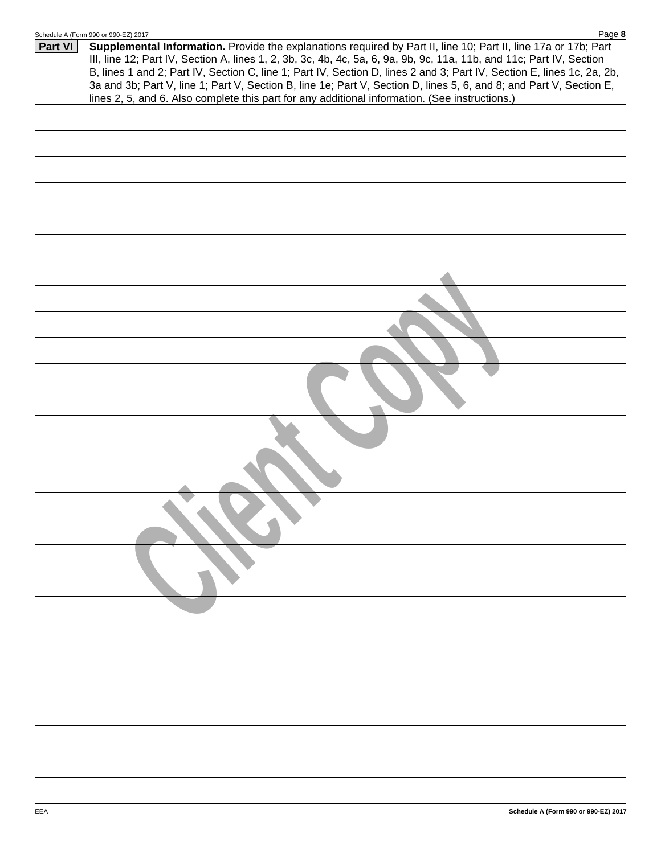|         | Schedule A (Form 990 or 990-EZ) 2017<br><u>Page</u> o                                                                                                                                                                                                                                                                                                                                                                                                                                                                                                                                      |
|---------|--------------------------------------------------------------------------------------------------------------------------------------------------------------------------------------------------------------------------------------------------------------------------------------------------------------------------------------------------------------------------------------------------------------------------------------------------------------------------------------------------------------------------------------------------------------------------------------------|
| Part VI | Supplemental Information. Provide the explanations required by Part II, line 10; Part II, line 17a or 17b; Part<br>III, line 12; Part IV, Section A, lines 1, 2, 3b, 3c, 4b, 4c, 5a, 6, 9a, 9b, 9c, 11a, 11b, and 11c; Part IV, Section<br>B, lines 1 and 2; Part IV, Section C, line 1; Part IV, Section D, lines 2 and 3; Part IV, Section E, lines 1c, 2a, 2b,<br>3a and 3b; Part V, line 1; Part V, Section B, line 1e; Part V, Section D, lines 5, 6, and 8; and Part V, Section E,<br>lines 2, 5, and 6. Also complete this part for any additional information. (See instructions.) |
|         |                                                                                                                                                                                                                                                                                                                                                                                                                                                                                                                                                                                            |
|         |                                                                                                                                                                                                                                                                                                                                                                                                                                                                                                                                                                                            |
|         |                                                                                                                                                                                                                                                                                                                                                                                                                                                                                                                                                                                            |
|         |                                                                                                                                                                                                                                                                                                                                                                                                                                                                                                                                                                                            |
|         |                                                                                                                                                                                                                                                                                                                                                                                                                                                                                                                                                                                            |
|         |                                                                                                                                                                                                                                                                                                                                                                                                                                                                                                                                                                                            |
|         |                                                                                                                                                                                                                                                                                                                                                                                                                                                                                                                                                                                            |
|         |                                                                                                                                                                                                                                                                                                                                                                                                                                                                                                                                                                                            |
|         |                                                                                                                                                                                                                                                                                                                                                                                                                                                                                                                                                                                            |
|         |                                                                                                                                                                                                                                                                                                                                                                                                                                                                                                                                                                                            |
|         |                                                                                                                                                                                                                                                                                                                                                                                                                                                                                                                                                                                            |
|         |                                                                                                                                                                                                                                                                                                                                                                                                                                                                                                                                                                                            |
|         |                                                                                                                                                                                                                                                                                                                                                                                                                                                                                                                                                                                            |
|         |                                                                                                                                                                                                                                                                                                                                                                                                                                                                                                                                                                                            |
|         |                                                                                                                                                                                                                                                                                                                                                                                                                                                                                                                                                                                            |
|         |                                                                                                                                                                                                                                                                                                                                                                                                                                                                                                                                                                                            |
|         |                                                                                                                                                                                                                                                                                                                                                                                                                                                                                                                                                                                            |
|         |                                                                                                                                                                                                                                                                                                                                                                                                                                                                                                                                                                                            |
|         |                                                                                                                                                                                                                                                                                                                                                                                                                                                                                                                                                                                            |
|         |                                                                                                                                                                                                                                                                                                                                                                                                                                                                                                                                                                                            |
|         |                                                                                                                                                                                                                                                                                                                                                                                                                                                                                                                                                                                            |
|         |                                                                                                                                                                                                                                                                                                                                                                                                                                                                                                                                                                                            |
|         |                                                                                                                                                                                                                                                                                                                                                                                                                                                                                                                                                                                            |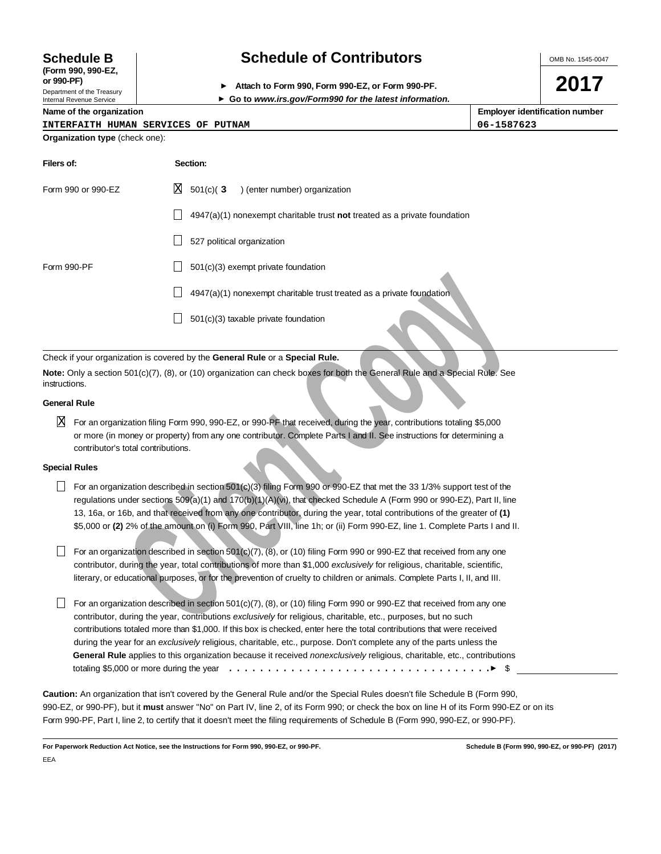# **(Form 990, 990-EZ,**

Department of the Treasury Internal Revenue Service

# **Schedule B Schedule of Contributors**

**or 990-PF) Attach to Form 990, Form 990-EZ, or Form 990-PF.**

**Go to www.irs.gov/Form990 for the latest information.**

**Organization type** (check one):

| Name of the organization            | <b>Employer identification number</b> |
|-------------------------------------|---------------------------------------|
| INTERFAITH HUMAN SERVICES OF PUTNAM | 06-1587623                            |

| Filers of:         | Section:                                                                    |
|--------------------|-----------------------------------------------------------------------------|
| Form 990 or 990-EZ | IХ<br>$501(c)$ (3) (enter number) organization                              |
|                    | $4947(a)(1)$ nonexempt charitable trust not treated as a private foundation |
|                    | 527 political organization                                                  |
| Form 990-PF        | 501(c)(3) exempt private foundation                                         |
|                    | 4947(a)(1) nonexempt charitable trust treated as a private foundation       |
|                    | 501(c)(3) taxable private foundation                                        |

Check if your organization is covered by the **General Rule** or a **Special Rule.**

**Note:** Only a section 501(c)(7), (8), or (10) organization can check boxes for both the General Rule and a Special Rule. See instructions.

#### **General Rule**

 $\overline{\rm X}$  For an organization filing Form 990, 990-EZ, or 990-PF that received, during the year, contributions totaling \$5,000 or more (in money or property) from any one contributor. Complete Parts I and II. See instructions for determining a contributor's total contributions.

#### **Special Rules**

For an organization described in section  $501(c)(3)$  filing Form 990 or 990-EZ that met the 33 1/3% support test of the regulations under sections 509(a)(1) and 170(b)(1)(A)(vi), that checked Schedule A (Form 990 or 990-EZ), Part II, line 13, 16a, or 16b, and that received from any one contributor, during the year, total contributions of the greater of **(1)** \$5,000 or **(2)** 2% of the amount on (i) Form 990, Part VIII, line 1h; or (ii) Form 990-EZ, line 1. Complete Parts I and II.

For an organization described in section 501 $(c)(7)$ ,  $(8)$ , or  $(10)$  filing Form 990 or 990-EZ that received from any one contributor, during the year, total contributions of more than \$1,000 exclusively for religious, charitable, scientific, literary, or educational purposes, or for the prevention of cruelty to children or animals. Complete Parts I, II, and III.

**Clientiation** discrete that in the second and the second and the second and the particle of the particle of the Second Rule of a nation final control of the Second Rule and Special Rule Second Television is covered by the For an organization described in section 501(c)(7), (8), or (10) filing Form 990 or 990-EZ that received from any one contributor, during the year, contributions exclusively for religious, charitable, etc., purposes, but no such contributions totaled more than \$1,000. If this box is checked, enter here the total contributions that were received during the year for an exclusively religious, charitable, etc., purpose. Don't complete any of the parts unless the **General Rule** applies to this organization because it received nonexclusively religious, charitable, etc., contributions totaling \$5,000 or more during the year  $\dots\dots\dots\dots\dots\dots\dots\dots\dots\dots\dots\dots\dots\dots\dots\dots$ 

**Caution:** An organization that isn't covered by the General Rule and/or the Special Rules doesn't file Schedule B (Form 990, 990-EZ, or 990-PF), but it **must** answer "No" on Part IV, line 2, of its Form 990; or check the box on line H of its Form 990-EZ or on its Form 990-PF, Part I, line 2, to certify that it doesn't meet the filing requirements of Schedule B (Form 990, 990-EZ, or 990-PF).

**For Paperwork Reduction Act Notice, see the Instructions for Form 990, 990-EZ, or 990-PF. Schedule B (Form 990, 990-EZ, or 990-PF) (2017)** EEA

OMB No. 1545-0047

**2017**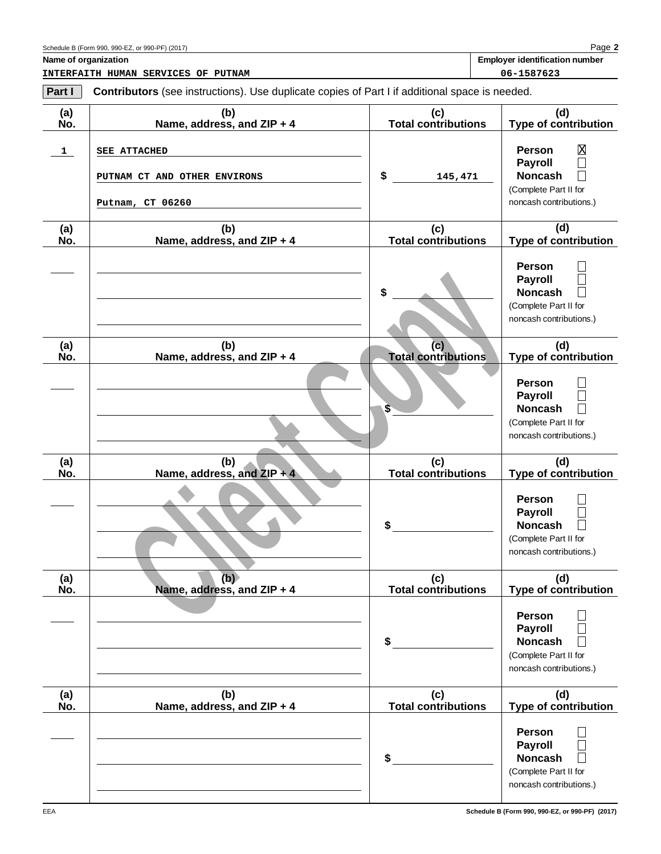| Part I       | <b>Contributors</b> (see instructions). Use duplicate copies of Part I if additional space is needed. |                                   |                                                                                                                                                          |
|--------------|-------------------------------------------------------------------------------------------------------|-----------------------------------|----------------------------------------------------------------------------------------------------------------------------------------------------------|
| (a)<br>No.   | (b)<br>Name, address, and ZIP + 4                                                                     | (c)<br><b>Total contributions</b> | (d)<br><b>Type of contribution</b>                                                                                                                       |
| $\mathbf{1}$ | <b>SEE ATTACHED</b><br>PUTNAM CT AND OTHER ENVIRONS<br>Putnam, CT 06260                               | \$<br>145,471                     | $\overline{\text{X}}$<br><b>Person</b><br><b>Payroll</b><br>$\Box$<br><b>Noncash</b><br>$\mathbf{L}$<br>(Complete Part II for<br>noncash contributions.) |
| (a)<br>No.   | (b)<br>Name, address, and ZIP + 4                                                                     | (c)<br><b>Total contributions</b> | (d)<br>Type of contribution                                                                                                                              |
|              |                                                                                                       | \$                                | <b>Person</b><br><b>Payroll</b><br><b>Noncash</b><br>(Complete Part II for<br>noncash contributions.)                                                    |
| (a)<br>No.   | (b)<br>Name, address, and ZIP + 4                                                                     | (c)<br><b>Total contributions</b> | (d)<br><b>Type of contribution</b>                                                                                                                       |
|              |                                                                                                       | \$                                | <b>Person</b><br><b>Payroll</b><br>$\mathsf{L}$<br><b>Noncash</b><br>(Complete Part II for<br>noncash contributions.)                                    |
| (a)<br>No.   | (b)<br>Name, address, and $ZIP + 4$                                                                   | (c)<br><b>Total contributions</b> | (d)<br><b>Type of contribution</b>                                                                                                                       |
|              |                                                                                                       | \$                                | <b>Person</b><br><b>Payroll</b><br><b>Noncash</b><br>$\mathbf{L}$<br>(Complete Part II for<br>noncash contributions.)                                    |
| (a)<br>No.   | (b)<br>Name, address, and ZIP + 4                                                                     | (c)<br><b>Total contributions</b> | (d)<br><b>Type of contribution</b>                                                                                                                       |
|              |                                                                                                       | \$                                | <b>Person</b><br><b>Payroll</b><br><b>Noncash</b><br>(Complete Part II for<br>noncash contributions.)                                                    |
| (a)<br>No.   | (b)<br>Name, address, and ZIP + 4                                                                     | (c)<br><b>Total contributions</b> | (d)<br><b>Type of contribution</b>                                                                                                                       |
|              |                                                                                                       | \$                                | <b>Person</b><br><b>Payroll</b><br><b>Noncash</b><br>(Complete Part II for<br>noncash contributions.)                                                    |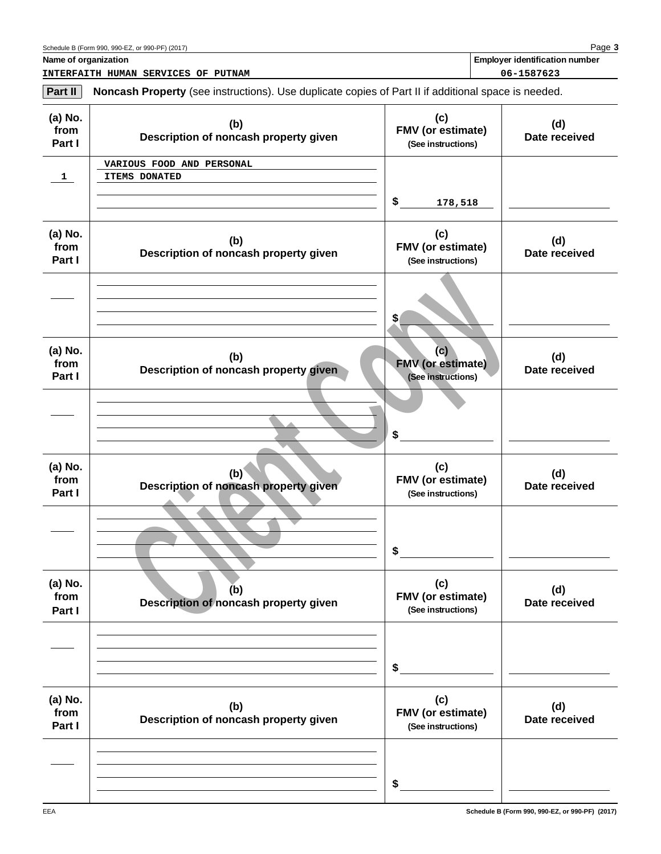**Name of organization Employer identification number Employer identification number** 

**INTERFAITH HUMAN SERVICES OF PUTNAM 06-1587623**

**Part II Noncash Property** (see instructions). Use duplicate copies of Part II if additional space is needed.

| (a) No.<br>from<br>Part I | (b)<br>Description of noncash property given | (c)<br>FMV (or estimate)<br>(See instructions)        | (d)<br>Date received |
|---------------------------|----------------------------------------------|-------------------------------------------------------|----------------------|
| $\mathbf{1}$              | VARIOUS FOOD AND PERSONAL<br>ITEMS DONATED   | \$<br>178,518                                         |                      |
| (a) No.<br>from<br>Part I | (b)<br>Description of noncash property given | (c)<br>FMV (or estimate)<br>(See instructions)        | (d)<br>Date received |
|                           |                                              | \$                                                    |                      |
| (a) No.<br>from<br>Part I | (b)<br>Description of noncash property given | (c)<br><b>FMV</b> (or estimate)<br>(See instructions) | (d)<br>Date received |
|                           |                                              | \$                                                    |                      |
| (a) No.<br>from<br>Part I | (b)<br>Description of noncash property given | (c)<br>FMV (or estimate)<br>(See instructions)        | (d)<br>Date received |
|                           |                                              | \$                                                    |                      |
| (a) No.<br>from<br>Part I | (b)<br>Description of noncash property given | (c)<br><b>FMV</b> (or estimate)<br>(See instructions) | (d)<br>Date received |
|                           |                                              | \$                                                    |                      |
| (a) No.<br>from<br>Part I | (b)<br>Description of noncash property given | (c)<br>FMV (or estimate)<br>(See instructions)        | (d)<br>Date received |
|                           |                                              | \$                                                    |                      |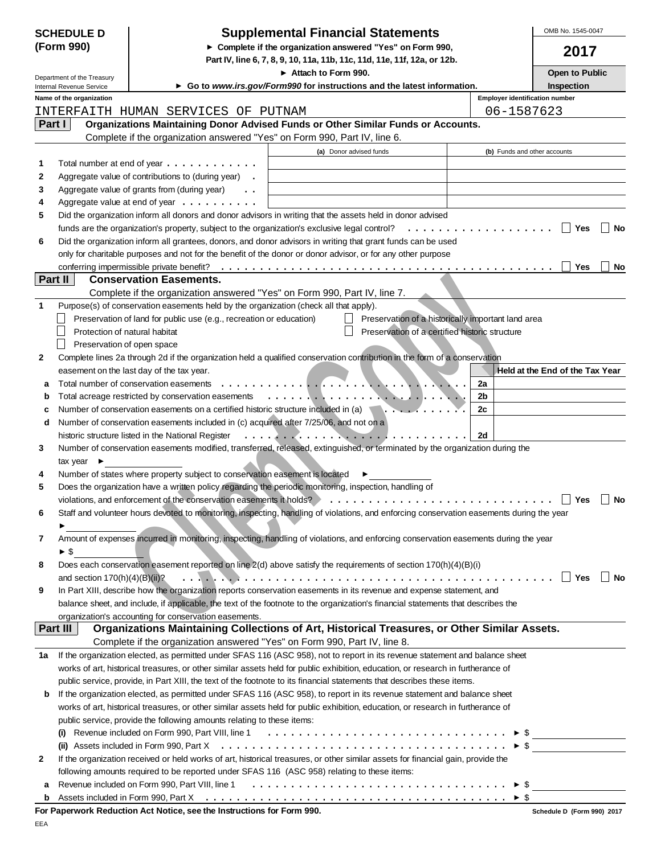|         | <b>SCHEDULE D</b>                | <b>Supplemental Financial Statements</b>                                                                                                                                                                                     |                                       | OMB No. 1545-0047               |
|---------|----------------------------------|------------------------------------------------------------------------------------------------------------------------------------------------------------------------------------------------------------------------------|---------------------------------------|---------------------------------|
|         | (Form 990)                       | Complete if the organization answered "Yes" on Form 990,<br>Part IV, line 6, 7, 8, 9, 10, 11a, 11b, 11c, 11d, 11e, 11f, 12a, or 12b.                                                                                         |                                       | 2017                            |
|         | Department of the Treasury       | Attach to Form 990.                                                                                                                                                                                                          |                                       | Open to Public                  |
|         | Internal Revenue Service         | Go to www.irs.gov/Form990 for instructions and the latest information.                                                                                                                                                       |                                       | Inspection                      |
|         | Name of the organization         |                                                                                                                                                                                                                              | <b>Employer identification number</b> |                                 |
|         |                                  | INTERFAITH HUMAN SERVICES OF PUTNAM                                                                                                                                                                                          | 06-1587623                            |                                 |
| Part I  |                                  | Organizations Maintaining Donor Advised Funds or Other Similar Funds or Accounts.                                                                                                                                            |                                       |                                 |
|         |                                  | Complete if the organization answered "Yes" on Form 990, Part IV, line 6.                                                                                                                                                    |                                       |                                 |
|         |                                  | (a) Donor advised funds                                                                                                                                                                                                      | (b) Funds and other accounts          |                                 |
| 1       |                                  | Total number at end of year $\dots \dots \dots \dots$                                                                                                                                                                        |                                       |                                 |
| 2       |                                  | Aggregate value of contributions to (during year) .                                                                                                                                                                          |                                       |                                 |
| 3       |                                  | Aggregate value of grants from (during year)<br>$\ddot{\phantom{0}}$                                                                                                                                                         |                                       |                                 |
| 4       |                                  | Aggregate value at end of year $\dots \dots \dots$                                                                                                                                                                           |                                       |                                 |
| 5       |                                  | Did the organization inform all donors and donor advisors in writing that the assets held in donor advised                                                                                                                   |                                       |                                 |
|         |                                  | funds are the organization's property, subject to the organization's exclusive legal control?                                                                                                                                |                                       | Yes<br>No                       |
| 6       |                                  | Did the organization inform all grantees, donors, and donor advisors in writing that grant funds can be used<br>only for charitable purposes and not for the benefit of the donor or donor advisor, or for any other purpose |                                       |                                 |
|         |                                  |                                                                                                                                                                                                                              |                                       | Yes<br>No                       |
| Part II |                                  | <b>Conservation Easements.</b>                                                                                                                                                                                               |                                       |                                 |
|         |                                  | Complete if the organization answered "Yes" on Form 990, Part IV, line 7.                                                                                                                                                    |                                       |                                 |
| 1       |                                  | Purpose(s) of conservation easements held by the organization (check all that apply).                                                                                                                                        |                                       |                                 |
|         |                                  | Preservation of land for public use (e.g., recreation or education)<br>Preservation of a historically important land area                                                                                                    |                                       |                                 |
|         | Protection of natural habitat    | Preservation of a certified historic structure                                                                                                                                                                               |                                       |                                 |
|         | Preservation of open space       |                                                                                                                                                                                                                              |                                       |                                 |
| 2       |                                  | Complete lines 2a through 2d if the organization held a qualified conservation contribution in the form of a conservation                                                                                                    |                                       |                                 |
|         |                                  | easement on the last day of the tax year.                                                                                                                                                                                    |                                       | Held at the End of the Tax Year |
| а       |                                  | Total number of conservation easements                                                                                                                                                                                       | 2a                                    |                                 |
|         |                                  | Total acreage restricted by conservation easements<br>$\mathcal{L}$ . The contribution of the contribution of $\mathcal{L}$ . The contribution of $\mathcal{L}$                                                              | 2b                                    |                                 |
| с       |                                  | Number of conservation easements on a certified historic structure included in (a)                                                                                                                                           | 2c                                    |                                 |
| d       |                                  | Number of conservation easements included in (c) acquired after 7/25/06, and not on a                                                                                                                                        |                                       |                                 |
|         |                                  | historic structure listed in the National Register<br>. <i>.</i> .                                                                                                                                                           | 2d                                    |                                 |
| 3       |                                  | Number of conservation easements modified, transferred, released, extinguished, or terminated by the organization during the                                                                                                 |                                       |                                 |
|         | tax year $\blacktriangleright$   |                                                                                                                                                                                                                              |                                       |                                 |
| 4       |                                  | Number of states where property subject to conservation easement is located                                                                                                                                                  |                                       |                                 |
| 5       |                                  | Does the organization have a written policy regarding the periodic monitoring, inspection, handling of                                                                                                                       |                                       |                                 |
|         |                                  | violations, and enforcement of the conservation easements it holds?                                                                                                                                                          |                                       | Yes<br>No                       |
| 6       |                                  | Staff and volunteer hours devoted to monitoring, inspecting, handling of violations, and enforcing conservation easements during the year                                                                                    |                                       |                                 |
|         |                                  |                                                                                                                                                                                                                              |                                       |                                 |
| 7       |                                  | Amount of expenses incurred in monitoring, inspecting, handling of violations, and enforcing conservation easements during the year                                                                                          |                                       |                                 |
|         | $\blacktriangleright$ \$         |                                                                                                                                                                                                                              |                                       |                                 |
| 8       |                                  | Does each conservation easement reported on line 2(d) above satisfy the requirements of section 170(h)(4)(B)(i)                                                                                                              |                                       |                                 |
|         | and section $170(h)(4)(B)(ii)$ ? |                                                                                                                                                                                                                              |                                       | $\Box$ Yes<br>∣ I No            |
| 9       |                                  | In Part XIII, describe how the organization reports conservation easements in its revenue and expense statement, and                                                                                                         |                                       |                                 |
|         |                                  | balance sheet, and include, if applicable, the text of the footnote to the organization's financial statements that describes the                                                                                            |                                       |                                 |
|         |                                  | organization's accounting for conservation easements.                                                                                                                                                                        |                                       |                                 |
|         | Part III                         | Organizations Maintaining Collections of Art, Historical Treasures, or Other Similar Assets.                                                                                                                                 |                                       |                                 |
|         |                                  | Complete if the organization answered "Yes" on Form 990, Part IV, line 8.                                                                                                                                                    |                                       |                                 |
| 1a      |                                  | If the organization elected, as permitted under SFAS 116 (ASC 958), not to report in its revenue statement and balance sheet                                                                                                 |                                       |                                 |
|         |                                  | works of art, historical treasures, or other similar assets held for public exhibition, education, or research in furtherance of                                                                                             |                                       |                                 |
|         |                                  | public service, provide, in Part XIII, the text of the footnote to its financial statements that describes these items.                                                                                                      |                                       |                                 |
| b       |                                  | If the organization elected, as permitted under SFAS 116 (ASC 958), to report in its revenue statement and balance sheet                                                                                                     |                                       |                                 |
|         |                                  | works of art, historical treasures, or other similar assets held for public exhibition, education, or research in furtherance of                                                                                             |                                       |                                 |
|         |                                  | public service, provide the following amounts relating to these items:                                                                                                                                                       |                                       |                                 |
|         |                                  | (i) Revenue included on Form 990, Part VIII, line 1 $\ldots \ldots \ldots \ldots \ldots \ldots \ldots \ldots \ldots \ldots \ldots$                                                                                           |                                       |                                 |
|         |                                  |                                                                                                                                                                                                                              |                                       | $\triangleright$ \$             |
| 2       |                                  | If the organization received or held works of art, historical treasures, or other similar assets for financial gain, provide the                                                                                             |                                       |                                 |
|         |                                  | following amounts required to be reported under SFAS 116 (ASC 958) relating to these items:                                                                                                                                  |                                       |                                 |
| a       |                                  |                                                                                                                                                                                                                              | $\blacktriangleright$ \$              |                                 |
| b       |                                  |                                                                                                                                                                                                                              | $\triangleright$ \$                   |                                 |
|         |                                  | For Paperwork Reduction Act Notice, see the Instructions for Form 990.                                                                                                                                                       |                                       | Schedule D (Form 990) 2017      |

|  |  | . |  |
|--|--|---|--|
|  |  |   |  |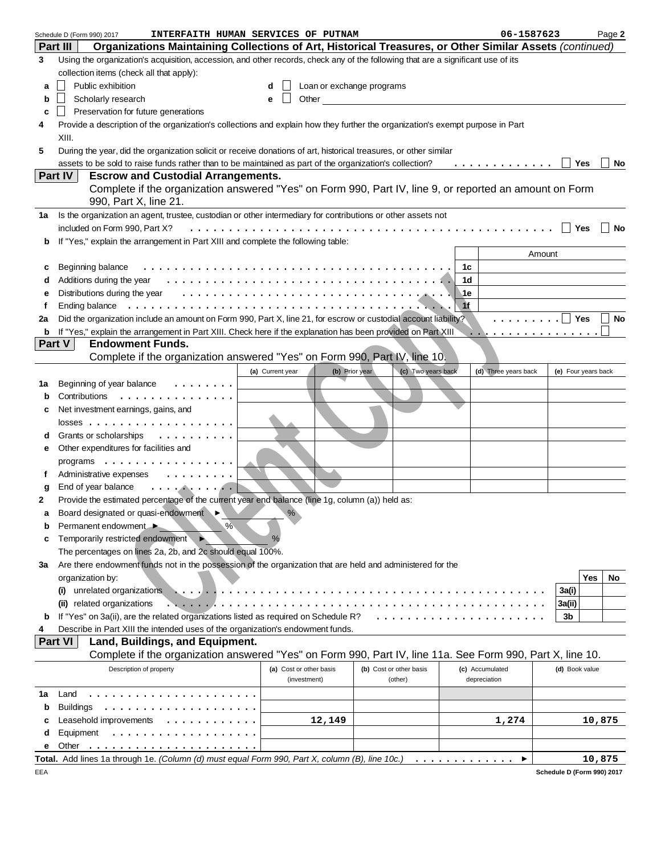| Organizations Maintaining Collections of Art, Historical Treasures, or Other Similar Assets (continued)<br>Part III<br>Using the organization's acquisition, accession, and other records, check any of the following that are a significant use of its<br>3   |    |
|----------------------------------------------------------------------------------------------------------------------------------------------------------------------------------------------------------------------------------------------------------------|----|
|                                                                                                                                                                                                                                                                |    |
|                                                                                                                                                                                                                                                                |    |
| collection items (check all that apply):                                                                                                                                                                                                                       |    |
| Public exhibition<br>Loan or exchange programs<br>d<br>a                                                                                                                                                                                                       |    |
| Scholarly research<br>Other the contract of the contract of the contract of the contract of the contract of the contract of the contract of the contract of the contract of the contract of the contract of the contract of the contract of the cont<br>e<br>b |    |
| Preservation for future generations<br>c                                                                                                                                                                                                                       |    |
| Provide a description of the organization's collections and explain how they further the organization's exempt purpose in Part<br>4                                                                                                                            |    |
|                                                                                                                                                                                                                                                                |    |
| XIII.                                                                                                                                                                                                                                                          |    |
| During the year, did the organization solicit or receive donations of art, historical treasures, or other similar<br>5                                                                                                                                         |    |
| assets to be sold to raise funds rather than to be maintained as part of the organization's collection?<br>.<br>Yes                                                                                                                                            | No |
| Part IV<br><b>Escrow and Custodial Arrangements.</b>                                                                                                                                                                                                           |    |
| Complete if the organization answered "Yes" on Form 990, Part IV, line 9, or reported an amount on Form                                                                                                                                                        |    |
| 990, Part X, line 21.                                                                                                                                                                                                                                          |    |
| Is the organization an agent, trustee, custodian or other intermediary for contributions or other assets not<br>1a                                                                                                                                             |    |
| included on Form 990, Part X?<br>Yes                                                                                                                                                                                                                           | No |
| If "Yes," explain the arrangement in Part XIII and complete the following table:<br>b                                                                                                                                                                          |    |
| Amount                                                                                                                                                                                                                                                         |    |
| Beginning balance<br>1с<br>c                                                                                                                                                                                                                                   |    |
| 1d<br>d                                                                                                                                                                                                                                                        |    |
| ∖1e                                                                                                                                                                                                                                                            |    |
| е                                                                                                                                                                                                                                                              |    |
| 1f<br>Ending balance<br>f                                                                                                                                                                                                                                      |    |
| Did the organization include an amount on Form 990, Part X, line 21, for escrow or custodial account liability?<br>.     Yes<br>2a                                                                                                                             | No |
| If "Yes," explain the arrangement in Part XIII. Check here if the explanation has been provided on Part XIII<br>b<br>.                                                                                                                                         |    |
| Part V<br><b>Endowment Funds.</b>                                                                                                                                                                                                                              |    |
| Complete if the organization answered "Yes" on Form 990, Part IV, line 10.                                                                                                                                                                                     |    |
| (b) Prior year<br>(c) Two years back<br>(a) Current year<br>(d) Three years back<br>(e) Four years back                                                                                                                                                        |    |
| Beginning of year balance<br>1a                                                                                                                                                                                                                                |    |
| Contributions<br>.<br>b                                                                                                                                                                                                                                        |    |
| Net investment earnings, gains, and<br>c                                                                                                                                                                                                                       |    |
|                                                                                                                                                                                                                                                                |    |
| Grants or scholarships<br>.                                                                                                                                                                                                                                    |    |
| Other expenditures for facilities and<br>е                                                                                                                                                                                                                     |    |
| programs                                                                                                                                                                                                                                                       |    |
| Administrative expenses                                                                                                                                                                                                                                        |    |
| f                                                                                                                                                                                                                                                              |    |
| End of year balance<br>. <b>.</b><br>g                                                                                                                                                                                                                         |    |
| Provide the estimated percentage of the current year end balance (line 1g, column (a)) held as:<br>2                                                                                                                                                           |    |
| Board designated or quasi-endowment<br>$\%$                                                                                                                                                                                                                    |    |
| %<br>Permanent endowment ▶<br>b                                                                                                                                                                                                                                |    |
| Temporarily restricted endowment<br>%<br>c                                                                                                                                                                                                                     |    |
| The percentages on lines 2a, 2b, and 2c should equal 100%.                                                                                                                                                                                                     |    |
| Are there endowment funds not in the possession of the organization that are held and administered for the<br>За                                                                                                                                               |    |
| Yes<br>organization by:                                                                                                                                                                                                                                        | No |
| unrelated organizations<br>3a(i)<br>(i)                                                                                                                                                                                                                        |    |
| (ii) related organizations<br>3a(ii)                                                                                                                                                                                                                           |    |
| If "Yes" on 3a(ii), are the related organizations listed as required on Schedule R?<br>3b<br>b                                                                                                                                                                 |    |
| Describe in Part XIII the intended uses of the organization's endowment funds.<br>4                                                                                                                                                                            |    |
| Part VI<br>Land, Buildings, and Equipment.                                                                                                                                                                                                                     |    |
| Complete if the organization answered "Yes" on Form 990, Part IV, line 11a. See Form 990, Part X, line 10.                                                                                                                                                     |    |
|                                                                                                                                                                                                                                                                |    |
| Description of property<br>(a) Cost or other basis<br>(b) Cost or other basis<br>(c) Accumulated<br>(d) Book value<br>(investment)                                                                                                                             |    |
| (other)<br>depreciation                                                                                                                                                                                                                                        |    |
| Land<br>1a                                                                                                                                                                                                                                                     |    |
| <b>Buildings</b><br>b                                                                                                                                                                                                                                          |    |
| Leasehold improvements<br>12,149<br>1,274<br>10,875<br>c                                                                                                                                                                                                       |    |
| Equipment<br>d                                                                                                                                                                                                                                                 |    |
| Other<br>е                                                                                                                                                                                                                                                     |    |
| Total. Add lines 1a through 1e. (Column (d) must equal Form 990, Part X, column (B), line 10c.)<br>10,875<br>.                                                                                                                                                 |    |

**Schedule D (Form 990) 2017**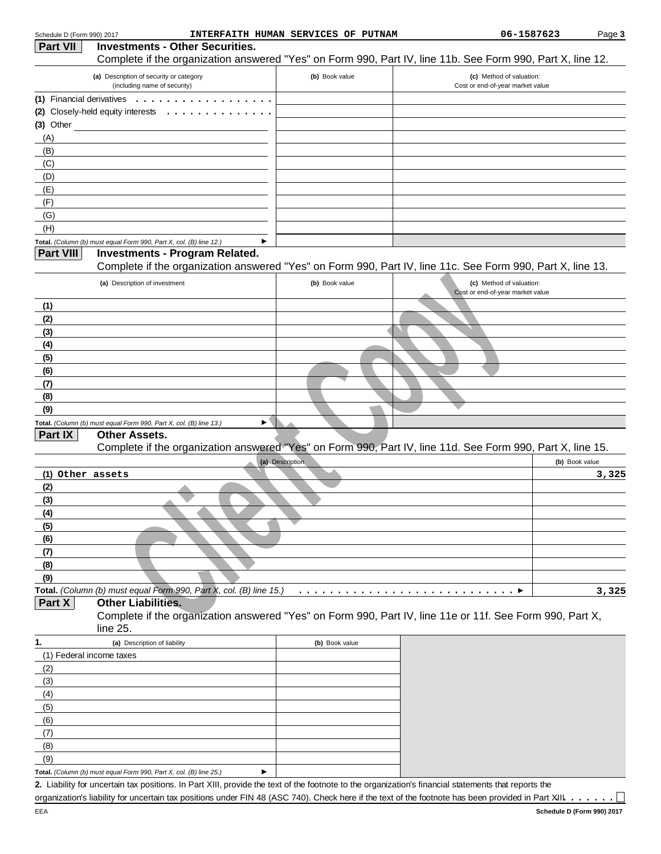|                  | (a) Description of security or category                                                                          | (b) Book value  | (c) Method of valuation:                                     |                |
|------------------|------------------------------------------------------------------------------------------------------------------|-----------------|--------------------------------------------------------------|----------------|
|                  | (including name of security)                                                                                     |                 | Cost or end-of-year market value                             |                |
|                  | (1) Financial derivatives                                                                                        |                 |                                                              |                |
|                  | (2) Closely-held equity interests                                                                                |                 |                                                              |                |
| $(3)$ Other      |                                                                                                                  |                 |                                                              |                |
| (A)              |                                                                                                                  |                 |                                                              |                |
| (B)              |                                                                                                                  |                 |                                                              |                |
| (C)              |                                                                                                                  |                 |                                                              |                |
| (D)              |                                                                                                                  |                 |                                                              |                |
| (E)              |                                                                                                                  |                 |                                                              |                |
| (F)              |                                                                                                                  |                 |                                                              |                |
| (G)              |                                                                                                                  |                 |                                                              |                |
| (H)              |                                                                                                                  |                 |                                                              |                |
| <b>Part VIII</b> | Total. (Column (b) must equal Form 990, Part X, col. (B) line 12.)<br>▶<br><b>Investments - Program Related.</b> |                 |                                                              |                |
|                  | Complete if the organization answered "Yes" on Form 990, Part IV, line 11c. See Form 990, Part X, line 13.       |                 |                                                              |                |
|                  | (a) Description of investment                                                                                    | (b) Book value  | (c) Method of valuation:<br>Cost or end-of-year market value |                |
| (1)              |                                                                                                                  |                 |                                                              |                |
|                  |                                                                                                                  |                 |                                                              |                |
| (2)<br>(3)       |                                                                                                                  |                 |                                                              |                |
|                  |                                                                                                                  |                 |                                                              |                |
| (4)              |                                                                                                                  |                 |                                                              |                |
| (5)              |                                                                                                                  |                 |                                                              |                |
| (6)              |                                                                                                                  |                 |                                                              |                |
|                  |                                                                                                                  |                 |                                                              |                |
| (7)              |                                                                                                                  |                 |                                                              |                |
| (8)              |                                                                                                                  |                 |                                                              |                |
| (9)              |                                                                                                                  |                 |                                                              |                |
|                  | Total. (Column (b) must equal Form 990, Part X, col. (B) line 13.)<br>▶                                          |                 |                                                              |                |
| Part IX          | <b>Other Assets.</b>                                                                                             |                 |                                                              |                |
|                  | Complete if the organization answered "Yes" on Form 990, Part IV, line 11d. See Form 990, Part X, line 15.       |                 |                                                              |                |
|                  |                                                                                                                  | (a) Description |                                                              | (b) Book value |
| (1) Other assets |                                                                                                                  |                 |                                                              |                |
| (2)              |                                                                                                                  |                 |                                                              |                |
| (3)              |                                                                                                                  |                 |                                                              |                |
| (4)              |                                                                                                                  |                 |                                                              |                |
| (5)              |                                                                                                                  |                 |                                                              |                |
| (6)              |                                                                                                                  |                 |                                                              |                |
| (7)              |                                                                                                                  |                 |                                                              |                |
| (8)              |                                                                                                                  |                 |                                                              |                |
| (9)              |                                                                                                                  |                 |                                                              |                |
|                  | Total. (Column (b) must equal Form 990, Part X, col. (B) line 15.)                                               |                 |                                                              |                |
| Part X           | <b>Other Liabilities.</b>                                                                                        |                 |                                                              |                |
|                  | Complete if the organization answered "Yes" on Form 990, Part IV, line 11e or 11f. See Form 990, Part X,         |                 |                                                              |                |
|                  | line 25.                                                                                                         |                 |                                                              | 3,325<br>3,325 |
| 1.               | (a) Description of liability                                                                                     | (b) Book value  |                                                              |                |
|                  | (1) Federal income taxes                                                                                         |                 |                                                              |                |
| (2)              |                                                                                                                  |                 |                                                              |                |
| (3)              |                                                                                                                  |                 |                                                              |                |
| (4)              |                                                                                                                  |                 |                                                              |                |
| (5)              |                                                                                                                  |                 |                                                              |                |
| (6)              |                                                                                                                  |                 |                                                              |                |
| (7)              |                                                                                                                  |                 |                                                              |                |
| (8)              |                                                                                                                  |                 |                                                              |                |
| (9)              |                                                                                                                  |                 |                                                              |                |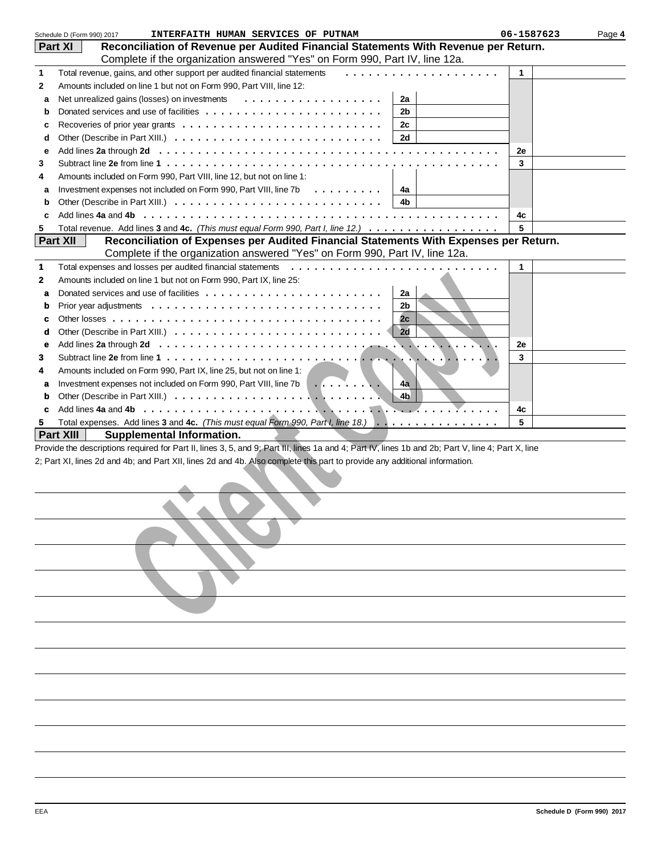|   | INTERFAITH HUMAN SERVICES OF PUTNAM<br>Schedule D (Form 990) 2017                                                                                  | 06-1587623 | Page 4 |
|---|----------------------------------------------------------------------------------------------------------------------------------------------------|------------|--------|
|   | Reconciliation of Revenue per Audited Financial Statements With Revenue per Return.<br><b>Part XI</b>                                              |            |        |
|   | Complete if the organization answered "Yes" on Form 990, Part IV, line 12a.                                                                        |            |        |
| 1 | Total revenue, gains, and other support per audited financial statements<br>.                                                                      | 1          |        |
| 2 | Amounts included on line 1 but not on Form 990, Part VIII, line 12:                                                                                |            |        |
| a | Net unrealized gains (losses) on investments<br>.<br>2a                                                                                            |            |        |
| b | 2b                                                                                                                                                 |            |        |
| c | 2с                                                                                                                                                 |            |        |
| d | 2d                                                                                                                                                 |            |        |
|   |                                                                                                                                                    | 2e         |        |
| e |                                                                                                                                                    |            |        |
| 3 |                                                                                                                                                    | 3          |        |
| 4 | Amounts included on Form 990, Part VIII, line 12, but not on line 1:                                                                               |            |        |
| a | Investment expenses not included on Form 990, Part VIII, line 7b<br>4a                                                                             |            |        |
| b | 4b                                                                                                                                                 |            |        |
| c | Add lines 4a and 4b                                                                                                                                | 4c         |        |
| 5 | Total revenue. Add lines 3 and 4c. (This must equal Form 990, Part I, line 12.)                                                                    | 5          |        |
|   | <b>Part XII</b><br>Reconciliation of Expenses per Audited Financial Statements With Expenses per Return.                                           |            |        |
|   | Complete if the organization answered "Yes" on Form 990, Part IV, line 12a.                                                                        |            |        |
| 1 | Total expenses and losses per audited financial statements                                                                                         | 1          |        |
| 2 | Amounts included on line 1 but not on Form 990, Part IX, line 25:                                                                                  |            |        |
| a | 2a                                                                                                                                                 |            |        |
| b | 2 <sub>b</sub>                                                                                                                                     |            |        |
| c | 2c                                                                                                                                                 |            |        |
| d | $\vert$ 2d                                                                                                                                         |            |        |
| е |                                                                                                                                                    | 2e         |        |
| 3 |                                                                                                                                                    | 3          |        |
| 4 | Amounts included on Form 990, Part IX, line 25, but not on line 1:                                                                                 |            |        |
|   |                                                                                                                                                    |            |        |
| a | Investment expenses not included on Form 990, Part VIII, line 7b<br>4a                                                                             |            |        |
| b | 4 <sub>b</sub>                                                                                                                                     |            |        |
| c |                                                                                                                                                    | 4c         |        |
| 5 | Total expenses. Add lines 3 and 4c. (This must equal Form 990, Part I, line 18.)                                                                   | 5          |        |
|   | <b>Part XIII</b><br><b>Supplemental Information.</b>                                                                                               |            |        |
|   | Provide the descriptions required for Part II, lines 3, 5, and 9; Part III, lines 1a and 4; Part IV, lines 1b and 2b; Part V, line 4; Part X, line |            |        |
|   | 2; Part XI, lines 2d and 4b; and Part XII, lines 2d and 4b. Also complete this part to provide any additional information.                         |            |        |
|   |                                                                                                                                                    |            |        |
|   |                                                                                                                                                    |            |        |
|   |                                                                                                                                                    |            |        |
|   |                                                                                                                                                    |            |        |
|   |                                                                                                                                                    |            |        |
|   |                                                                                                                                                    |            |        |
|   |                                                                                                                                                    |            |        |
|   |                                                                                                                                                    |            |        |
|   |                                                                                                                                                    |            |        |
|   |                                                                                                                                                    |            |        |
|   |                                                                                                                                                    |            |        |
|   |                                                                                                                                                    |            |        |
|   |                                                                                                                                                    |            |        |
|   |                                                                                                                                                    |            |        |
|   |                                                                                                                                                    |            |        |
|   |                                                                                                                                                    |            |        |
|   |                                                                                                                                                    |            |        |
|   |                                                                                                                                                    |            |        |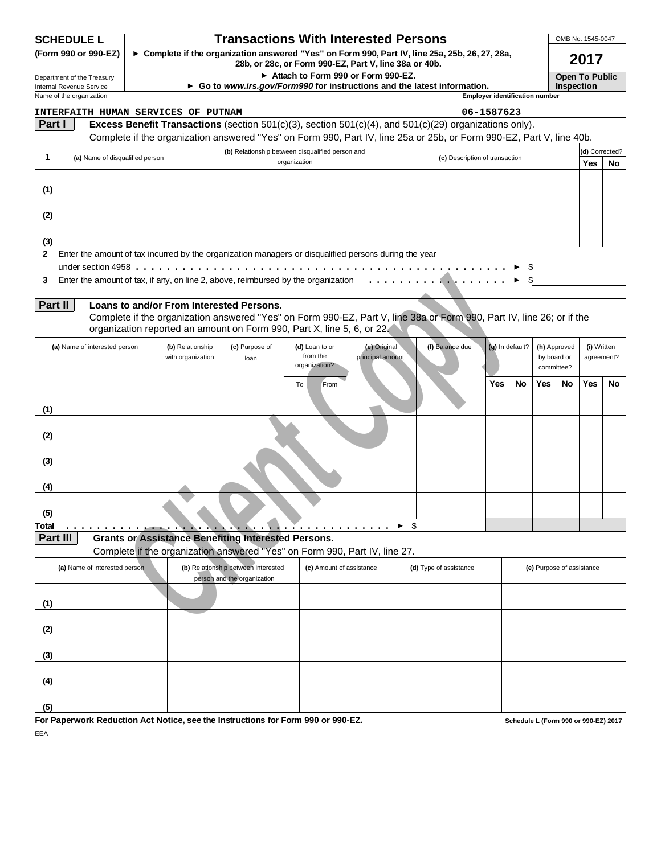| <b>SCHEDULE L</b>                                                                                       |                   | <b>Transactions With Interested Persons</b>                                                                           |                                                       |                  |                                |                                       |                 |                           | OMB No. 1545-0047                   |                |     |
|---------------------------------------------------------------------------------------------------------|-------------------|-----------------------------------------------------------------------------------------------------------------------|-------------------------------------------------------|------------------|--------------------------------|---------------------------------------|-----------------|---------------------------|-------------------------------------|----------------|-----|
| (Form 990 or 990-EZ)                                                                                    |                   | ► Complete if the organization answered "Yes" on Form 990, Part IV, line 25a, 25b, 26, 27, 28a,                       | 28b, or 28c, or Form 990-EZ, Part V, line 38a or 40b. |                  |                                |                                       |                 |                           |                                     | 2017           |     |
| Department of the Treasury<br>Internal Revenue Service                                                  |                   | Go to www.irs.gov/Form990 for instructions and the latest information.                                                | Attach to Form 990 or Form 990-EZ.                    |                  |                                |                                       |                 |                           | <b>Open To Public</b><br>Inspection |                |     |
| Name of the organization                                                                                |                   |                                                                                                                       |                                                       |                  |                                | <b>Employer identification number</b> |                 |                           |                                     |                |     |
| INTERFAITH HUMAN SERVICES OF PUTNAM                                                                     |                   |                                                                                                                       |                                                       |                  |                                | 06-1587623                            |                 |                           |                                     |                |     |
| Part I                                                                                                  |                   | Excess Benefit Transactions (section $501(c)(3)$ , section $501(c)(4)$ , and $501(c)(29)$ organizations only).        |                                                       |                  |                                |                                       |                 |                           |                                     |                |     |
|                                                                                                         |                   | Complete if the organization answered "Yes" on Form 990, Part IV, line 25a or 25b, or Form 990-EZ, Part V, line 40b.  |                                                       |                  |                                |                                       |                 |                           |                                     |                |     |
|                                                                                                         |                   | (b) Relationship between disqualified person and                                                                      |                                                       |                  |                                |                                       |                 |                           |                                     | (d) Corrected? |     |
| 1<br>(a) Name of disqualified person                                                                    |                   |                                                                                                                       | organization                                          |                  | (c) Description of transaction |                                       |                 |                           |                                     | <b>Yes</b>     | No. |
|                                                                                                         |                   |                                                                                                                       |                                                       |                  |                                |                                       |                 |                           |                                     |                |     |
| (1)                                                                                                     |                   |                                                                                                                       |                                                       |                  |                                |                                       |                 |                           |                                     |                |     |
|                                                                                                         |                   |                                                                                                                       |                                                       |                  |                                |                                       |                 |                           |                                     |                |     |
| (2)                                                                                                     |                   |                                                                                                                       |                                                       |                  |                                |                                       |                 |                           |                                     |                |     |
| (3)                                                                                                     |                   |                                                                                                                       |                                                       |                  |                                |                                       |                 |                           |                                     |                |     |
| 2 Enter the amount of tax incurred by the organization managers or disqualified persons during the year |                   |                                                                                                                       |                                                       |                  |                                |                                       |                 |                           |                                     |                |     |
|                                                                                                         |                   |                                                                                                                       |                                                       |                  |                                |                                       |                 |                           |                                     |                |     |
| 3                                                                                                       |                   |                                                                                                                       |                                                       |                  |                                |                                       | \$.             |                           |                                     |                |     |
|                                                                                                         |                   |                                                                                                                       |                                                       |                  |                                |                                       |                 |                           |                                     |                |     |
| Part II                                                                                                 |                   | Loans to and/or From Interested Persons.                                                                              |                                                       |                  |                                |                                       |                 |                           |                                     |                |     |
|                                                                                                         |                   | Complete if the organization answered "Yes" on Form 990-EZ, Part V, line 38a or Form 990, Part IV, line 26; or if the |                                                       |                  |                                |                                       |                 |                           |                                     |                |     |
|                                                                                                         |                   | organization reported an amount on Form 990, Part X, line 5, 6, or 22.                                                |                                                       |                  |                                |                                       |                 |                           |                                     |                |     |
| (a) Name of interested person                                                                           | (b) Relationship  | (c) Purpose of                                                                                                        | (d) Loan to or                                        | (e) Original     | (f) Balance due                |                                       | (g) In default? |                           | (h) Approved                        | (i) Written    |     |
|                                                                                                         | with organization | loan                                                                                                                  | from the<br>organization?                             | principal amount |                                |                                       |                 |                           | by board or                         | agreement?     |     |
|                                                                                                         |                   |                                                                                                                       |                                                       |                  |                                |                                       |                 |                           | committee?                          |                |     |
|                                                                                                         |                   |                                                                                                                       | To<br>From                                            |                  |                                | <b>Yes</b>                            | No              | <b>Yes</b>                | No                                  | Yes            | No  |
|                                                                                                         |                   |                                                                                                                       |                                                       |                  |                                |                                       |                 |                           |                                     |                |     |
| (1)                                                                                                     |                   |                                                                                                                       |                                                       |                  |                                |                                       |                 |                           |                                     |                |     |
| (2)                                                                                                     |                   |                                                                                                                       |                                                       |                  |                                |                                       |                 |                           |                                     |                |     |
|                                                                                                         |                   |                                                                                                                       |                                                       |                  |                                |                                       |                 |                           |                                     |                |     |
| (3)                                                                                                     |                   |                                                                                                                       |                                                       |                  |                                |                                       |                 |                           |                                     |                |     |
|                                                                                                         |                   |                                                                                                                       |                                                       |                  |                                |                                       |                 |                           |                                     |                |     |
| (4)                                                                                                     |                   |                                                                                                                       |                                                       |                  |                                |                                       |                 |                           |                                     |                |     |
|                                                                                                         |                   |                                                                                                                       |                                                       |                  |                                |                                       |                 |                           |                                     |                |     |
| (5)                                                                                                     |                   |                                                                                                                       |                                                       |                  |                                |                                       |                 |                           |                                     |                |     |
| Total                                                                                                   |                   |                                                                                                                       |                                                       |                  | \$                             |                                       |                 |                           |                                     |                |     |
| Part III                                                                                                |                   | <b>Grants or Assistance Benefiting Interested Persons.</b>                                                            |                                                       |                  |                                |                                       |                 |                           |                                     |                |     |
|                                                                                                         |                   | Complete if the organization answered "Yes" on Form 990, Part IV, line 27.                                            |                                                       |                  |                                |                                       |                 |                           |                                     |                |     |
| (a) Name of interested person                                                                           |                   | (b) Relationship between interested<br>person and the organization                                                    | (c) Amount of assistance                              |                  | (d) Type of assistance         |                                       |                 | (e) Purpose of assistance |                                     |                |     |
|                                                                                                         |                   |                                                                                                                       |                                                       |                  |                                |                                       |                 |                           |                                     |                |     |
| (1)                                                                                                     |                   |                                                                                                                       |                                                       |                  |                                |                                       |                 |                           |                                     |                |     |
| (2)                                                                                                     |                   |                                                                                                                       |                                                       |                  |                                |                                       |                 |                           |                                     |                |     |
|                                                                                                         |                   |                                                                                                                       |                                                       |                  |                                |                                       |                 |                           |                                     |                |     |
| (3)                                                                                                     |                   |                                                                                                                       |                                                       |                  |                                |                                       |                 |                           |                                     |                |     |
|                                                                                                         |                   |                                                                                                                       |                                                       |                  |                                |                                       |                 |                           |                                     |                |     |
| (4)                                                                                                     |                   |                                                                                                                       |                                                       |                  |                                |                                       |                 |                           |                                     |                |     |
|                                                                                                         |                   |                                                                                                                       |                                                       |                  |                                |                                       |                 |                           |                                     |                |     |
| (5)                                                                                                     |                   | work Reduction Act Notice, can the Instructions for Ferm 000 or 000 FZ                                                |                                                       |                  |                                |                                       |                 |                           |                                     |                |     |

**For Paperwork Reduction Act Notice, see the Instructions for Form 990 or 990-EZ.** EEA

**Schedule L (Form 990 or 990-EZ) 2017**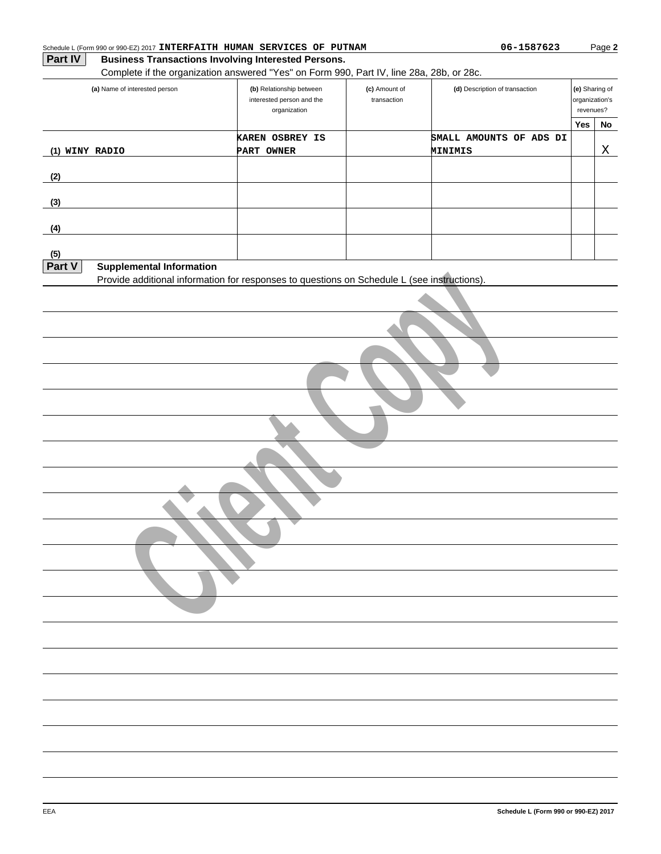|                | (a) Name of interested person   | (b) Relationship between<br>interested person and the<br>organization                       | (c) Amount of<br>transaction | (d) Description of transaction | (e) Sharing of<br>organization's<br>revenues? |    |
|----------------|---------------------------------|---------------------------------------------------------------------------------------------|------------------------------|--------------------------------|-----------------------------------------------|----|
|                |                                 | KAREN OSBREY IS                                                                             |                              | SMALL AMOUNTS OF ADS DI        | Yes                                           | No |
| (1) WINY RADIO |                                 | PART OWNER                                                                                  |                              | MINIMIS                        |                                               | Χ  |
|                |                                 |                                                                                             |                              |                                |                                               |    |
| (2)            |                                 |                                                                                             |                              |                                |                                               |    |
| (3)            |                                 |                                                                                             |                              |                                |                                               |    |
| (4)            |                                 |                                                                                             |                              |                                |                                               |    |
| (5)            |                                 |                                                                                             |                              |                                |                                               |    |
| Part V         | <b>Supplemental Information</b> |                                                                                             |                              |                                |                                               |    |
|                |                                 | Provide additional information for responses to questions on Schedule L (see instructions). |                              |                                |                                               |    |
|                |                                 |                                                                                             |                              |                                |                                               |    |
|                |                                 |                                                                                             |                              |                                |                                               |    |
|                |                                 |                                                                                             |                              |                                |                                               |    |
|                |                                 |                                                                                             |                              |                                |                                               |    |
|                |                                 |                                                                                             |                              |                                |                                               |    |
|                |                                 |                                                                                             |                              |                                |                                               |    |
|                |                                 |                                                                                             |                              |                                |                                               |    |
|                |                                 |                                                                                             |                              |                                |                                               |    |
|                |                                 |                                                                                             |                              |                                |                                               |    |
|                |                                 |                                                                                             |                              |                                |                                               |    |

Schedule L (Form 990 or 990-EZ) 2017 **INTERFAITH HUMAN SERVICES OF PUTNAM 1998 1998 06-1587623** 

Page **2**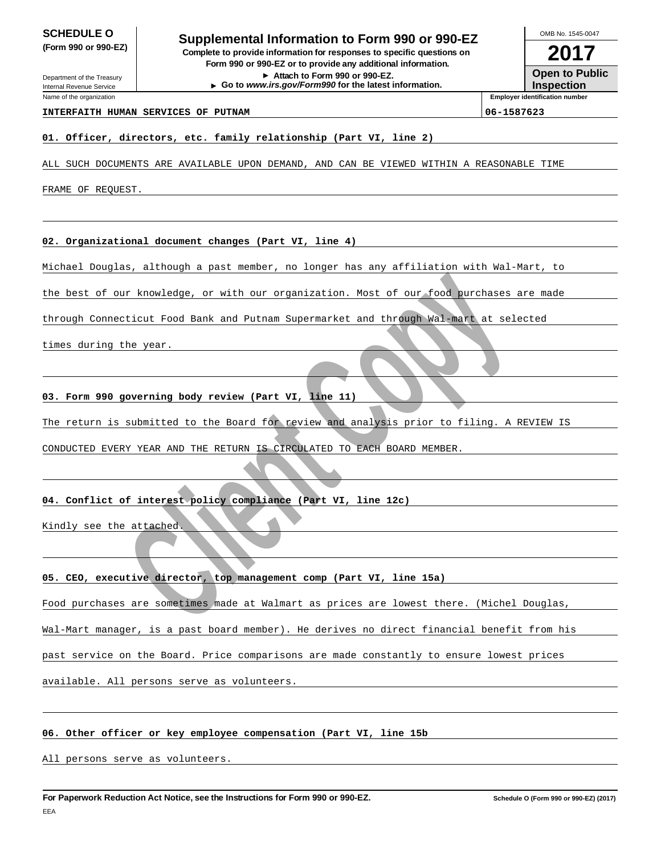Department of the Treasury

Internal Revenue Service Name of the organization

**SCHEDULE O**<br> **Supplemental Information to Form 990 or 990-EZ**<br> **Supplemental Information to Form 990 or 990-EZ (Form 990 or 990-EZ) Complete to provide information for responses to specific questions on Form 990 or 990-EZ or to provide any additional information.**

**Attach to Form 990 or 990-EZ. Go to www.irs.gov/Form990 for the latest information.**

**2017** OMB No. 1545-0047

**Open to Public**

**Inspection Employer identification number**

#### **INTERFAITH HUMAN SERVICES OF PUTNAM 06-1587623**

#### **01. Officer, directors, etc. family relationship (Part VI, line 2)**

ALL SUCH DOCUMENTS ARE AVAILABLE UPON DEMAND, AND CAN BE VIEWED WITHIN A REASONABLE TIME

FRAME OF REQUEST.

#### **02. Organizational document changes (Part VI, line 4)**

Michael Douglas, although a past member, no longer has any affiliation with Wal-Mart, to

the best of our knowledge, or with our organization. Most of our food purchases are made

our knowledge, or with our organization. Most of our food purchases and continued and Putnam Supermarket and through Wal-mart at selection: Food Bank and Putnam Supermarket and through Wal-mart at selection:<br>The year.<br>Jean through Connecticut Food Bank and Putnam Supermarket and through Wal-mart at selected

times during the year.

#### **03. Form 990 governing body review (Part VI, line 11)**

The return is submitted to the Board for review and analysis prior to filing. A REVIEW IS

CONDUCTED EVERY YEAR AND THE RETURN IS CIRCULATED TO EACH BOARD MEMBER.

#### **04. Conflict of interest policy compliance (Part VI, line 12c)**

Kindly see the attached.

## **05. CEO, executive director, top management comp (Part VI, line 15a)**

Food purchases are sometimes made at Walmart as prices are lowest there. (Michel Douglas,

Wal-Mart manager, is a past board member). He derives no direct financial benefit from his

past service on the Board. Price comparisons are made constantly to ensure lowest prices

available. All persons serve as volunteers.

## **06. Other officer or key employee compensation (Part VI, line 15b**

All persons serve as volunteers.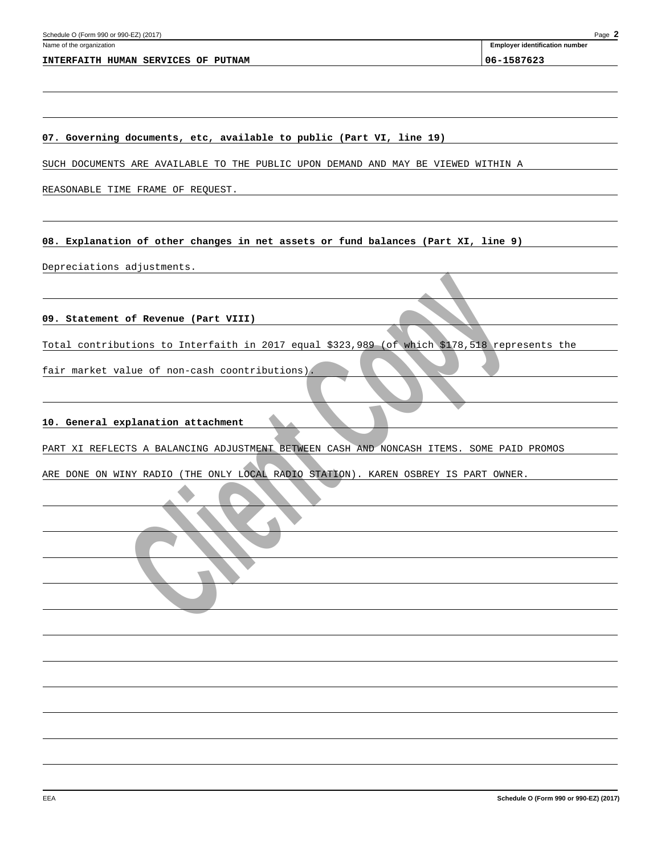**Employer identification number**

**07. Governing documents, etc, available to public (Part VI, line 19)**

SUCH DOCUMENTS ARE AVAILABLE TO THE PUBLIC UPON DEMAND AND MAY BE VIEWED WITHIN A

REASONABLE TIME FRAME OF REQUEST.

**08. Explanation of other changes in net assets or fund balances (Part XI, line 9)**

Depreciations adjustments.

**09. Statement of Revenue (Part VIII)**

**Example 18 AVENUE (Part VIII)**<br> **EXAMPLE COPY AND AVENUE OF A COPY AND AVENUE OF A COPY AND AVENUE OF A CONSUMING A CONSUMING A CONSUMING A COPY AND A CONSUMING A COPY AND A CONSUMING A COPY AND A COPY AND A CONSUMING A C** Total contributions to Interfaith in 2017 equal \$323,989 (of which \$178,518 represents the

fair market value of non-cash coontributions).

**10. General explanation attachment**

PART XI REFLECTS A BALANCING ADJUSTMENT BETWEEN CASH AND NONCASH ITEMS. SOME PAID PROMOS

ARE DONE ON WINY RADIO (THE ONLY LOCAL RADIO STATION). KAREN OSBREY IS PART OWNER.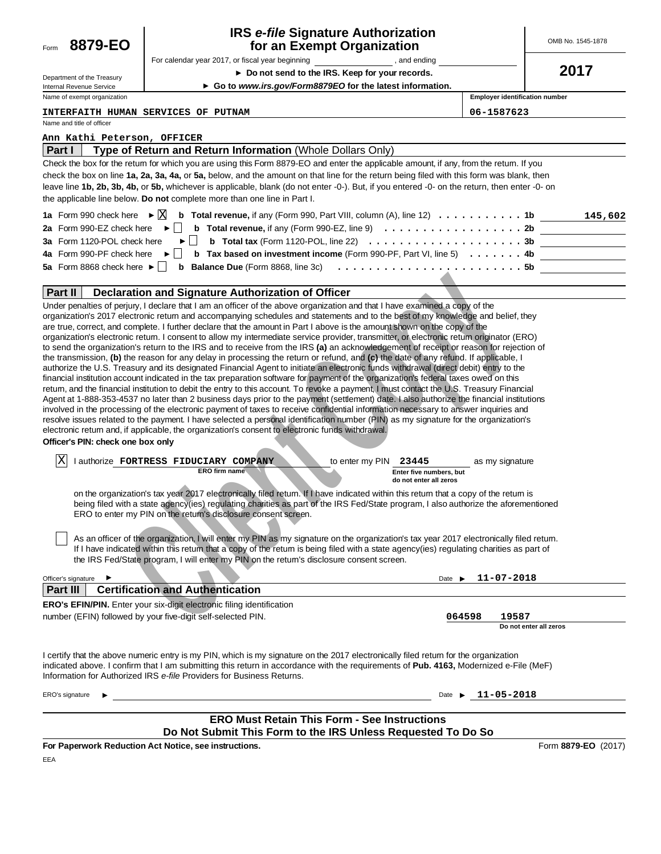| Form | 8879-EO |
|------|---------|
|      |         |

#### **for an Exempt Organization IRS e-file Signature Authorization**

For calendar year 2017, or fiscal year beginning  $\blacksquare$ , and ending

OMB No. 1545-1878

**2017**

| Department of the Treasury  |
|-----------------------------|
| Internal Revenue Service    |
| Name of exempt organization |

**Do not send to the IRS. Keep for your records.**

**Go to www.irs.gov/Form8879EO for the latest information.**

**Employer identification number**

**INTERFAITH HUMAN SERVICES OF PUTNAM 06-1587623**

........................

Name and title of officer

#### **Ann Kathi Peterson, OFFICER**

| Part I | Type of Return and Return Information (Whole Dollars Only)                                                                                          |         |
|--------|-----------------------------------------------------------------------------------------------------------------------------------------------------|---------|
|        | Check the box for the retum for which you are using this Form 8879-EO and enter the applicable amount, if any, from the retum. If you               |         |
|        | check the box on line 1a, 2a, 3a, 4a, or 5a, below, and the amount on that line for the return being filed with this form was blank, then           |         |
|        | leave line 1b, 2b, 3b, 4b, or 5b, whichever is applicable, blank (do not enter -0-). But, if you entered -0- on the return, then enter -0- on       |         |
|        | the applicable line below. Do not complete more than one line in Part I.                                                                            |         |
|        | <b>1a</b> Form 990 check here ► $\boxed{\times}$ <b>b</b> Total revenue, if any (Form 990, Part VIII, column (A), line 12) 1b                       | 145,602 |
|        | 2a Form 990-EZ check here $\blacktriangleright$<br><b>b</b> Total revenue, if any (Form 990-EZ, line 9) $\ldots \ldots \ldots \ldots \ldots \ldots$ |         |

|  |  | 4a Form 990-PF check here $\blacktriangleright$ <b>b</b> Tax based on investment income (Form 990-PF, Part VI, line 5) 4b |  |
|--|--|---------------------------------------------------------------------------------------------------------------------------|--|

#### **Part II Declaration and Signature Authorization of Officer**

| Part II<br>Declaration and Signature Authorization of Officer                                                                                                                                                                                                                                                                                                                                                                                                                                                                                                                                                                                                                                                                                                                                                                                                                                                                                                                                                                                                                                                                                                                                                                                                                                                                                                                                                                                                                                                                                                                                                                                                                                                                                                                                                            |                                                            |                            |                             |
|--------------------------------------------------------------------------------------------------------------------------------------------------------------------------------------------------------------------------------------------------------------------------------------------------------------------------------------------------------------------------------------------------------------------------------------------------------------------------------------------------------------------------------------------------------------------------------------------------------------------------------------------------------------------------------------------------------------------------------------------------------------------------------------------------------------------------------------------------------------------------------------------------------------------------------------------------------------------------------------------------------------------------------------------------------------------------------------------------------------------------------------------------------------------------------------------------------------------------------------------------------------------------------------------------------------------------------------------------------------------------------------------------------------------------------------------------------------------------------------------------------------------------------------------------------------------------------------------------------------------------------------------------------------------------------------------------------------------------------------------------------------------------------------------------------------------------|------------------------------------------------------------|----------------------------|-----------------------------|
| Under penalties of perjury, I declare that I am an officer of the above organization and that I have examined a copy of the<br>organization's 2017 electronic retum and accompanying schedules and statements and to the best of my knowledge and belief, they<br>are true, correct, and complete. I further declare that the amount in Part I above is the amount shown on the copy of the<br>organization's electronic retum. I consent to allow my intermediate service provider, transmitter, or electronic retum originator (ERO)<br>to send the organization's return to the IRS and to receive from the IRS (a) an acknowledgement of receipt or reason for rejection of<br>the transmission, (b) the reason for any delay in processing the return or refund, and (c) the date of any refund. If applicable, I<br>authorize the U.S. Treasury and its designated Financial Agent to initiate an electronic funds withdrawal (direct debit) entry to the<br>financial institution account indicated in the tax preparation software for payment of the organization's federal taxes owed on this<br>retum, and the financial institution to debit the entry to this account. To revoke a payment, I must contact the U.S. Treasury Financial<br>Agent at 1-888-353-4537 no later than 2 business days prior to the payment (settlement) date. I also authorize the financial institutions<br>involved in the processing of the electronic payment of taxes to receive confidential information necessary to answer inquiries and<br>resolve issues related to the payment. I have selected a personal identification number (PIN) as my signature for the organization's<br>electronic return and, if applicable, the organization's consent to electronic funds withdrawal.<br>Officer's PIN: check one box only |                                                            |                            |                             |
| Ιx<br>to enter my PIN<br>authorize FORTRESS FIDUCIARY COMPANY<br>ERO firm name                                                                                                                                                                                                                                                                                                                                                                                                                                                                                                                                                                                                                                                                                                                                                                                                                                                                                                                                                                                                                                                                                                                                                                                                                                                                                                                                                                                                                                                                                                                                                                                                                                                                                                                                           | 23445<br>Enter five numbers, but<br>do not enter all zeros |                            | as my signature             |
| on the organization's tax year 2017 electronically filed retum. If I have indicated within this retum that a copy of the retum is<br>being filed with a state agency(ies) regulating charities as part of the IRS Fed/State program, I also authorize the aforementione<br>ERO to enter my PIN on the return's disclosure consent screen.<br>As an officer of the organization, I will enter my PIN as my signature on the organization's tax year 2017 electronically filed retur<br>If I have indicated within this retum that a copy of the retum is being filed with a state agency(ies) regulating charities as part of                                                                                                                                                                                                                                                                                                                                                                                                                                                                                                                                                                                                                                                                                                                                                                                                                                                                                                                                                                                                                                                                                                                                                                                             |                                                            |                            |                             |
| the IRS Fed/State program, I will enter my PIN on the retum's disclosure consent screen.                                                                                                                                                                                                                                                                                                                                                                                                                                                                                                                                                                                                                                                                                                                                                                                                                                                                                                                                                                                                                                                                                                                                                                                                                                                                                                                                                                                                                                                                                                                                                                                                                                                                                                                                 |                                                            |                            |                             |
| Officer's signature                                                                                                                                                                                                                                                                                                                                                                                                                                                                                                                                                                                                                                                                                                                                                                                                                                                                                                                                                                                                                                                                                                                                                                                                                                                                                                                                                                                                                                                                                                                                                                                                                                                                                                                                                                                                      |                                                            | Date $\blacksquare$        | $11 - 07 - 2018$            |
| <b>Certification and Authentication</b><br><b>Part III</b>                                                                                                                                                                                                                                                                                                                                                                                                                                                                                                                                                                                                                                                                                                                                                                                                                                                                                                                                                                                                                                                                                                                                                                                                                                                                                                                                                                                                                                                                                                                                                                                                                                                                                                                                                               |                                                            |                            |                             |
| ERO's EFIN/PIN. Enter your six-digit electronic filing identification<br>number (EFIN) followed by your five-digit self-selected PIN.                                                                                                                                                                                                                                                                                                                                                                                                                                                                                                                                                                                                                                                                                                                                                                                                                                                                                                                                                                                                                                                                                                                                                                                                                                                                                                                                                                                                                                                                                                                                                                                                                                                                                    |                                                            | 064598                     | 19587<br>Do not enter all z |
| I certify that the above numeric entry is my PIN, which is my signature on the 2017 electronically filed retum for the organization<br>indicated above. I confirm that I am submitting this return in accordance with the requirements of Pub. 4163, Modernized e-File (MeF)<br>Information for Authorized IRS e-file Providers for Business Returns.                                                                                                                                                                                                                                                                                                                                                                                                                                                                                                                                                                                                                                                                                                                                                                                                                                                                                                                                                                                                                                                                                                                                                                                                                                                                                                                                                                                                                                                                    |                                                            |                            |                             |
| ERO's signature                                                                                                                                                                                                                                                                                                                                                                                                                                                                                                                                                                                                                                                                                                                                                                                                                                                                                                                                                                                                                                                                                                                                                                                                                                                                                                                                                                                                                                                                                                                                                                                                                                                                                                                                                                                                          |                                                            | Date $\blacktriangleright$ | $11 - 05 - 2018$            |

**5a** Form 8868 check here ▶  $\Box$  **b** Balance Due (Form 8868, line 3c) ..........................5b

| ΙX<br>authorize FORTRESS FIDUCIARY COMPANY                                                                                                                                                                                                                     | to enter my PIN $23445$ |                                                   | as my signature |
|----------------------------------------------------------------------------------------------------------------------------------------------------------------------------------------------------------------------------------------------------------------|-------------------------|---------------------------------------------------|-----------------|
| <b>ERO firm name</b>                                                                                                                                                                                                                                           |                         | Enter five numbers, but<br>do not enter all zeros |                 |
| on the organization's tax year 2017 electronically filed retum. If I have indicated within this retum that a copy of the retum is<br>t at a Madante a crea con control to a del control control con control. In∩ EcuMorea compose a la cardia del decembración |                         |                                                   |                 |

| Officer's signature<br>▸                                                                                                                                                                                                                                                                                                                              | $11 - 07 - 2018$<br>Date $\blacktriangleright$ |
|-------------------------------------------------------------------------------------------------------------------------------------------------------------------------------------------------------------------------------------------------------------------------------------------------------------------------------------------------------|------------------------------------------------|
| Part III<br><b>Certification and Authentication</b>                                                                                                                                                                                                                                                                                                   |                                                |
| <b>ERO's EFIN/PIN.</b> Enter your six-digit electronic filing identification                                                                                                                                                                                                                                                                          |                                                |
| number (EFIN) followed by your five-digit self-selected PIN.                                                                                                                                                                                                                                                                                          | 064598<br>19587                                |
|                                                                                                                                                                                                                                                                                                                                                       | Do not enter all zeros                         |
| I certify that the above numeric entry is my PIN, which is my signature on the 2017 electronically filed retum for the organization<br>indicated above. I confirm that I am submitting this return in accordance with the requirements of Pub. 4163, Modernized e-File (MeF)<br>Information for Authorized IRS e-file Providers for Business Returns. |                                                |
| ERO's signature<br>▶                                                                                                                                                                                                                                                                                                                                  | Date $\triangleright$ 11-05-2018               |
|                                                                                                                                                                                                                                                                                                                                                       |                                                |
| <b>ERO Must Retain This Form - See Instructions</b>                                                                                                                                                                                                                                                                                                   |                                                |
| Do Not Submit This Form to the IRS Unless Requested To Do So                                                                                                                                                                                                                                                                                          |                                                |

**For Paperwork Reduction Act Notice, see instructions.**

Form **8879-EO** (2017)

EEA